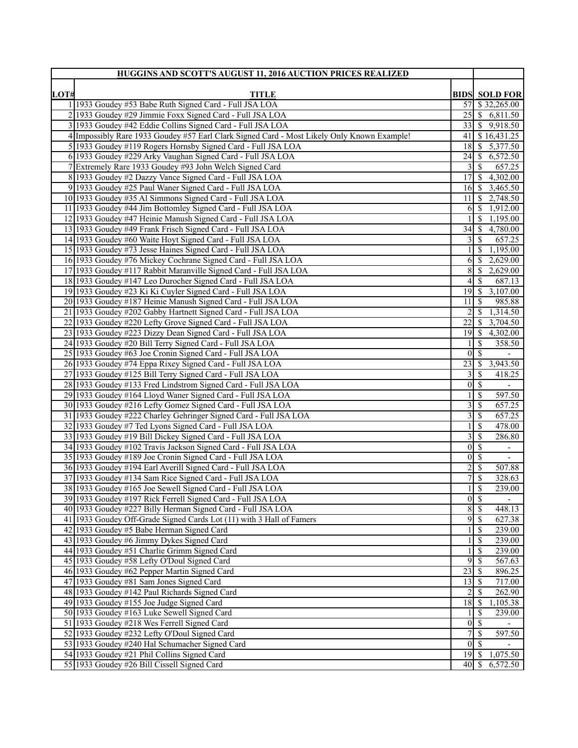| HUGGINS AND SCOTT'S AUGUST 11, 2016 AUCTION PRICES REALIZED |                                                                                                                          |                      |                                                |
|-------------------------------------------------------------|--------------------------------------------------------------------------------------------------------------------------|----------------------|------------------------------------------------|
|                                                             |                                                                                                                          |                      |                                                |
| LOT#                                                        | <b>TITLE</b><br>1 1933 Goudey #53 Babe Ruth Signed Card - Full JSA LOA                                                   | 57                   | <b>BIDS SOLD FOR</b><br>$\frac{$32,265.00}{ }$ |
|                                                             | 2 1933 Goudey #29 Jimmie Foxx Signed Card - Full JSA LOA                                                                 | 25                   | $\$$ 6,811.50                                  |
|                                                             | 3 1933 Goudey #42 Eddie Collins Signed Card - Full JSA LOA                                                               | 33                   | \$9,918.50                                     |
|                                                             | 4 Impossibly Rare 1933 Goudey #57 Earl Clark Signed Card - Most Likely Only Known Example!                               | 41                   | \$16,431.25                                    |
|                                                             | 5 1933 Goudey #119 Rogers Hornsby Signed Card - Full JSA LOA                                                             | 18                   | -\$<br>5,377.50                                |
|                                                             | 6 1933 Goudey #229 Arky Vaughan Signed Card - Full JSA LOA                                                               | 24                   | 6,572.50<br>-S                                 |
|                                                             | 7 Extremely Rare 1933 Goudey #93 John Welch Signed Card                                                                  |                      | <sup>S</sup><br>657.25                         |
|                                                             | 8 1933 Goudey #2 Dazzy Vance Signed Card - Full JSA LOA                                                                  | 17                   | 4,302.00<br><sup>\$</sup>                      |
|                                                             | 9 1933 Goudey #25 Paul Waner Signed Card - Full JSA LOA                                                                  | 16                   | 3,465.50<br>  S                                |
|                                                             | 10 1933 Goudey #35 Al Simmons Signed Card - Full JSA LOA                                                                 | 11                   | 2,748.50<br>-S                                 |
|                                                             | 11 1933 Goudey #44 Jim Bottomley Signed Card - Full JSA LOA                                                              | 6                    | 1,912.00<br>-\$                                |
|                                                             | 12 1933 Goudey #47 Heinie Manush Signed Card - Full JSA LOA                                                              |                      | 1,195.00<br>-S                                 |
|                                                             | 13 1933 Goudey #49 Frank Frisch Signed Card - Full JSA LOA                                                               | $34$ \ $\frac{1}{3}$ | 4,780.00                                       |
|                                                             | 14 1933 Goudey #60 Waite Hoyt Signed Card - Full JSA LOA                                                                 | 3                    | $\mathbb{S}$<br>657.25                         |
|                                                             | 15 1933 Goudey #73 Jesse Haines Signed Card - Full JSA LOA                                                               |                      | 1,195.00<br><sup>\$</sup>                      |
|                                                             | 16 1933 Goudey #76 Mickey Cochrane Signed Card - Full JSA LOA                                                            | 6                    | 2,629.00<br>-\$                                |
|                                                             | 17 1933 Goudey #117 Rabbit Maranville Signed Card - Full JSA LOA                                                         | 8                    | 2,629.00<br>-\$                                |
|                                                             | 18 1933 Goudey #147 Leo Durocher Signed Card - Full JSA LOA                                                              | 4                    | 687.13<br>-S                                   |
|                                                             | 19 1933 Goudey #23 Ki Ki Cuyler Signed Card - Full JSA LOA                                                               | 19                   | 3,107.00<br>  \$                               |
|                                                             | 20 1933 Goudey #187 Heinie Manush Signed Card - Full JSA LOA                                                             | 11                   | 985.88<br>-\$                                  |
|                                                             | 21 1933 Goudey #202 Gabby Hartnett Signed Card - Full JSA LOA                                                            | 2                    | -S<br>1,314.50                                 |
|                                                             | 22 1933 Goudey #220 Lefty Grove Signed Card - Full JSA LOA                                                               | 22                   | 3,704.50<br>-S                                 |
|                                                             | 23 1933 Goudey #223 Dizzy Dean Signed Card - Full JSA LOA                                                                | 19                   | 4,302.00<br>-\$                                |
|                                                             | 24 1933 Goudey #20 Bill Terry Signed Card - Full JSA LOA                                                                 |                      | $\mathcal{S}$<br>358.50                        |
|                                                             | 25 1933 Goudey #63 Joe Cronin Signed Card - Full JSA LOA                                                                 | $\theta$             | $\overline{\mathcal{S}}$                       |
|                                                             | 26 1933 Goudey #74 Eppa Rixey Signed Card - Full JSA LOA                                                                 | 23                   | 3,943.50<br>-S                                 |
|                                                             | 27 1933 Goudey #125 Bill Terry Signed Card - Full JSA LOA                                                                | 3                    | 418.25<br>- \$                                 |
|                                                             | 28 1933 Goudey #133 Fred Lindstrom Signed Card - Full JSA LOA                                                            | $\vert 0 \vert$      | -\$<br>$\overline{\phantom{a}}$                |
|                                                             | 29 1933 Goudey #164 Lloyd Waner Signed Card - Full JSA LOA                                                               |                      | 597.50<br>S                                    |
|                                                             | 30 1933 Goudey #216 Lefty Gomez Signed Card - Full JSA LOA                                                               | 3                    | 657.25<br>-\$                                  |
|                                                             | 31 1933 Goudey #222 Charley Gehringer Signed Card - Full JSA LOA                                                         | 3                    | $\mathcal{S}$<br>657.25                        |
|                                                             | 32 1933 Goudey #7 Ted Lyons Signed Card - Full JSA LOA                                                                   |                      | 478.00<br><sup>\$</sup>                        |
|                                                             | 33 1933 Goudey #19 Bill Dickey Signed Card - Full JSA LOA                                                                | 3                    | 286.80<br>-S                                   |
|                                                             | 34 1933 Goudey #102 Travis Jackson Signed Card - Full JSA LOA                                                            | $\theta$             | $\mathcal{S}$<br>$\overline{\phantom{a}}$      |
|                                                             | 35 1933 Goudey #189 Joe Cronin Signed Card - Full JSA LOA<br>36 1933 Goudey #194 Earl Averill Signed Card - Full JSA LOA | $\overline{0}$       | <sup>\$</sup>                                  |
|                                                             | 37 1933 Goudey #134 Sam Rice Signed Card - Full JSA LOA                                                                  | $\overline{2}$<br>7  | 507.88<br>-S<br>\$<br>328.63                   |
|                                                             | 38 1933 Goudey #165 Joe Sewell Signed Card - Full JSA LOA                                                                | $\mathbf{1}$         | $\mathcal{S}$<br>239.00                        |
|                                                             | 39 1933 Goudey #197 Rick Ferrell Signed Card - Full JSA LOA                                                              |                      | $0 \overline{\smash{)}\,}$<br>$\blacksquare$   |
|                                                             | 40 1933 Goudey #227 Billy Herman Signed Card - Full JSA LOA                                                              | $\overline{8}$       | $\overline{\mathcal{S}}$<br>448.13             |
|                                                             | 41 1933 Goudey Off-Grade Signed Cards Lot (11) with 3 Hall of Famers                                                     | $\overline{9}$       | 627.38<br>-\$                                  |
|                                                             | 42 1933 Goudey #5 Babe Herman Signed Card                                                                                |                      | 239.00<br><sup>\$</sup>                        |
|                                                             | 43 1933 Goudey #6 Jimmy Dykes Signed Card                                                                                |                      | 239.00<br>\$                                   |
|                                                             | 44 1933 Goudey #51 Charlie Grimm Signed Card                                                                             | 1                    | 239.00<br>S                                    |
|                                                             | 45 1933 Goudey #58 Lefty O'Doul Signed Card                                                                              | 9                    | 567.63<br>-\$                                  |
|                                                             | 46 1933 Goudey #62 Pepper Martin Signed Card                                                                             | 23                   | 896.25<br>-\$                                  |
|                                                             | 47 1933 Goudey #81 Sam Jones Signed Card                                                                                 | 13                   | 717.00<br><sup>5</sup>                         |
|                                                             | 48 1933 Goudey #142 Paul Richards Signed Card                                                                            | $\overline{2}$       | -S<br>262.90                                   |
|                                                             | 49 1933 Goudey #155 Joe Judge Signed Card                                                                                | 18                   | -\$<br>1,105.38                                |
|                                                             | 50 1933 Goudey #163 Luke Sewell Signed Card                                                                              | 1                    | -S<br>239.00                                   |
|                                                             | 51 1933 Goudey #218 Wes Ferrell Signed Card                                                                              |                      | $\overline{0 S}$                               |
|                                                             | 52 1933 Goudey #232 Lefty O'Doul Signed Card                                                                             | $\overline{7}$       | 597.50<br>-\$                                  |
|                                                             | 53 1933 Goudey #240 Hal Schumacher Signed Card                                                                           | $\overline{0}$       | $\overline{\mathbf{s}}$                        |
|                                                             | 54 1933 Goudey #21 Phil Collins Signed Card                                                                              | $\overline{19}$ \$   | 1,075.50                                       |
|                                                             | 55 1933 Goudey #26 Bill Cissell Signed Card                                                                              |                      | 6,572.50                                       |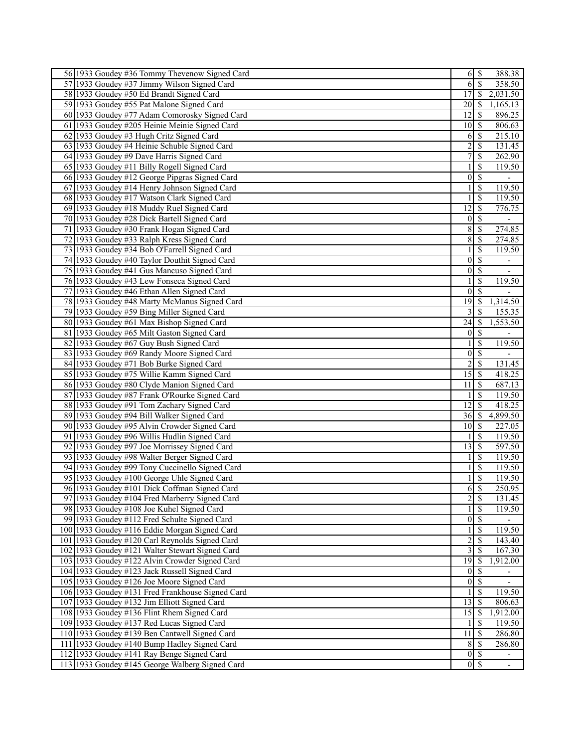| 56 1933 Goudey #36 Tommy Thevenow Signed Card    |                         | $6 \mid$ \$              | 388.38                      |
|--------------------------------------------------|-------------------------|--------------------------|-----------------------------|
| 57 1933 Goudey #37 Jimmy Wilson Signed Card      | 6                       | $\mathcal{S}$            | 358.50                      |
| 58 1933 Goudey #50 Ed Brandt Signed Card         | 17                      | $\overline{\mathcal{S}}$ | 2,031.50                    |
| 59 1933 Goudey #55 Pat Malone Signed Card        | 20                      | -\$                      | 1,165.13                    |
| 60 1933 Goudey #77 Adam Comorosky Signed Card    | 12                      | $\mathcal{S}$            | 896.25                      |
| 61 1933 Goudey #205 Heinie Meinie Signed Card    | 10 <sup>1</sup>         | $\sqrt{S}$               | 806.63                      |
| 62 1933 Goudey #3 Hugh Critz Signed Card         | 6                       | -\$                      | 215.10                      |
| 63 1933 Goudey #4 Heinie Schuble Signed Card     | $\overline{c}$          | $\mathcal{S}$            | 131.45                      |
| 64 1933 Goudey #9 Dave Harris Signed Card        | 7                       | \$                       | 262.90                      |
| 65 1933 Goudey #11 Billy Rogell Signed Card      |                         | \$                       | 119.50                      |
| 66 1933 Goudey #12 George Pipgras Signed Card    | $\mathbf{0}$            | $\overline{\mathcal{S}}$ |                             |
| 67 1933 Goudey #14 Henry Johnson Signed Card     |                         | $\mathcal{S}$            | 119.50                      |
| 68 1933 Goudey #17 Watson Clark Signed Card      |                         | $\overline{\mathcal{S}}$ | 119.50                      |
| 69 1933 Goudey #18 Muddy Ruel Signed Card        | 12                      | $\overline{\mathcal{S}}$ | 776.75                      |
| 70 1933 Goudey #28 Dick Bartell Signed Card      | $\mathbf{0}$            | $\overline{\mathcal{S}}$ | $\overline{\phantom{0}}$    |
| 71 1933 Goudey #30 Frank Hogan Signed Card       | 8                       | $\overline{\mathcal{S}}$ | 274.85                      |
| 72 1933 Goudey #33 Ralph Kress Signed Card       | $\overline{8}$          | $\mathcal{S}$            | 274.85                      |
| 73 1933 Goudey #34 Bob O'Farrell Signed Card     |                         | $\overline{\mathcal{S}}$ | 119.50                      |
| 74 1933 Goudey #40 Taylor Douthit Signed Card    | $\vert 0 \vert$         | $\overline{\mathcal{S}}$ | $\overline{\phantom{a}}$    |
| 75 1933 Goudey #41 Gus Mancuso Signed Card       | $\vert 0 \vert$         | $\overline{\mathcal{S}}$ |                             |
| 76 1933 Goudey #43 Lew Fonseca Signed Card       |                         | <sup>\$</sup>            | 119.50                      |
| 77 1933 Goudey #46 Ethan Allen Signed Card       | $\theta$                | $\overline{\mathcal{S}}$ |                             |
| 78 1933 Goudey #48 Marty McManus Signed Card     | $\overline{19}$         | -\$                      | 1,314.50                    |
| 79 1933 Goudey #59 Bing Miller Signed Card       |                         | $\overline{\mathcal{S}}$ | 155.35                      |
| 80 1933 Goudey #61 Max Bishop Signed Card        | 24                      | $\overline{\mathcal{S}}$ | 1,553.50                    |
| 81 1933 Goudey #65 Milt Gaston Signed Card       | $\vert 0 \vert$         | $\overline{\mathcal{S}}$ |                             |
| 82 1933 Goudey #67 Guy Bush Signed Card          |                         | \$                       | 119.50                      |
| 83 1933 Goudey #69 Randy Moore Signed Card       | $\theta$                | $\mathcal{S}$            |                             |
| 84 1933 Goudey #71 Bob Burke Signed Card         | $\overline{2}$          | $\mathcal{S}$            | 131.45                      |
| 85 1933 Goudey #75 Willie Kamm Signed Card       | $\overline{15}$         | $\mathbf s$              | 418.25                      |
| 86 1933 Goudey #80 Clyde Manion Signed Card      | 11                      | -\$                      | 687.13                      |
| 87 1933 Goudey #87 Frank O'Rourke Signed Card    |                         | $\overline{\mathcal{S}}$ | 119.50                      |
| 88 1933 Goudey #91 Tom Zachary Signed Card       | 12                      | <sup>\$</sup>            | 418.25                      |
| 89 1933 Goudey #94 Bill Walker Signed Card       | 36                      | $\sqrt{S}$               | 4,899.50                    |
| 90 1933 Goudey #95 Alvin Crowder Signed Card     | 10 <sup>°</sup>         | <sup>5</sup>             | 227.05                      |
| 91 1933 Goudey #96 Willis Hudlin Signed Card     |                         | $\mathcal{S}$            | 119.50                      |
| 92 1933 Goudey #97 Joe Morrissey Signed Card     | 13                      | $\sqrt{S}$               | 597.50                      |
| 93 1933 Goudey #98 Walter Berger Signed Card     |                         | -\$                      | 119.50                      |
| 94 1933 Goudey #99 Tony Cuccinello Signed Card   |                         | $\mathbf{\hat{s}}$       | 119.50                      |
| 95 1933 Goudey #100 George Uhle Signed Card      |                         | \$                       | 119.50                      |
| 96 1933 Goudey #101 Dick Coffman Signed Card     | 6                       | $\overline{\mathcal{S}}$ | 250.95                      |
| 97 1933 Goudey #104 Fred Marberry Signed Card    |                         | $2 \mid$ \$              | 131.45                      |
| 98 1933 Goudey #108 Joe Kuhel Signed Card        |                         | $\overline{\mathcal{S}}$ | 119.50                      |
| 99 1933 Goudey #112 Fred Schulte Signed Card     |                         | $\overline{0 S}$         | $\blacksquare$              |
| 100 1933 Goudey #116 Eddie Morgan Signed Card    |                         | <sup>\$</sup>            | 119.50                      |
| 101 1933 Goudey #120 Carl Reynolds Signed Card   | $\overline{c}$          | -S                       | 143.40                      |
| 102 1933 Goudey #121 Walter Stewart Signed Card  | $\overline{\mathbf{3}}$ | -S                       | 167.30                      |
| 103 1933 Goudey #122 Alvin Crowder Signed Card   | $\overline{19}$         | -\$                      | 1,912.00                    |
| 104 1933 Goudey #123 Jack Russell Signed Card    | $\boldsymbol{0}$        | $\overline{\mathcal{S}}$ |                             |
| 105 1933 Goudey #126 Joe Moore Signed Card       | $\overline{0}$          | $\overline{\mathbf{s}}$  | $\mathcal{L}^{\mathcal{A}}$ |
| 106 1933 Goudey #131 Fred Frankhouse Signed Card |                         | $\overline{\mathcal{S}}$ | 119.50                      |
| 107 1933 Goudey #132 Jim Elliott Signed Card     | 13                      | $\mathcal{S}$            | 806.63                      |
| 108 1933 Goudey #136 Flint Rhem Signed Card      | 15                      | ∣\$.                     | 1,912.00                    |
| 109 1933 Goudey #137 Red Lucas Signed Card       |                         | $\mathcal{S}$            | 119.50                      |
| 110 1933 Goudey #139 Ben Cantwell Signed Card    | 11                      | -\$                      | 286.80                      |
| 111 1933 Goudey #140 Bump Hadley Signed Card     | $8\,$                   | $\mathbf{s}$             | 286.80                      |
| 112 1933 Goudey #141 Ray Benge Signed Card       | $\overline{0}$          | $\sqrt{S}$               | $\overline{\phantom{a}}$    |
| 113 1933 Goudey #145 George Walberg Signed Card  |                         | $0 \mid$ \$              |                             |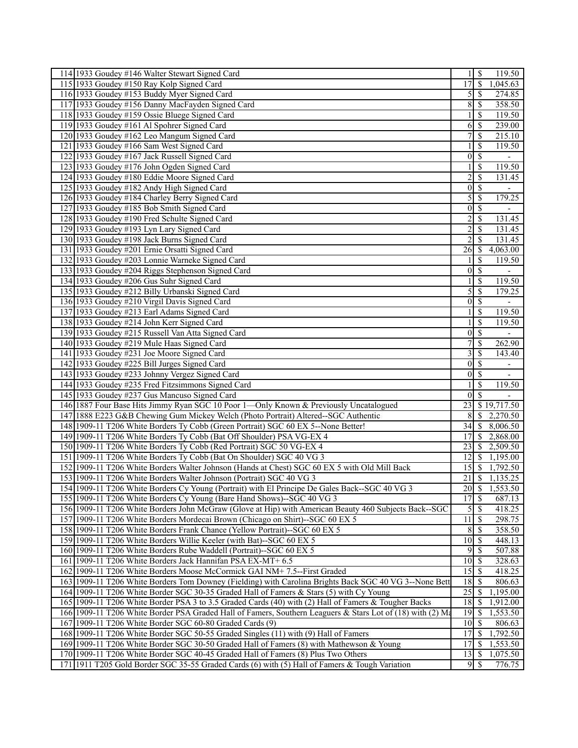| 114 1933 Goudey #146 Walter Stewart Signed Card                                                                                                                               |                         | $1 \mid S$<br>119.50                       |
|-------------------------------------------------------------------------------------------------------------------------------------------------------------------------------|-------------------------|--------------------------------------------|
| 115 1933 Goudey #150 Ray Kolp Signed Card                                                                                                                                     | 17                      | $\mathcal{S}$<br>1,045.63                  |
| 116 1933 Goudey #153 Buddy Myer Signed Card                                                                                                                                   | 5                       | -S<br>274.85                               |
| 117 1933 Goudey #156 Danny MacFayden Signed Card                                                                                                                              | 8                       | 358.50<br>$\mathcal{S}$                    |
| 118 1933 Goudey #159 Ossie Bluege Signed Card                                                                                                                                 |                         | 119.50<br>\$                               |
| 119 1933 Goudey #161 Al Spohrer Signed Card                                                                                                                                   | 6                       | 239.00<br>- \$                             |
| 120 1933 Goudey #162 Leo Mangum Signed Card                                                                                                                                   | 7                       | $\mathcal{S}$<br>215.10                    |
| 121 1933 Goudey #166 Sam West Signed Card                                                                                                                                     |                         | 119.50<br><sup>\$</sup>                    |
| 122 1933 Goudey #167 Jack Russell Signed Card                                                                                                                                 | $\boldsymbol{0}$        | $\overline{\mathcal{S}}$<br>$\blacksquare$ |
| 123 1933 Goudey #176 John Ogden Signed Card                                                                                                                                   |                         | <sup>\$</sup><br>119.50                    |
| 124 1933 Goudey #180 Eddie Moore Signed Card                                                                                                                                  | $\overline{c}$          | \$<br>131.45                               |
| 125 1933 Goudey #182 Andy High Signed Card                                                                                                                                    | $\vert 0 \vert$         | -\$                                        |
|                                                                                                                                                                               | 5                       | 179.25<br>$\mathcal{S}$                    |
| 126 1933 Goudey #184 Charley Berry Signed Card                                                                                                                                |                         |                                            |
| 127 1933 Goudey #185 Bob Smith Signed Card                                                                                                                                    | $\vert 0 \vert$         | $\overline{\mathcal{S}}$                   |
| 128 1933 Goudey #190 Fred Schulte Signed Card                                                                                                                                 | $\overline{c}$          | <sup>\$</sup><br>131.45                    |
| 129 1933 Goudey #193 Lyn Lary Signed Card                                                                                                                                     | 2                       | \$<br>131.45                               |
| 130 1933 Goudey #198 Jack Burns Signed Card                                                                                                                                   | $\overline{2}$          | <sup>\$</sup><br>131.45                    |
| 131 1933 Goudey #201 Ernie Orsatti Signed Card                                                                                                                                | 26                      | - \$<br>4,063.00                           |
| 132 1933 Goudey #203 Lonnie Warneke Signed Card                                                                                                                               |                         | <sup>\$</sup><br>119.50                    |
| 133 1933 Goudey #204 Riggs Stephenson Signed Card                                                                                                                             | $\mathbf{0}$            | $\overline{\mathcal{S}}$                   |
| 134 1933 Goudey #206 Gus Suhr Signed Card                                                                                                                                     |                         | <sup>\$</sup><br>119.50                    |
| 135 1933 Goudey #212 Billy Urbanski Signed Card                                                                                                                               | 5                       | \$<br>179.25                               |
| 136 1933 Goudey #210 Virgil Davis Signed Card                                                                                                                                 | $\vert 0 \vert$         | $\overline{\mathcal{S}}$                   |
| 137 1933 Goudey #213 Earl Adams Signed Card                                                                                                                                   |                         | \$<br>119.50                               |
| 138 1933 Goudey #214 John Kerr Signed Card                                                                                                                                    |                         | \$<br>119.50                               |
| 139 1933 Goudey #215 Russell Van Atta Signed Card                                                                                                                             | $\boldsymbol{0}$        | $\overline{\mathcal{S}}$                   |
| 140 1933 Goudey #219 Mule Haas Signed Card                                                                                                                                    |                         | 262.90<br>\$                               |
| 141 1933 Goudey #231 Joe Moore Signed Card                                                                                                                                    | 3                       | <sup>\$</sup><br>143.40                    |
| 142 1933 Goudey #225 Bill Jurges Signed Card                                                                                                                                  | $\vert 0 \vert$         | $\mathcal{S}$<br>÷                         |
| 143 1933 Goudey #233 Johnny Vergez Signed Card                                                                                                                                | $\vert 0 \vert$         | $\overline{\mathcal{S}}$                   |
| 144 1933 Goudey #235 Fred Fitzsimmons Signed Card                                                                                                                             |                         | <sup>\$</sup><br>119.50                    |
| 145 1933 Goudey #237 Gus Mancuso Signed Card                                                                                                                                  | $\overline{0}$          | $\overline{\mathcal{S}}$                   |
| 146 1887 Four Base Hits Jimmy Ryan SGC 10 Poor 1—Only Known & Previously Uncatalogued                                                                                         | 23                      | \$19,717.50                                |
| 147 1888 E223 G&B Chewing Gum Mickey Welch (Photo Portrait) Altered-SGC Authentic                                                                                             | 8                       | <sup>\$</sup><br>2,270.50                  |
| 148 1909-11 T206 White Borders Ty Cobb (Green Portrait) SGC 60 EX 5--None Better!                                                                                             | 34                      | $\sqrt{S}$<br>8,006.50                     |
| 149 1909-11 T206 White Borders Ty Cobb (Bat Off Shoulder) PSA VG-EX 4                                                                                                         | 17                      | -S<br>2,868.00                             |
| 150 1909-11 T206 White Borders Ty Cobb (Red Portrait) SGC 50 VG-EX 4                                                                                                          | 23                      | 2,509.50<br>- \$                           |
| 151 1909-11 T206 White Borders Ty Cobb (Bat On Shoulder) SGC 40 VG 3                                                                                                          | 12                      | -\$<br>1,195.00                            |
| 152 1909-11 T206 White Borders Walter Johnson (Hands at Chest) SGC 60 EX 5 with Old Mill Back                                                                                 | 15                      | $\sqrt{S}$<br>1,792.50                     |
| 153 1909-11 T206 White Borders Walter Johnson (Portrait) SGC 40 VG 3                                                                                                          | 21                      | -\$<br>1,135.25                            |
| 154 1909-11 T206 White Borders Cy Young (Portrait) with El Principe De Gales Back--SGC 40 VG 3                                                                                | $\overline{20\sqrt{5}}$ | 1,553.50                                   |
| 155 1909-11 T206 White Borders Cy Young (Bare Hand Shows)--SGC 40 VG 3                                                                                                        | $17$ \$                 | 687.13                                     |
| 156 1909-11 T206 White Borders John McGraw (Glove at Hip) with American Beauty 460 Subjects Back--SGC                                                                         | 5                       | $\overline{\mathcal{S}}$<br>418.25         |
| 157 1909-11 T206 White Borders Mordecai Brown (Chicago on Shirt)--SGC 60 EX 5                                                                                                 | 11                      | 298.75<br>  \$                             |
| 158 1909-11 T206 White Borders Frank Chance (Yellow Portrait)--SGC 60 EX 5                                                                                                    | 8                       | 358.50<br>-\$                              |
| 159 1909-11 T206 White Borders Willie Keeler (with Bat)--SGC 60 EX 5                                                                                                          | 10                      | 448.13<br>-S                               |
| 160 1909-11 T206 White Borders Rube Waddell (Portrait)--SGC 60 EX 5                                                                                                           | 9                       | 507.88<br>-S                               |
| 161 1909-11 T206 White Borders Jack Hannifan PSA EX-MT+ 6.5                                                                                                                   | 10                      | 328.63<br>  S                              |
| 162 1909-11 T206 White Borders Moose McCormick GAI NM+7.5--First Graded                                                                                                       | 15                      | 418.25<br>- \$                             |
| 163 1909-11 T206 White Borders Tom Downey (Fielding) with Carolina Brights Back SGC 40 VG 3--None Bett                                                                        | 18                      | 806.63<br>- \$                             |
| 164 1909-11 T206 White Border SGC 30-35 Graded Hall of Famers & Stars (5) with Cy Young                                                                                       | 25                      | 1,195.00<br>-\$                            |
| 165 1909-11 T206 White Border PSA 3 to 3.5 Graded Cards (40) with (2) Hall of Famers & Tougher Backs                                                                          | 18                      | 1,912.00<br>- S                            |
| 166 1909-11 T206 White Border PSA Graded Hall of Famers, Southern Leaguers & Stars Lot of (18) with (2) Ma                                                                    | 19                      | - \$<br>1,553.50                           |
| 167 1909-11 T206 White Border SGC 60-80 Graded Cards (9)                                                                                                                      | 10                      | - \$<br>806.63                             |
|                                                                                                                                                                               |                         |                                            |
|                                                                                                                                                                               |                         |                                            |
| 168 1909-11 T206 White Border SGC 50-55 Graded Singles (11) with (9) Hall of Famers                                                                                           | 17                      | 1,792.50<br>-S                             |
| 169 1909-11 T206 White Border SGC 30-50 Graded Hall of Famers (8) with Mathewson & Young<br>170 1909-11 T206 White Border SGC 40-45 Graded Hall of Famers (8) Plus Two Others | 17<br>13                | 1,553.50<br>-S<br>1,075.50<br>  \$         |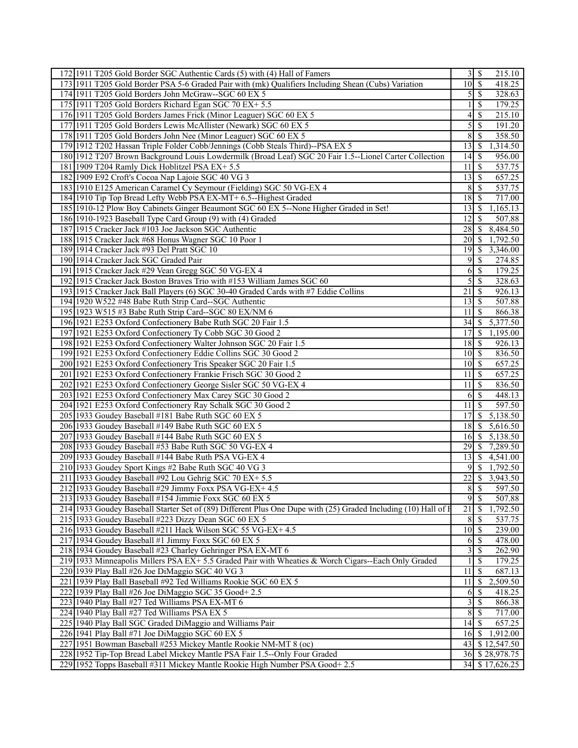| 172 1911 T205 Gold Border SGC Authentic Cards (5) with (4) Hall of Famers                                      |                    |               | 215.10              |
|----------------------------------------------------------------------------------------------------------------|--------------------|---------------|---------------------|
| 173 1911 T205 Gold Border PSA 5-6 Graded Pair with (mk) Qualifiers Including Shean (Cubs) Variation            | $\overline{10}$ \$ |               | 418.25              |
| 174 1911 T205 Gold Borders John McGraw--SGC 60 EX 5                                                            | $\mathfrak{S}$     | l \$          | 328.63              |
| 175 1911 T205 Gold Borders Richard Egan SGC 70 EX+5.5                                                          |                    | \$            | 179.25              |
| 176 1911 T205 Gold Borders James Frick (Minor Leaguer) SGC 60 EX 5                                             | 4                  | \$            | 215.10              |
| 177 1911 T205 Gold Borders Lewis McAllister (Newark) SGC 60 EX 5                                               | 5                  | -\$           | 191.20              |
| 178 1911 T205 Gold Borders John Nee (Minor Leaguer) SGC 60 EX 5                                                | 8                  | <sup>\$</sup> | 358.50              |
|                                                                                                                |                    |               |                     |
| 179 1912 T202 Hassan Triple Folder Cobb/Jennings (Cobb Steals Third)--PSA EX 5                                 |                    |               | 1,314.50            |
| 180 1912 T207 Brown Background Louis Lowdermilk (Broad Leaf) SGC 20 Fair 1.5--Lionel Carter Collection         | 14                 | - \$          | 956.00              |
| 181 1909 T204 Ramly Dick Hoblitzel PSA EX+ 5.5                                                                 | 11                 | \$            | 537.75              |
| 182 1909 E92 Croft's Cocoa Nap Lajoie SGC 40 VG 3                                                              | 13                 | -\$           | 657.25              |
| 183 1910 E125 American Caramel Cy Seymour (Fielding) SGC 50 VG-EX 4                                            | 8                  | -\$           | 537.75              |
| 184 1910 Tip Top Bread Lefty Webb PSA EX-MT+ 6.5--Highest Graded                                               | $18$ $\sqrt{5}$    |               | 717.00              |
| 185 1910-12 Plow Boy Cabinets Ginger Beaumont SGC 60 EX 5--None Higher Graded in Set!                          |                    |               | 1,165.13            |
| 186 1910-1923 Baseball Type Card Group (9) with (4) Graded                                                     | 12                 | S             | 507.88              |
| 187 1915 Cracker Jack #103 Joe Jackson SGC Authentic                                                           | 28                 | S             | 8,484.50            |
| 188 1915 Cracker Jack #68 Honus Wagner SGC 10 Poor 1                                                           | $\overline{20}$ \$ |               | 1,792.50            |
|                                                                                                                | 19                 | - \$          |                     |
| 189 1914 Cracker Jack #93 Del Pratt SGC 10                                                                     |                    |               | 3,346.00            |
| 190 1914 Cracker Jack SGC Graded Pair                                                                          | 9                  | -S            | 274.85              |
| 191 1915 Cracker Jack #29 Vean Gregg SGC 50 VG-EX 4                                                            | 6                  | $\mathsf{S}$  | 179.25              |
| 192 1915 Cracker Jack Boston Braves Trio with #153 William James SGC 60                                        | 5                  | -\$           | 328.63              |
| 193 1915 Cracker Jack Ball Players (6) SGC 30-40 Graded Cards with #7 Eddie Collins                            | 21                 | \$            | 926.13              |
| 194 1920 W522 #48 Babe Ruth Strip Card--SGC Authentic                                                          | 13                 | 8             | 507.88              |
| 195 1923 W515 #3 Babe Ruth Strip Card--SGC 80 EX/NM 6                                                          | 11                 | -\$           | 866.38              |
| 196 1921 E253 Oxford Confectionery Babe Ruth SGC 20 Fair 1.5                                                   | 34                 | -S            | 5,377.50            |
| 197 1921 E253 Oxford Confectionery Ty Cobb SGC 30 Good 2                                                       | 17                 | S             | 1,195.00            |
| 198 1921 E253 Oxford Confectionery Walter Johnson SGC 20 Fair 1.5                                              | $18$ $\sqrt{5}$    |               | $\overline{9}26.13$ |
| 199 1921 E253 Oxford Confectionery Eddie Collins SGC 30 Good 2                                                 | 10 <sup>1</sup>    | \$            | 836.50              |
|                                                                                                                | $10 \mid S$        |               | $\overline{657.25}$ |
| 200 1921 E253 Oxford Confectionery Tris Speaker SGC 20 Fair 1.5                                                |                    |               |                     |
| 201 1921 E253 Oxford Confectionery Frankie Frisch SGC 30 Good 2                                                | 11                 | -\$           | 657.25              |
| 202 1921 E253 Oxford Confectionery George Sisler SGC 50 VG-EX 4                                                | 11                 | -\$           | 836.50              |
| 203 1921 E253 Oxford Confectionery Max Carey SGC 30 Good 2                                                     | 6                  | <sup>5</sup>  | 448.13              |
| 204 1921 E253 Oxford Confectionery Ray Schalk SGC 30 Good 2                                                    | 11                 | $\mathbf{\$}$ | 597.50              |
| 205 1933 Goudey Baseball #181 Babe Ruth SGC 60 EX 5                                                            | 17                 | -S            | 5,138.50            |
| 206 1933 Goudey Baseball #149 Babe Ruth SGC 60 EX 5                                                            | 18                 | \$            | 5,616.50            |
| 207 1933 Goudey Baseball #144 Babe Ruth SGC 60 EX 5                                                            | 16                 | - \$          | 5,138.50            |
| 208 1933 Goudey Baseball #53 Babe Ruth SGC 50 VG-EX 4                                                          | 29                 | -S            | 7,289.50            |
| 209 1933 Goudey Baseball #144 Babe Ruth PSA VG-EX 4                                                            | 131S               |               | 4,541.00            |
| 210 1933 Goudey Sport Kings #2 Babe Ruth SGC 40 VG 3                                                           | 9                  | -\$           | 1,792.50            |
| 211 1933 Goudey Baseball #92 Lou Gehrig SGC 70 EX+ 5.5                                                         | 22                 | <sup>\$</sup> | 3,943.50            |
|                                                                                                                |                    |               |                     |
| 212 1933 Goudey Baseball #29 Jimmy Foxx PSA VG-EX+ 4.5                                                         |                    | 8S            | 597.50              |
| 213 1933 Goudey Baseball #154 Jimmie Foxx SGC 60 EX 5                                                          |                    | 9S            | 507.88              |
| 214 1933 Goudey Baseball Starter Set of (89) Different Plus One Dupe with (25) Graded Including (10) Hall of F | $\overline{21}$    | \$            | 1,792.50            |
| 215 1933 Goudey Baseball #223 Dizzy Dean SGC 60 EX 5                                                           | 8                  | l \$          | 537.75              |
| 216 1933 Goudey Baseball #211 Hack Wilson SGC 55 VG-EX+ 4.5                                                    | $10 \mid S$        |               | 239.00              |
| 217 1934 Goudey Baseball #1 Jimmy Foxx SGC 60 EX 5                                                             | 6                  | S             | 478.00              |
| 218 1934 Goudey Baseball #23 Charley Gehringer PSA EX-MT 6                                                     | 3                  | -S            | 262.90              |
| 219 1933 Minneapolis Millers PSA EX+ 5.5 Graded Pair with Wheaties & Worch Cigars--Each Only Graded            |                    | <sup>\$</sup> | 179.25              |
| 220 1939 Play Ball #26 Joe DiMaggio SGC 40 VG 3                                                                | 11                 | -S            | 687.13              |
| 221 1939 Play Ball Baseball #92 Ted Williams Rookie SGC 60 EX 5                                                | 11                 | <sup>\$</sup> | 2,509.50            |
| 222 1939 Play Ball #26 Joe DiMaggio SGC 35 Good+2.5                                                            | 6                  | \$            | 418.25              |
|                                                                                                                |                    |               |                     |
| 223 1940 Play Ball #27 Ted Williams PSA EX-MT 6                                                                | $\overline{3}$     | -\$           | 866.38              |
| 224 1940 Play Ball #27 Ted Williams PSA EX 5                                                                   | $\bf 8$            | S             | 717.00              |
| 225 1940 Play Ball SGC Graded DiMaggio and Williams Pair                                                       | $14$ $\sqrt{5}$    |               | 657.25              |
| 226 1941 Play Ball #71 Joe DiMaggio SGC 60 EX 5                                                                | $16$ $\sqrt{ }$    |               | 1,912.00            |
| 227 1951 Bowman Baseball #253 Mickey Mantle Rookie NM-MT 8 (oc)                                                |                    |               | 43 \$12,547.50      |
| 228 1952 Tip-Top Bread Label Mickey Mantle PSA Fair 1.5--Only Four Graded                                      |                    |               | 36 \$28,978.75      |
| 229 1952 Topps Baseball #311 Mickey Mantle Rookie High Number PSA Good+ 2.5                                    |                    |               | 34 \$17,626.25      |
|                                                                                                                |                    |               |                     |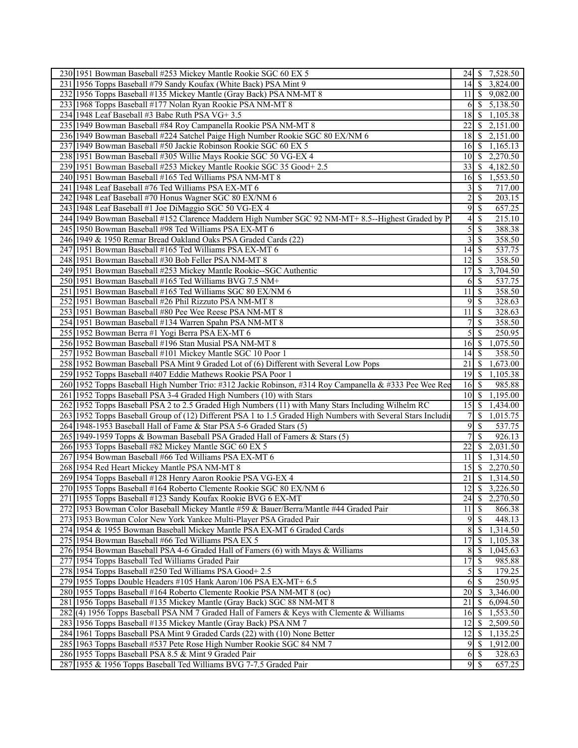| 230 1951 Bowman Baseball #253 Mickey Mantle Rookie SGC 60 EX 5                                                | 24   \$             |               | 7,528.50               |
|---------------------------------------------------------------------------------------------------------------|---------------------|---------------|------------------------|
| 231 1956 Topps Baseball #79 Sandy Koufax (White Back) PSA Mint 9                                              | $\overline{14}$ \$  |               | 3,824.00               |
| 232 1956 Topps Baseball #135 Mickey Mantle (Gray Back) PSA NM-MT 8                                            |                     |               | $11 \mid $ \$ 9,082.00 |
| 233 1968 Topps Baseball #177 Nolan Ryan Rookie PSA NM-MT 8                                                    | 6                   | $\mathcal{S}$ | 5,138.50               |
| 234 1948 Leaf Baseball #3 Babe Ruth PSA VG+ 3.5                                                               | 18                  | <sup>8</sup>  | 1,105.38               |
| 235 1949 Bowman Baseball #84 Roy Campanella Rookie PSA NM-MT 8                                                | 22                  | -S            | 2,151.00               |
| 236 1949 Bowman Baseball #224 Satchel Paige High Number Rookie SGC 80 EX/NM 6                                 | 18                  | - \$          | 2,151.00               |
| 237 1949 Bowman Baseball #50 Jackie Robinson Rookie SGC 60 EX 5                                               | $16 \mid S$         |               | 1,165.13               |
| 238 1951 Bowman Baseball #305 Willie Mays Rookie SGC 50 VG-EX 4                                               | $10\vert S$         |               | 2,270.50               |
| 239 1951 Bowman Baseball #253 Mickey Mantle Rookie SGC 35 Good+ 2.5                                           | $33$ $\sqrt{5}$     |               | 4,182.50               |
| 240 1951 Bowman Baseball #165 Ted Williams PSA NM-MT 8                                                        | $16 \mid$ \$        |               | 1,553.50               |
| 241 1948 Leaf Baseball #76 Ted Williams PSA EX-MT 6                                                           | 3                   | -S            | 717.00                 |
| 242 1948 Leaf Baseball #70 Honus Wagner SGC 80 EX/NM 6                                                        | 2                   | -S            | 203.15                 |
| 243 1948 Leaf Baseball #1 Joe DiMaggio SGC 50 VG-EX 4                                                         | 9                   | -\$           | 657.25                 |
| 244 1949 Bowman Baseball #152 Clarence Maddern High Number SGC 92 NM-MT+ 8.5--Highest Graded by P             | 4                   | -\$           | 215.10                 |
| 245 1950 Bowman Baseball #98 Ted Williams PSA EX-MT 6                                                         | 5                   | -S            | 388.38                 |
| 246 1949 & 1950 Remar Bread Oakland Oaks PSA Graded Cards (22)                                                | 3                   | \$            | 358.50                 |
| 247 1951 Bowman Baseball #165 Ted Williams PSA EX-MT 6                                                        | 14                  | \$            | 537.75                 |
| 248 1951 Bowman Baseball #30 Bob Feller PSA NM-MT 8                                                           | 12                  | -\$           | 358.50                 |
| 249 1951 Bowman Baseball #253 Mickey Mantle Rookie--SGC Authentic                                             | 17                  | -S            | 3,704.50               |
| 250 1951 Bowman Baseball #165 Ted Williams BVG 7.5 NM+                                                        | 6                   | - \$          | 537.75                 |
| 251 1951 Bowman Baseball #165 Ted Williams SGC 80 EX/NM 6                                                     | 11                  | -S            | 358.50                 |
| 252 1951 Bowman Baseball #26 Phil Rizzuto PSA NM-MT 8                                                         | 9                   | -S            | 328.63                 |
| 253 1951 Bowman Baseball #80 Pee Wee Reese PSA NM-MT 8                                                        | 11                  | 8             | 328.63                 |
| 254 1951 Bowman Baseball #134 Warren Spahn PSA NM-MT 8                                                        | 7                   | -S            | 358.50                 |
| 255 1952 Bowman Berra #1 Yogi Berra PSA EX-MT 6                                                               | 5                   | <sup>\$</sup> | 250.95                 |
| 256 1952 Bowman Baseball #196 Stan Musial PSA NM-MT 8                                                         | $16$ $\sqrt{ }$     |               | 1,075.50               |
| 257 1952 Bowman Baseball #101 Mickey Mantle SGC 10 Poor 1                                                     | 14                  | S             | 358.50                 |
| 258 1952 Bowman Baseball PSA Mint 9 Graded Lot of (6) Different with Several Low Pops                         | 21                  | -S            | 1,673.00               |
| 259 1952 Topps Baseball #407 Eddie Mathews Rookie PSA Poor 1                                                  | $19$ $\sqrt{5}$     |               | 1,105.38               |
| 260 1952 Topps Baseball High Number Trio: #312 Jackie Robinson, #314 Roy Campanella & #333 Pee Wee Ree        | 16                  | l \$          | 985.88                 |
| 261 1952 Topps Baseball PSA 3-4 Graded High Numbers (10) with Stars                                           | 101S                |               | 1,195.00               |
| 262 1952 Topps Baseball PSA 2 to 2.5 Graded High Numbers (11) with Many Stars Including Wilhelm RC            | $15$ $\sqrt{5}$     |               | $\overline{1,434.00}$  |
| 263 1952 Topps Baseball Group of (12) Different PSA 1 to 1.5 Graded High Numbers with Several Stars Including | 7                   | $\mathcal{S}$ | 1,015.75               |
| 264 1948-1953 Baseball Hall of Fame & Star PSA 5-6 Graded Stars (5)                                           | 9                   | -S            | 537.75                 |
| 265 1949-1959 Topps & Bowman Baseball PSA Graded Hall of Famers & Stars (5)                                   | 7                   | $\mathcal{S}$ | 926.13                 |
| 266 1953 Topps Baseball #82 Mickey Mantle SGC 60 EX 5                                                         | 22                  | -S            | 2,031.50               |
| 267 1954 Bowman Baseball #66 Ted Williams PSA EX-MT 6                                                         | 11                  | -S            | 1,314.50               |
| 268 1954 Red Heart Mickey Mantle PSA NM-MT 8                                                                  | 15                  | $\sqrt{S}$    | 2,270.50               |
| 269 1954 Topps Baseball #128 Henry Aaron Rookie PSA VG-EX 4                                                   | $\overline{21}$ \$  |               | 1,314.50               |
| 270 1955 Topps Baseball #164 Roberto Clemente Rookie SGC 80 EX/NM 6                                           | 12                  | $\sqrt{S}$    | 3,226.50               |
| 271 1955 Topps Baseball #123 Sandy Koufax Rookie BVG 6 EX-MT                                                  | 24                  | -\$           | 2,270.50               |
| 272 1953 Bowman Color Baseball Mickey Mantle #59 & Bauer/Berra/Mantle #44 Graded Pair                         | 11                  | $\mathbb{S}$  | 866.38                 |
| 273 1953 Bowman Color New York Yankee Multi-Player PSA Graded Pair                                            | $9 \mid \text{\$\}$ |               | 448.13                 |
| 274 1954 & 1955 Bowman Baseball Mickey Mantle PSA EX-MT 6 Graded Cards                                        | 8                   | $\mathcal{S}$ | 1,314.50               |
| 275 1954 Bowman Baseball #66 Ted Williams PSA EX 5                                                            | 17                  | -S            | 1,105.38               |
| 276 1954 Bowman Baseball PSA 4-6 Graded Hall of Famers (6) with Mays & Williams                               | 8                   | \$            | 1,045.63               |
| 277 1954 Topps Baseball Ted Williams Graded Pair                                                              | 17                  | $\mathcal{S}$ | 985.88                 |
| 278 1954 Topps Baseball #250 Ted Williams PSA Good+ 2.5                                                       | $\mathfrak{S}$      | - S           | 179.25                 |
| 279 1955 Topps Double Headers #105 Hank Aaron/106 PSA EX-MT+ 6.5                                              | 6                   | $\sqrt{S}$    | 250.95                 |
| 280 1955 Topps Baseball #164 Roberto Clemente Rookie PSA NM-MT 8 (oc)                                         | 20                  | $\mathcal{S}$ | 3,346.00               |
| 281 1956 Topps Baseball #135 Mickey Mantle (Gray Back) SGC 88 NM-MT 8                                         | 21                  | -S            | 6,094.50               |
| 282(4) 1956 Topps Baseball PSA NM 7 Graded Hall of Famers & Keys with Clemente & Williams                     | 16                  | <b>S</b>      | 1,553.50               |
| 283 1956 Topps Baseball #135 Mickey Mantle (Gray Back) PSA NM 7                                               | 12                  | -S            | 2,509.50               |
| 284 1961 Topps Baseball PSA Mint 9 Graded Cards (22) with (10) None Better                                    | 12                  | -\$           | 1,135.25               |
| 285 1963 Topps Baseball #537 Pete Rose High Number Rookie SGC 84 NM 7                                         |                     |               | 1,912.00               |
| 286 1955 Topps Baseball PSA 8.5 & Mint 9 Graded Pair                                                          | $6\sqrt{3}$         |               | 328.63                 |
| 287 1955 & 1956 Topps Baseball Ted Williams BVG 7-7.5 Graded Pair                                             |                     |               | 657.25                 |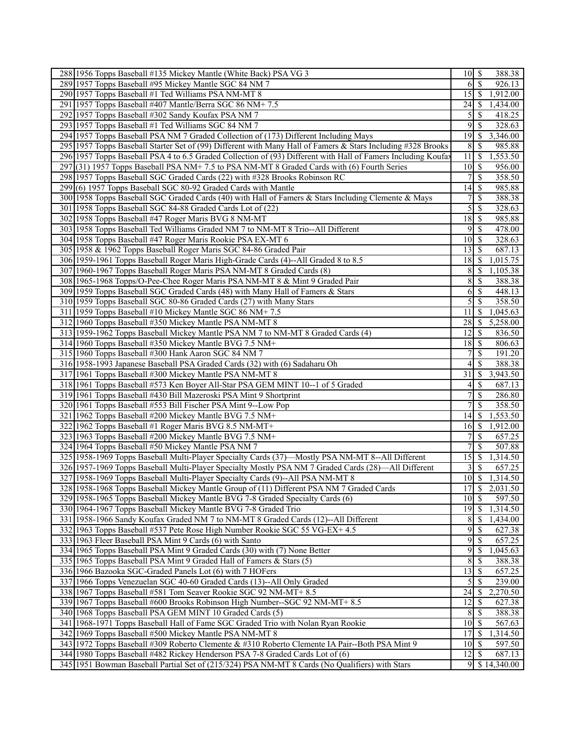|     | 288 1956 Topps Baseball #135 Mickey Mantle (White Back) PSA VG 3                                              |                    |                          | 388.38           |
|-----|---------------------------------------------------------------------------------------------------------------|--------------------|--------------------------|------------------|
|     | 289 1957 Topps Baseball #95 Mickey Mantle SGC 84 NM 7                                                         | 6                  | $\overline{\mathcal{S}}$ | 926.13           |
|     | 290 1957 Topps Baseball #1 Ted Williams PSA NM-MT 8                                                           | 15                 | $\sqrt{S}$               | 1,912.00         |
|     | 291 1957 Topps Baseball #407 Mantle/Berra SGC 86 NM+7.5                                                       | 24                 | ∣\$                      | 1,434.00         |
|     | 292 1957 Topps Baseball #302 Sandy Koufax PSA NM 7                                                            | 5                  | -S                       | 418.25           |
|     | 293 1957 Topps Baseball #1 Ted Williams SGC 84 NM 7                                                           | 9                  | - \$                     | 328.63           |
|     | 294 1957 Topps Baseball PSA NM 7 Graded Collection of (173) Different Including Mays                          | 19                 | -S                       | 3,346.00         |
|     | 295 1957 Topps Baseball Starter Set of (99) Different with Many Hall of Famers & Stars Including #328 Brooks  | 8                  | -\$                      | 985.88           |
|     | 296 1957 Topps Baseball PSA 4 to 6.5 Graded Collection of (93) Different with Hall of Famers Including Koufay | 11                 | <sup>5</sup>             | 1,553.50         |
| 297 | $(31)$ 1957 Topps Baseball PSA NM+ 7.5 to PSA NM-MT 8 Graded Cards with (6) Fourth Series                     | 10                 | 8                        | 956.00           |
|     | 298 1957 Topps Baseball SGC Graded Cards (22) with #328 Brooks Robinson RC                                    | 7                  | $\mathbb{S}$             | 358.50           |
|     | 299(6) 1957 Topps Baseball SGC 80-92 Graded Cards with Mantle                                                 | 14                 | -\$                      | 985.88           |
|     | 300 1958 Topps Baseball SGC Graded Cards (40) with Hall of Famers & Stars Including Clemente & Mays           | 7                  | $\mathcal{S}$            | 388.38           |
|     | 301 1958 Topps Baseball SGC 84-88 Graded Cards Lot of (22)                                                    | 5                  | $\mathcal{S}$            | 328.63           |
|     | 302 1958 Topps Baseball #47 Roger Maris BVG 8 NM-MT                                                           | 18                 | 8                        | 985.88           |
|     | 303 1958 Topps Baseball Ted Williams Graded NM 7 to NM-MT 8 Trio--All Different                               | 9                  | -\$                      | 478.00           |
|     | 304 1958 Topps Baseball #47 Roger Maris Rookie PSA EX-MT 6                                                    | 10                 | -S                       | 328.63           |
|     | 305 1958 & 1962 Topps Baseball Roger Maris SGC 84-86 Graded Pair                                              | 13                 | -S                       | 687.13           |
|     | 306 1959-1961 Topps Baseball Roger Maris High-Grade Cards (4)--All Graded 8 to 8.5                            | 18                 | -S                       | 1,015.75         |
|     | 307 1960-1967 Topps Baseball Roger Maris PSA NM-MT 8 Graded Cards (8)                                         | 8                  | -S                       | 1,105.38         |
|     | 308 1965-1968 Topps/O-Pee-Chee Roger Maris PSA NM-MT 8 & Mint 9 Graded Pair                                   | 8                  | -S                       | 388.38           |
|     | 309 1959 Topps Baseball SGC Graded Cards (48) with Many Hall of Famers & Stars                                | 6                  | $\mathbb{S}$             | 448.13           |
|     | 310 1959 Topps Baseball SGC 80-86 Graded Cards (27) with Many Stars                                           | 5                  | $\mathbb{S}$             | 358.50           |
|     | 311 1959 Topps Baseball #10 Mickey Mantle SGC 86 NM+7.5                                                       | 11                 | - S                      | 1,045.63         |
|     | 312 1960 Topps Baseball #350 Mickey Mantle PSA NM-MT 8                                                        | 28                 | -S                       | 5,258.00         |
|     | 313 1959-1962 Topps Baseball Mickey Mantle PSA NM 7 to NM-MT 8 Graded Cards (4)                               | 12                 | -S                       | 836.50           |
|     | 314 1960 Topps Baseball #350 Mickey Mantle BVG 7.5 NM+                                                        | 18                 | 8                        | 806.63           |
|     | 315 1960 Topps Baseball #300 Hank Aaron SGC 84 NM 7                                                           |                    | $\mathbb{S}$             | 191.20           |
|     | 316 1958-1993 Japanese Baseball PSA Graded Cards (32) with (6) Sadaharu Oh                                    | 4                  | <sup>\$</sup>            | 388.38           |
|     | 317 1961 Topps Baseball #300 Mickey Mantle PSA NM-MT 8                                                        | 31                 | -S                       | 3,943.50         |
|     | 318 1961 Topps Baseball #573 Ken Boyer All-Star PSA GEM MINT 10--1 of 5 Graded                                | 4                  | -\$                      | 687.13           |
|     | 319 1961 Topps Baseball #430 Bill Mazeroski PSA Mint 9 Shortprint                                             | 7                  | $\mathbb{S}$             | 286.80           |
|     | 320 1961 Topps Baseball #553 Bill Fischer PSA Mint 9--Low Pop                                                 | 7                  | <sup>\$</sup>            | 358.50           |
|     | 321 1962 Topps Baseball #200 Mickey Mantle BVG 7.5 NM+                                                        | 14                 | l \$                     | 1,553.50         |
|     | 322 1962 Topps Baseball #1 Roger Maris BVG 8.5 NM-MT+                                                         | 16                 | ∣\$.                     | 1,912.00         |
|     | 323 1963 Topps Baseball #200 Mickey Mantle BVG 7.5 NM+                                                        | 7                  | -S                       | 657.25           |
|     | 324 1964 Topps Baseball #50 Mickey Mantle PSA NM 7                                                            | 7                  | \$                       | 507.88           |
|     | 325 1958-1969 Topps Baseball Multi-Player Specialty Cards (37)—Mostly PSA NM-MT 8--All Different              | 15                 | $\sqrt{S}$               | 1,314.50         |
|     | 326 1957-1969 Topps Baseball Multi-Player Specialty Mostly PSA NM 7 Graded Cards (28)—All Different           | 3                  | -\$                      | 657.25           |
|     | 327 1958-1969 Topps Baseball Multi-Player Specialty Cards (9)--All PSA NM-MT 8                                | $\overline{10}$ \$ |                          | 1,314.50         |
|     | 328   1958-1968 Topps Baseball Mickey Mantle Group of (11) Different PSA NM 7 Graded Cards                    | 17                 | $\sqrt{S}$               | 2,031.50         |
|     | 329 1958-1965 Topps Baseball Mickey Mantle BVG 7-8 Graded Specialty Cards (6)                                 | 10                 | - \$                     | 597.50           |
|     | 330 1964-1967 Topps Baseball Mickey Mantle BVG 7-8 Graded Trio                                                | 19                 | -\$                      | 1,314.50         |
|     | 331 1958-1966 Sandy Koufax Graded NM 7 to NM-MT 8 Graded Cards (12)--All Different                            | 8                  | - \$                     | 1,434.00         |
|     | 332 1963 Topps Baseball #537 Pete Rose High Number Rookie SGC 55 VG-EX+ 4.5                                   | 9                  | $\mathbb{S}$             | 627.38           |
|     | 333 1963 Fleer Baseball PSA Mint 9 Cards (6) with Santo                                                       | 9                  | $\mathbb{S}$             | 657.25           |
|     | 334 1965 Topps Baseball PSA Mint 9 Graded Cards (30) with (7) None Better                                     | 9                  | -\$                      | 1,045.63         |
|     | 335 1965 Topps Baseball PSA Mint 9 Graded Hall of Famers & Stars (5)                                          | 8                  | $\mathcal{S}$            | 388.38           |
|     | 336 1966 Bazooka SGC-Graded Panels Lot (6) with 7 HOFers                                                      | 13                 | 8                        | 657.25           |
|     | 337 1966 Topps Venezuelan SGC 40-60 Graded Cards (13)--All Only Graded                                        | 5                  | -\$                      | 239.00           |
|     | 338 1967 Topps Baseball #581 Tom Seaver Rookie SGC 92 NM-MT+ 8.5                                              | 24                 | -\$                      | 2,270.50         |
|     | 339 1967 Topps Baseball #600 Brooks Robinson High Number--SGC 92 NM-MT+ 8.5                                   | 12                 | <b>S</b>                 | 627.38           |
|     | 340 1968 Topps Baseball PSA GEM MINT 10 Graded Cards (5)                                                      | 8                  | <b>S</b>                 | 388.38           |
|     | 341   1968-1971 Topps Baseball Hall of Fame SGC Graded Trio with Nolan Ryan Rookie                            | $10$   \$          |                          | 567.63           |
|     | 342 1969 Topps Baseball #500 Mickey Mantle PSA NM-MT 8                                                        | 17                 | \$                       | 1,314.50         |
|     | 343 1972 Topps Baseball #309 Roberto Clemente & #310 Roberto Clemente IA Pair--Both PSA Mint 9                | $10$   \$          |                          | 597.50           |
|     | 344 1980 Topps Baseball #482 Rickey Henderson PSA 7-8 Graded Cards Lot of (6)                                 | 12                 | $\mathcal{S}$            | 687.13           |
|     | 345 1951 Bowman Baseball Partial Set of (215/324) PSA NM-MT 8 Cards (No Qualifiers) with Stars                |                    |                          | $9$ \$ 14,340.00 |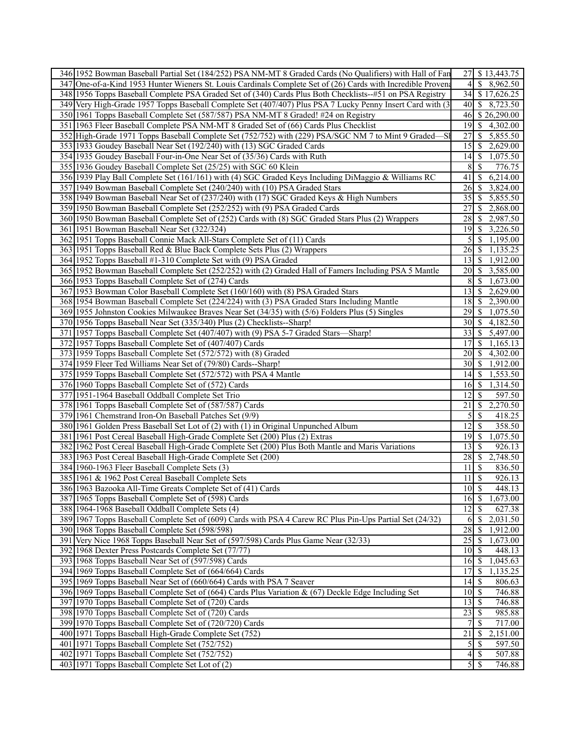| 346 1952 Bowman Baseball Partial Set (184/252) PSA NM-MT 8 Graded Cards (No Qualifiers) with Hall of Fan     | 27 \$ 13,443.75                                       |  |
|--------------------------------------------------------------------------------------------------------------|-------------------------------------------------------|--|
| 347 One-of-a-Kind 1953 Hunter Wieners St. Louis Cardinals Complete Set of (26) Cards with Incredible Provena | 4<br>\$8,962.50                                       |  |
| 348 1956 Topps Baseball Complete PSA Graded Set of (340) Cards Plus Both Checklists--#51 on PSA Registry     | 34 \$17,626.25                                        |  |
| 349 Very High-Grade 1957 Topps Baseball Complete Set (407/407) Plus PSA 7 Lucky Penny Insert Card with (3)   | 40 \ \$ 8,723.50                                      |  |
| 350 1961 Topps Baseball Complete Set (587/587) PSA NM-MT 8 Graded! #24 on Registry                           | 46 \$26,290.00                                        |  |
| 351 1963 Fleer Baseball Complete PSA NM-MT 8 Graded Set of (66) Cards Plus Checklist                         | $\overline{19}$ \$ 4,302.00                           |  |
| 352 High-Grade 1971 Topps Baseball Complete Set (752/752) with (229) PSA/SGC NM 7 to Mint 9 Graded—SI        | 5,855.50<br>27<br><sup>S</sup>                        |  |
| 353 1933 Goudey Baseball Near Set (192/240) with (13) SGC Graded Cards                                       | $15$ \$ 2,629.00                                      |  |
| 354 1935 Goudey Baseball Four-in-One Near Set of (35/36) Cards with Ruth                                     | 14 \$ 1,075.50                                        |  |
| 355 1936 Goudey Baseball Complete Set (25/25) with SGC 60 Klein                                              | 81<br><sup>\$</sup><br>776.75                         |  |
| 356 1939 Play Ball Complete Set (161/161) with (4) SGC Graded Keys Including DiMaggio & Williams RC          | 41 \ \$ 6,214.00                                      |  |
| 357 1949 Bowman Baseball Complete Set (240/240) with (10) PSA Graded Stars                                   | 26 \$ 3,824.00                                        |  |
| 358 1949 Bowman Baseball Near Set of (237/240) with (17) SGC Graded Keys & High Numbers                      | 35 \$ 5,855.50                                        |  |
| 359 1950 Bowman Baseball Complete Set (252/252) with (9) PSA Graded Cards                                    | 27 \$ 2,868.00                                        |  |
| 360 1950 Bowman Baseball Complete Set of (252) Cards with (8) SGC Graded Stars Plus (2) Wrappers             | 28 \$ 2,987.50                                        |  |
| 361 1951 Bowman Baseball Near Set (322/324)                                                                  | 19 \$ 3,226.50                                        |  |
|                                                                                                              |                                                       |  |
| 362 1951 Topps Baseball Connie Mack All-Stars Complete Set of (11) Cards                                     | \$1,195.00<br>51                                      |  |
| 363 1951 Topps Baseball Red & Blue Back Complete Sets Plus (2) Wrappers                                      | $26 \mid$ \$<br>1,135.25                              |  |
| 364 1952 Topps Baseball #1-310 Complete Set with (9) PSA Graded                                              | $\overline{13}$ \ \$ 1,912.00                         |  |
| 365 1952 Bowman Baseball Complete Set (252/252) with (2) Graded Hall of Famers Including PSA 5 Mantle        | 20 \$ 3,585.00                                        |  |
| 366 1953 Topps Baseball Complete Set of (274) Cards                                                          | $8 \quad $1,673.00$                                   |  |
| 367 1953 Bowman Color Baseball Complete Set (160/160) with (8) PSA Graded Stars                              | 13 \$ 2,629.00                                        |  |
| 368 1954 Bowman Baseball Complete Set (224/224) with (3) PSA Graded Stars Including Mantle                   | $\overline{18}$ \ 2,390.00                            |  |
| 369 1955 Johnston Cookies Milwaukee Braves Near Set (34/35) with (5/6) Folders Plus (5) Singles              | 29 \$ 1,075.50                                        |  |
| 370 1956 Topps Baseball Near Set (335/340) Plus (2) Checklists--Sharp!                                       | 30 \ \$ 4,182.50                                      |  |
| 371 1957 Topps Baseball Complete Set (407/407) with (9) PSA 5-7 Graded Stars-Sharp!                          | $\overline{33}$ $\overline{\$}$ $\overline{5,497.00}$ |  |
| 372 1957 Topps Baseball Complete Set of (407/407) Cards                                                      | \$1,165.13<br>17                                      |  |
| 373 1959 Topps Baseball Complete Set (572/572) with (8) Graded                                               | $20 \mid S$<br>4,302.00                               |  |
| 374 1959 Fleer Ted Williams Near Set of (79/80) Cards--Sharp!                                                | 1,912.00                                              |  |
| 375 1959 Topps Baseball Complete Set (572/572) with PSA 4 Mantle                                             | 1,553.50<br>14<br><sup>S</sup>                        |  |
| 376 1960 Topps Baseball Complete Set of (572) Cards                                                          | 16 \$ 1,314.50                                        |  |
| 377 1951-1964 Baseball Oddball Complete Set Trio                                                             | 12<br><sup>\$</sup><br>597.50                         |  |
| 378 1961 Topps Baseball Complete Set of (587/587) Cards                                                      | 2,270.50<br>$21 \mid$ \$                              |  |
| 379 1961 Chemstrand Iron-On Baseball Patches Set (9/9)                                                       | $\mathfrak{S}$<br>-S<br>418.25                        |  |
| 380 1961 Golden Press Baseball Set Lot of (2) with (1) in Original Unpunched Album                           | 12<br>-S<br>358.50                                    |  |
| 381 1961 Post Cereal Baseball High-Grade Complete Set (200) Plus (2) Extras                                  | 1,075.50                                              |  |
| 382 1962 Post Cereal Baseball High-Grade Complete Set (200) Plus Both Mantle and Maris Variations            | 926.13<br>13 <sup>1</sup><br>-S                       |  |
| 383 1963 Post Cereal Baseball High-Grade Complete Set (200)                                                  | $28 \mid$ \$<br>2,748.50                              |  |
| 384 1960-1963 Fleer Baseball Complete Sets (3)                                                               | $11 \mid$ \$<br>836.50                                |  |
| 385 1961 & 1962 Post Cereal Baseball Complete Sets                                                           | $11 \mid$ \$<br>926.13                                |  |
| 386 1963 Bazooka All-Time Greats Complete Set of (41) Cards                                                  | $\overline{10}$ \$<br>448.13                          |  |
| 387 1965 Topps Baseball Complete Set of (598) Cards                                                          | 16 \$ 1,673.00                                        |  |
| 388 1964-1968 Baseball Oddball Complete Sets (4)                                                             | $\mathbb{S}$<br> 12 <br>627.38                        |  |
| 389 1967 Topps Baseball Complete Set of (609) Cards with PSA 4 Carew RC Plus Pin-Ups Partial Set (24/32)     | $\mathbb{S}$<br>2,031.50<br>6I                        |  |
| 390 1968 Topps Baseball Complete Set (598/598)                                                               | 1,912.00<br><sup>\$</sup>                             |  |
|                                                                                                              | 28                                                    |  |
| 391 Very Nice 1968 Topps Baseball Near Set of (597/598) Cards Plus Game Near (32/33)                         | 25<br>1,673.00<br><sup>\$</sup>                       |  |
| 392 1968 Dexter Press Postcards Complete Set (77/77)                                                         | 10 <sup>1</sup><br>448.13<br>-S                       |  |
| 393 1968 Topps Baseball Near Set of (597/598) Cards                                                          | 1,045.63<br><b>16</b><br>-S                           |  |
| 394 1969 Topps Baseball Complete Set of (664/664) Cards                                                      | 17<br>$\mathbb{S}$<br>1,135.25                        |  |
| 395 1969 Topps Baseball Near Set of (660/664) Cards with PSA 7 Seaver                                        | -S<br>14<br>806.63                                    |  |
| 396 1969 Topps Baseball Complete Set of (664) Cards Plus Variation & (67) Deckle Edge Including Set          | 746.88                                                |  |
| 397 1970 Topps Baseball Complete Set of (720) Cards                                                          | 13<br><sup>\$</sup><br>746.88                         |  |
| 398 1970 Topps Baseball Complete Set of (720) Cards                                                          | $\overline{23}$<br>985.88<br>-S                       |  |
| 399 1970 Topps Baseball Complete Set of (720/720) Cards                                                      | 7 <sup>1</sup><br><sup>\$</sup><br>717.00             |  |
| 400 1971 Topps Baseball High-Grade Complete Set (752)                                                        | $\overline{21}$<br>2,151.00<br><sup>\$</sup>          |  |
| 401 1971 Topps Baseball Complete Set (752/752)                                                               | $\mathcal{L}$<br>597.50<br>-S                         |  |
| 402 1971 Topps Baseball Complete Set (752/752)                                                               | 507.88<br>-S<br>$\frac{4}{ }$                         |  |
| 403 1971 Topps Baseball Complete Set Lot of (2)                                                              | $\sqrt{5}$<br>746.88                                  |  |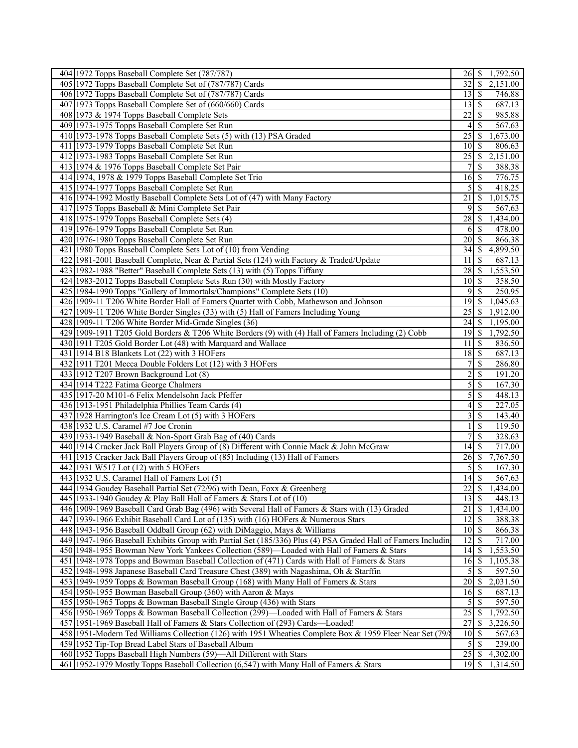| 404 1972 Topps Baseball Complete Set (787/787)                                                                                                                             | 26                                   | \$<br>1,792.50                          |
|----------------------------------------------------------------------------------------------------------------------------------------------------------------------------|--------------------------------------|-----------------------------------------|
| 405 1972 Topps Baseball Complete Set of (787/787) Cards                                                                                                                    | 32                                   | $\overline{\mathcal{S}}$<br>2,151.00    |
| 406 1972 Topps Baseball Complete Set of (787/787) Cards                                                                                                                    | $13 \mid$ \$                         | 746.88                                  |
| 407 1973 Topps Baseball Complete Set of (660/660) Cards                                                                                                                    | $13$ $\sqrt{5}$                      | 687.13                                  |
| 408 1973 & 1974 Topps Baseball Complete Sets                                                                                                                               | 22                                   | -S<br>985.88                            |
| 409 1973-1975 Topps Baseball Complete Set Run                                                                                                                              | $\overline{4}$                       | \$<br>567.63                            |
| 410 1973-1978 Topps Baseball Complete Sets (5) with (13) PSA Graded                                                                                                        | 25                                   | \$<br>1,673.00                          |
| 411 1973-1979 Topps Baseball Complete Set Run                                                                                                                              | 10 <sup> </sup>                      | <sup>\$</sup><br>806.63                 |
| 412 1973-1983 Topps Baseball Complete Set Run                                                                                                                              | $\overline{25}$                      | 2,151.00<br>l \$                        |
| 413 1974 & 1976 Topps Baseball Complete Set Pair                                                                                                                           | $\overline{7}$                       | \$<br>388.38                            |
| 414 1974, 1978 & 1979 Topps Baseball Complete Set Trio                                                                                                                     | 16                                   | 776.75<br>-\$                           |
| 415 1974-1977 Topps Baseball Complete Set Run                                                                                                                              | 5                                    | <sup>\$</sup><br>418.25                 |
| 416 1974-1992 Mostly Baseball Complete Sets Lot of (47) with Many Factory                                                                                                  | $\overline{21}$                      | $\mathbb{S}$<br>1,015.75                |
| 417 1975 Topps Baseball & Mini Complete Set Pair                                                                                                                           | 9                                    | <sup>\$</sup><br>567.63                 |
| 418 1975-1979 Topps Baseball Complete Sets (4)                                                                                                                             | $\overline{28}$                      | 1,434.00<br>$\mathbb{S}$                |
| 419 1976-1979 Topps Baseball Complete Set Run                                                                                                                              | 6                                    | <sup>\$</sup><br>478.00                 |
| 420 1976-1980 Topps Baseball Complete Set Run                                                                                                                              | 20                                   | 866.38<br><sup>\$</sup>                 |
| 421 1980 Topps Baseball Complete Sets Lot of (10) from Vending                                                                                                             | 34                                   | 4,899.50<br><sup>\$</sup>               |
| 422 1981-2001 Baseball Complete, Near & Partial Sets (124) with Factory & Traded/Update                                                                                    | 11                                   | \$<br>687.13                            |
| 423 1982-1988 "Better" Baseball Complete Sets (13) with (5) Topps Tiffany                                                                                                  | $28 \mid$ \$                         | 1,553.50                                |
| 424 1983-2012 Topps Baseball Complete Sets Run (30) with Mostly Factory                                                                                                    | $10 \mid \text{S}$                   | 358.50                                  |
| 425 1984-1990 Topps "Gallery of Immortals/Champions" Complete Sets (10)                                                                                                    | 9                                    | $\mathcal{S}$<br>250.95                 |
| 426 1909-11 T206 White Border Hall of Famers Quartet with Cobb, Mathewson and Johnson                                                                                      | 19                                   | $\mathbb{S}$<br>1,045.63                |
|                                                                                                                                                                            | $\overline{25}$                      | $\mathbb{S}$                            |
| 427 1909-11 T206 White Border Singles (33) with (5) Hall of Famers Including Young                                                                                         |                                      | 1,912.00                                |
| 428 1909-11 T206 White Border Mid-Grade Singles (36)                                                                                                                       | 24                                   | \$<br>1,195.00                          |
| 429 1909-1911 T205 Gold Borders & T206 White Borders (9) with (4) Hall of Famers Including (2) Cobb                                                                        |                                      | 1,792.50                                |
| 430 1911 T205 Gold Border Lot (48) with Marquard and Wallace                                                                                                               | 11                                   | 836.50<br><sup>S</sup>                  |
| 431 1914 B18 Blankets Lot (22) with 3 HOFers                                                                                                                               | 18                                   | 687.13<br>-S                            |
| 432 1911 T201 Mecca Double Folders Lot (12) with 3 HOFers                                                                                                                  | 7                                    | \$<br>286.80                            |
| 433 1912 T207 Brown Background Lot (8)<br>434 1914 T222 Fatima George Chalmers                                                                                             | $\overline{c}$<br>5                  | \$<br>191.20<br>\$<br>167.30            |
| 435 1917-20 M101-6 Felix Mendelsohn Jack Pfeffer                                                                                                                           |                                      | \$                                      |
|                                                                                                                                                                            | 5                                    | 448.13<br>227.05                        |
| 436 1913-1951 Philadelphia Phillies Team Cards (4)                                                                                                                         | $\vert 4 \vert$                      | <sup>\$</sup>                           |
| 437 1928 Harrington's Ice Cream Lot (5) with 3 HOFers<br>438 1932 U.S. Caramel #7 Joe Cronin                                                                               | 3<br>1                               | \$<br>143.40<br><sup>\$</sup><br>119.50 |
|                                                                                                                                                                            | 7                                    |                                         |
| 439 1933-1949 Baseball & Non-Sport Grab Bag of (40) Cards                                                                                                                  |                                      | \$<br>328.63                            |
| 440 1914 Cracker Jack Ball Players Group of (8) Different with Connie Mack & John McGraw<br>441 1915 Cracker Jack Ball Players Group of (85) Including (13) Hall of Famers | 14                                   | <sup>\$</sup><br>717.00                 |
|                                                                                                                                                                            | $26 \mid$ \$                         | 7,767.50<br>$\overline{\mathcal{S}}$    |
| 442 1931 W517 Lot (12) with 5 HOFers<br>443 1932 U.S. Caramel Hall of Famers Lot (5)                                                                                       | $\mathfrak{S}$<br>$\overline{14}$ \$ | 167.30<br>567.63                        |
| 444 1934 Goudey Baseball Partial Set (72/96) with Dean, Foxx & Greenberg                                                                                                   | $22\,$                               | $\overline{\mathcal{S}}$<br>1,434.00    |
| 445 1933-1940 Goudey & Play Ball Hall of Famers & Stars Lot of (10)                                                                                                        | 13                                   | $\mathcal{S}$<br>448.13                 |
| 446 1909-1969 Baseball Card Grab Bag (496) with Several Hall of Famers & Stars with (13) Graded                                                                            | 21                                   | $\mathbb{S}$<br>1,434.00                |
|                                                                                                                                                                            |                                      |                                         |
| 447 1939-1966 Exhibit Baseball Card Lot of (135) with (16) HOFers & Numerous Stars                                                                                         | 12                                   | $\mathcal{S}$<br>388.38                 |
| 448 1943-1956 Baseball Oddball Group (62) with DiMaggio, Mays & Williams                                                                                                   | $10$   \$                            | 866.38                                  |
| 449 1947-1966 Baseball Exhibits Group with Partial Set (185/336) Plus (4) PSA Graded Hall of Famers Includin                                                               | 12                                   | S<br>717.00                             |
| 450 1948-1955 Bowman New York Yankees Collection (589)—Loaded with Hall of Famers & Stars                                                                                  | 14                                   | \$<br>1,553.50                          |
| 451 1948-1978 Topps and Bowman Baseball Collection of (471) Cards with Hall of Famers & Stars                                                                              | 16                                   | \$<br>1,105.38                          |
| 452 1948-1998 Japanese Baseball Card Treasure Chest (389) with Nagashima, Oh & Starffin                                                                                    | $\mathfrak{S}$                       | \$<br>597.50                            |
| 453 1949-1959 Topps & Bowman Baseball Group (168) with Many Hall of Famers & Stars                                                                                         |                                      | 2,031.50                                |
| 454 1950-1955 Bowman Baseball Group (360) with Aaron & Mays                                                                                                                |                                      | 687.13                                  |
| 455 1950-1965 Topps & Bowman Baseball Single Group (436) with Stars                                                                                                        | $\mathfrak{S}$                       | S<br>597.50                             |
| 456 1950-1969 Topps & Bowman Baseball Collection (299)—Loaded with Hall of Famers & Stars                                                                                  | 25                                   | 1,792.50<br>\$                          |
| 457 1951-1969 Baseball Hall of Famers & Stars Collection of (293) Cards—Loaded!                                                                                            | 27                                   | \$<br>3,226.50                          |
| 458 1951-Modern Ted Williams Collection (126) with 1951 Wheaties Complete Box & 1959 Fleer Near Set (79/                                                                   | $10 \mid S$                          | 567.63                                  |
| 459 1952 Tip-Top Bread Label Stars of Baseball Album                                                                                                                       |                                      | 239.00                                  |
| 460 1952 Topps Baseball High Numbers (59)-All Different with Stars                                                                                                         |                                      | $25 \mid$ \$<br>4,302.00                |
| 461 1952-1979 Mostly Topps Baseball Collection (6,547) with Many Hall of Famers & Stars                                                                                    | $19$ $\sqrt{S}$                      | 1,314.50                                |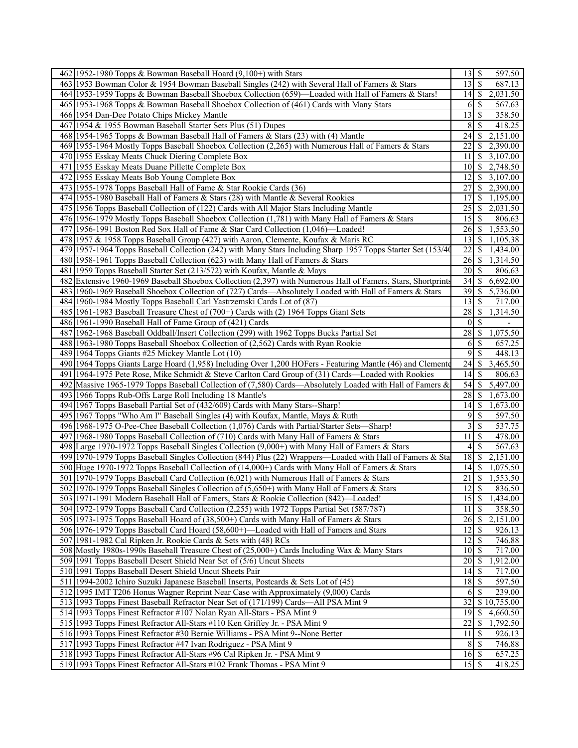| 462 1952-1980 Topps & Bowman Baseball Hoard $(9,100+)$ with Stars                                            |                 |                          | 597.50                        |
|--------------------------------------------------------------------------------------------------------------|-----------------|--------------------------|-------------------------------|
| 463 1953 Bowman Color & 1954 Bowman Baseball Singles (242) with Several Hall of Famers & Stars               | 13              | $\overline{\mathcal{S}}$ | 687.13                        |
| 464 1953-1959 Topps & Bowman Baseball Shoebox Collection (659)—Loaded with Hall of Famers & Stars!           |                 |                          | 2,031.50                      |
| 465 1953-1968 Topps & Bowman Baseball Shoebox Collection of (461) Cards with Many Stars                      | 6               | -S                       | 567.63                        |
| 466 1954 Dan-Dee Potato Chips Mickey Mantle                                                                  | 13              | S                        | 358.50                        |
| 467 1954 & 1955 Bowman Baseball Starter Sets Plus (51) Dupes                                                 | 8               | -S                       | 418.25                        |
| 468 1954-1965 Topps & Bowman Baseball Hall of Famers & Stars (23) with (4) Mantle                            | 24              | S                        | 2,151.00                      |
| 469 1955-1964 Mostly Topps Baseball Shoebox Collection (2,265) with Numerous Hall of Famers & Stars          | 22              | S                        | 2,390.00                      |
| 470 1955 Esskay Meats Chuck Diering Complete Box                                                             | 11              | -S                       | 3,107.00                      |
| 471 1955 Esskay Meats Duane Pillette Complete Box                                                            | 10              | -\$                      | 2,748.50                      |
| 472 1955 Esskay Meats Bob Young Complete Box                                                                 | 12              | <sup>\$</sup>            | 3,107.00                      |
| 473 1955-1978 Topps Baseball Hall of Fame & Star Rookie Cards (36)                                           | 27              | -S                       | 2,390.00                      |
| 474 1955-1980 Baseball Hall of Famers & Stars (28) with Mantle & Several Rookies                             | 17              | \$                       | 1,195.00                      |
| 475 1956 Topps Baseball Collection of (122) Cards with All Major Stars Including Mantle                      | 25              | -S                       | 2,031.50                      |
| 476 1956-1979 Mostly Topps Baseball Shoebox Collection (1,781) with Many Hall of Famers & Stars              | $15$ $\sqrt{5}$ |                          | 806.63                        |
| 477 1956-1991 Boston Red Sox Hall of Fame & Star Card Collection (1,046)—Loaded!                             | 26              | -S                       | 1,553.50                      |
| 478 1957 & 1958 Topps Baseball Group (427) with Aaron, Clemente, Koufax & Maris RC                           | 13              | -S                       | 1,105.38                      |
| 479 1957-1964 Topps Baseball Collection (242) with Many Stars Including Sharp 1957 Topps Starter Set (153/40 | 22              | -S                       | 1,434.00                      |
| 480 1958-1961 Topps Baseball Collection (623) with Many Hall of Famers & Stars                               | 26              | -\$                      | 1,314.50                      |
| 481 1959 Topps Baseball Starter Set (213/572) with Koufax, Mantle & Mays                                     | 20              | -S                       | 806.63                        |
| 482 Extensive 1960-1969 Baseball Shoebox Collection (2,397) with Numerous Hall of Famers, Stars, Shortprints | 34              | -S                       | 6,692.00                      |
| 483 1960-1969 Baseball Shoebox Collection of (727) Cards—Absolutely Loaded with Hall of Famers & Stars       | 39              | -\$                      | 5,736.00                      |
| 484 1960-1984 Mostly Topps Baseball Carl Yastrzemski Cards Lot of (87)                                       | 13              | -S                       | 717.00                        |
| 485 1961-1983 Baseball Treasure Chest of (700+) Cards with (2) 1964 Topps Giant Sets                         | 28              | S                        | 1,314.50                      |
| 486 1961-1990 Baseball Hall of Fame Group of (421) Cards                                                     | $\theta$        | \$                       |                               |
| 487 1962-1968 Baseball Oddball/Insert Collection (299) with 1962 Topps Bucks Partial Set                     | 28              | -\$                      | 1,075.50                      |
| 488 1963-1980 Topps Baseball Shoebox Collection of (2,562) Cards with Ryan Rookie                            | 6               | -S                       | 657.25                        |
| 489 1964 Topps Giants #25 Mickey Mantle Lot (10)                                                             | 9               | \$                       | 448.13                        |
| 490 1964 Topps Giants Large Hoard (1,958) Including Over 1,200 HOFers - Featuring Mantle (46) and Clemente   | 24              | -S                       | 3,465.50                      |
| 491 1964-1975 Pete Rose, Mike Schmidt & Steve Carlton Card Group of (31) Cards—Loaded with Rookies           | 14              | -S                       | 806.63                        |
| 492 Massive 1965-1979 Topps Baseball Collection of (7,580) Cards—Absolutely Loaded with Hall of Famers &     | 54              | -S                       | 5,497.00                      |
| 493 1966 Topps Rub-Offs Large Roll Including 18 Mantle's                                                     | 28              | -\$                      | 1,673.00                      |
| 494 1967 Topps Baseball Partial Set of (432/609) Cards with Many Stars--Sharp!                               | 14              | -\$                      | 1,673.00                      |
| 495 1967 Topps "Who Am I" Baseball Singles (4) with Koufax, Mantle, Mays & Ruth                              | 9               | \$                       | 597.50                        |
| 496 1968-1975 O-Pee-Chee Baseball Collection (1,076) Cards with Partial/Starter Sets—Sharp!                  | 3               | -S                       | 537.75                        |
| 497 1968-1980 Topps Baseball Collection of (710) Cards with Many Hall of Famers & Stars                      | 11              | -\$                      | 478.00                        |
| 498 Large 1970-1972 Topps Baseball Singles Collection (9,000+) with Many Hall of Famers & Stars              | 4               | \$                       | 567.63                        |
| 499 1970-1979 Topps Baseball Singles Collection (844) Plus (22) Wrappers—Loaded with Hall of Famers & Sta    | 18              | -\$                      | 2,151.00                      |
| 500 Huge 1970-1972 Topps Baseball Collection of (14,000+) Cards with Many Hall of Famers & Stars             | 14              | \$                       | 1,075.50                      |
| 501 1970-1979 Topps Baseball Card Collection (6,021) with Numerous Hall of Famers & Stars                    | 21              | \$                       | 1,553.50                      |
| 502 1970-1979 Topps Baseball Singles Collection of (5,650+) with Many Hall of Famers & Stars                 | $\overline{12}$ | $\overline{\mathcal{S}}$ | 836.50                        |
| 503 1971-1991 Modern Baseball Hall of Famers, Stars & Rookie Collection (842)—Loaded!                        |                 |                          | $\overline{15}$ \ \$ 1,434.00 |
| 504 1972-1979 Topps Baseball Card Collection (2,255) with 1972 Topps Partial Set (587/787)                   | 11              | $\overline{\mathcal{S}}$ | 358.50                        |
| 505 1973-1975 Topps Baseball Hoard of (38,500+) Cards with Many Hall of Famers & Stars                       |                 |                          | 2,151.00                      |
| 506 1976-1979 Topps Baseball Card Hoard (58,600+)—Loaded with Hall of Famers and Stars                       | 12              | l \$                     | 926.13                        |
| 507 1981-1982 Cal Ripken Jr. Rookie Cards & Sets with (48) RCs                                               | 12              | -S                       | 746.88                        |
| 508 Mostly 1980s-1990s Baseball Treasure Chest of (25,000+) Cards Including Wax & Many Stars                 | 10              | S                        | 717.00                        |
| 509 1991 Topps Baseball Desert Shield Near Set of (5/6) Uncut Sheets                                         | 20              | <b>S</b>                 | 1,912.00                      |
| 510 1991 Topps Baseball Desert Shield Uncut Sheets Pair                                                      | 14              | 8                        | 717.00                        |
| 511 1994-2002 Ichiro Suzuki Japanese Baseball Inserts, Postcards & Sets Lot of (45)                          | 18              | S                        | 597.50                        |
| 512 1995 IMT T206 Honus Wagner Reprint Near Case with Approximately (9,000) Cards                            | 6               | $\mathcal{S}$            | 239.00                        |
| 513 1993 Topps Finest Baseball Refractor Near Set of (171/199) Cards—All PSA Mint 9                          | 32              |                          | \$10,755.00                   |
| 514 1993 Topps Finest Refractor #107 Nolan Ryan All-Stars - PSA Mint 9                                       | 19              | -S                       | 4,660.50                      |
| 515 1993 Topps Finest Refractor All-Stars #110 Ken Griffey Jr. - PSA Mint 9                                  | 22              | \$                       | 1,792.50                      |
| 516 1993 Topps Finest Refractor #30 Bernie Williams - PSA Mint 9--None Better                                | 11              | -S                       | 926.13                        |
| 517 1993 Topps Finest Refractor #47 Ivan Rodriguez - PSA Mint 9                                              | 8               | - \$                     | 746.88                        |
| 518 1993 Topps Finest Refractor All-Stars #96 Cal Ripken Jr. - PSA Mint 9                                    |                 |                          | 657.25                        |
| 519 1993 Topps Finest Refractor All-Stars #102 Frank Thomas - PSA Mint 9                                     |                 |                          | 418.25                        |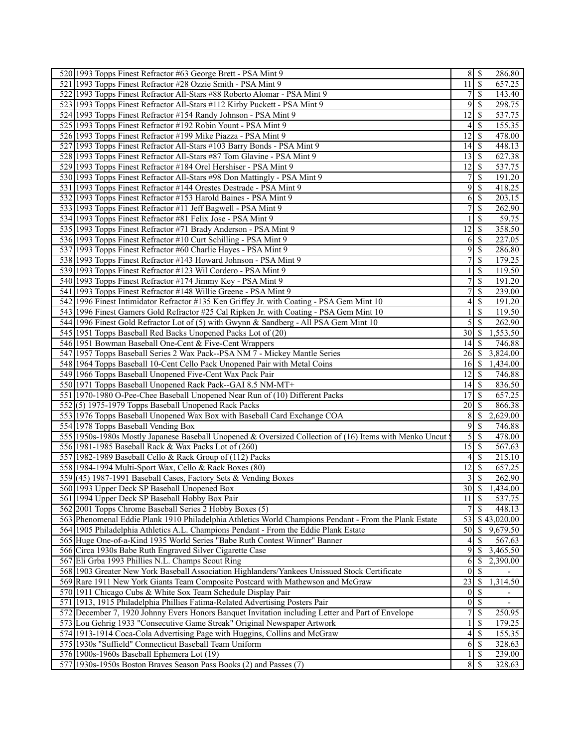| 520 1993 Topps Finest Refractor #63 George Brett - PSA Mint 9                                                                                      | $8 \mid$ \$                         | 286.80                                   |
|----------------------------------------------------------------------------------------------------------------------------------------------------|-------------------------------------|------------------------------------------|
| 521 1993 Topps Finest Refractor #28 Ozzie Smith - PSA Mint 9                                                                                       | 11                                  | $\overline{\mathcal{S}}$<br>657.25       |
| 522 1993 Topps Finest Refractor All-Stars #88 Roberto Alomar - PSA Mint 9                                                                          | 7                                   | $\mathbb{S}$<br>143.40                   |
| 523 1993 Topps Finest Refractor All-Stars #112 Kirby Puckett - PSA Mint 9                                                                          | 9                                   | $\mathcal{S}$<br>298.75                  |
| 524 1993 Topps Finest Refractor #154 Randy Johnson - PSA Mint 9                                                                                    | 12                                  | $\mathbb{S}$<br>537.75                   |
| 525 1993 Topps Finest Refractor #192 Robin Yount - PSA Mint 9                                                                                      | 4                                   | 155.35<br>-S                             |
| 526 1993 Topps Finest Refractor #199 Mike Piazza - PSA Mint 9                                                                                      | 12                                  | -\$<br>478.00                            |
| 527 1993 Topps Finest Refractor All-Stars #103 Barry Bonds - PSA Mint 9                                                                            | 14                                  | $\mathcal{S}$<br>448.13                  |
| 528 1993 Topps Finest Refractor All-Stars #87 Tom Glavine - PSA Mint 9                                                                             | 13                                  | $\mathcal{S}$<br>627.38                  |
| 529 1993 Topps Finest Refractor #184 Orel Hershiser - PSA Mint 9                                                                                   | 12                                  | <sup>\$</sup><br>537.75                  |
| 530 1993 Topps Finest Refractor All-Stars #98 Don Mattingly - PSA Mint 9                                                                           | 7                                   | \$<br>191.20                             |
| 531 1993 Topps Finest Refractor #144 Orestes Destrade - PSA Mint 9                                                                                 | 9                                   | $\mathcal{S}$<br>418.25                  |
| 532 1993 Topps Finest Refractor #153 Harold Baines - PSA Mint 9                                                                                    | 6                                   | -\$<br>203.15                            |
| 533 1993 Topps Finest Refractor #11 Jeff Bagwell - PSA Mint 9                                                                                      | 7                                   | \$<br>262.90                             |
| 534 1993 Topps Finest Refractor #81 Felix Jose - PSA Mint 9                                                                                        | 1                                   | 59.75<br>$\mathcal{S}$                   |
| 535 1993 Topps Finest Refractor #71 Brady Anderson - PSA Mint 9                                                                                    | 12                                  | <sup>\$</sup><br>358.50                  |
| 536 1993 Topps Finest Refractor #10 Curt Schilling - PSA Mint 9                                                                                    | 6                                   | 227.05<br>-S                             |
| 537 1993 Topps Finest Refractor #60 Charlie Hayes - PSA Mint 9                                                                                     | 9                                   | $\mathcal{S}$<br>286.80                  |
| 538 1993 Topps Finest Refractor #143 Howard Johnson - PSA Mint 9                                                                                   | 7                                   | $\mathcal{S}$<br>179.25                  |
| 539 1993 Topps Finest Refractor #123 Wil Cordero - PSA Mint 9                                                                                      | 1                                   | $\mathbb{S}$<br>119.50                   |
| 540 1993 Topps Finest Refractor #174 Jimmy Key - PSA Mint 9                                                                                        | 7                                   | $\mathcal{S}$<br>191.20                  |
| 541 1993 Topps Finest Refractor #148 Willie Greene - PSA Mint 9                                                                                    | 7                                   | \$<br>239.00                             |
| 542 1996 Finest Intimidator Refractor #135 Ken Griffey Jr. with Coating - PSA Gem Mint 10                                                          | 4                                   | $\mathbb{S}$<br>191.20                   |
| 543 1996 Finest Gamers Gold Refractor #25 Cal Ripken Jr. with Coating - PSA Gem Mint 10                                                            |                                     | $\mathbb{S}$<br>119.50                   |
| 544 1996 Finest Gold Refractor Lot of (5) with Gwynn & Sandberg - All PSA Gem Mint 10                                                              | 5                                   | <sup>\$</sup><br>262.90                  |
| 545 1951 Topps Baseball Red Backs Unopened Packs Lot of (20)                                                                                       | 30                                  | 1,553.50<br><b>S</b>                     |
| 546 1951 Bowman Baseball One-Cent & Five-Cent Wrappers                                                                                             | 14                                  | $\sqrt{S}$<br>746.88                     |
| 547 1957 Topps Baseball Series 2 Wax Pack--PSA NM 7 - Mickey Mantle Series                                                                         | 26                                  | 3,824.00<br>-S                           |
| 548 1964 Topps Baseball 10-Cent Cello Pack Unopened Pair with Metal Coins                                                                          | 16                                  | \$<br>1,434.00                           |
| 549 1966 Topps Baseball Unopened Five-Cent Wax Pack Pair                                                                                           | 12                                  | - \$<br>746.88                           |
| 550 1971 Topps Baseball Unopened Rack Pack--GAI 8.5 NM-MT+                                                                                         | 14                                  | - \$<br>836.50                           |
| 551 1970-1980 O-Pee-Chee Baseball Unopened Near Run of (10) Different Packs                                                                        | 17                                  | $\mathcal{S}$<br>657.25                  |
| 552(5) 1975-1979 Topps Baseball Unopened Rack Packs                                                                                                | 20                                  | <b>S</b><br>866.38                       |
| 553 1976 Topps Baseball Unopened Wax Box with Baseball Card Exchange COA                                                                           | 8                                   | $\mathcal{S}$<br>2,629.00                |
| 554 1978 Topps Baseball Vending Box                                                                                                                | 9                                   | S<br>746.88                              |
| 555 1950s-1980s Mostly Japanese Baseball Unopened & Oversized Collection of (16) Items with Menko Uncut                                            | 5                                   | -\$<br>478.00                            |
| 556 1981-1985 Baseball Rack & Wax Packs Lot of (260)                                                                                               | 15                                  | 567.63<br>8                              |
| 557 1982-1989 Baseball Cello & Rack Group of (112) Packs                                                                                           | 4                                   | 215.10<br>-S                             |
| 558 1984-1994 Multi-Sport Wax, Cello & Rack Boxes (80)                                                                                             | 12                                  | 657.25<br>$\mathcal{S}$                  |
| 559 (45) 1987-1991 Baseball Cases, Factory Sets & Vending Boxes                                                                                    | 3                                   | \$<br>262.90                             |
| 560 1993 Upper Deck SP Baseball Unopened Box                                                                                                       | $\overline{30}$ \$                  | 1,434.00                                 |
| 561 1994 Upper Deck SP Baseball Hobby Box Pair                                                                                                     | $11 \mid$ \$                        | 537.75                                   |
| 562 2001 Topps Chrome Baseball Series 2 Hobby Boxes (5)                                                                                            | 7                                   | \$<br>448.13                             |
| 563 Phenomenal Eddie Plank 1910 Philadelphia Athletics World Champions Pendant - From the Plank Estate                                             | 53                                  | \$43,020.00                              |
| 564 1905 Philadelphia Athletics A.L. Champions Pendant - From the Eddie Plank Estate                                                               | 50                                  | 9,679.50<br>-S                           |
| 565 Huge One-of-a-Kind 1935 World Series "Babe Ruth Contest Winner" Banner                                                                         |                                     | \$<br>567.63                             |
|                                                                                                                                                    | 4<br>9                              | \$                                       |
| 566 Circa 1930s Babe Ruth Engraved Silver Cigarette Case                                                                                           | 6                                   | 3,465.50                                 |
| 567 Eli Grba 1993 Phillies N.L. Champs Scout Ring<br>568 1903 Greater New York Baseball Association Highlanders/Yankees Unissued Stock Certificate | $\overline{0}$                      | 2,390.00<br>-S<br>$\mathcal{S}$          |
| 569 Rare 1911 New York Giants Team Composite Postcard with Mathewson and McGraw                                                                    | 23                                  | $\mathcal{S}$<br>1,314.50                |
|                                                                                                                                                    |                                     | $\overline{\mathcal{S}}$                 |
| 570 1911 Chicago Cubs & White Sox Team Schedule Display Pair                                                                                       | $\vert 0 \vert$<br>$\boldsymbol{0}$ | $\overline{\phantom{0}}$<br>$\mathbb{S}$ |
| 571 1913, 1915 Philadelphia Phillies Fatima-Related Advertising Posters Pair                                                                       | 7                                   | $\overline{\phantom{0}}$                 |
| 572 December 7, 1920 Johnny Evers Honors Banquet Invitation including Letter and Part of Envelope                                                  |                                     | $\mathbb{S}$<br>250.95                   |
| 573 Lou Gehrig 1933 "Consecutive Game Streak" Original Newspaper Artwork                                                                           |                                     | $\mathcal{S}$<br>179.25                  |
| 574 1913-1914 Coca-Cola Advertising Page with Huggins, Collins and McGraw                                                                          | 4                                   | $\mathcal{S}$<br>155.35                  |
| 575 1930s "Suffield" Connecticut Baseball Team Uniform                                                                                             | 6                                   | $\mathcal{S}$<br>328.63                  |
| 576 1900s-1960s Baseball Ephemera Lot (19)                                                                                                         |                                     | $\mathcal{S}$<br>239.00                  |
| 577   1930s-1950s Boston Braves Season Pass Books $\overline{(2)}$ and Passes (7)                                                                  | $8 \mid$ \$                         | 328.63                                   |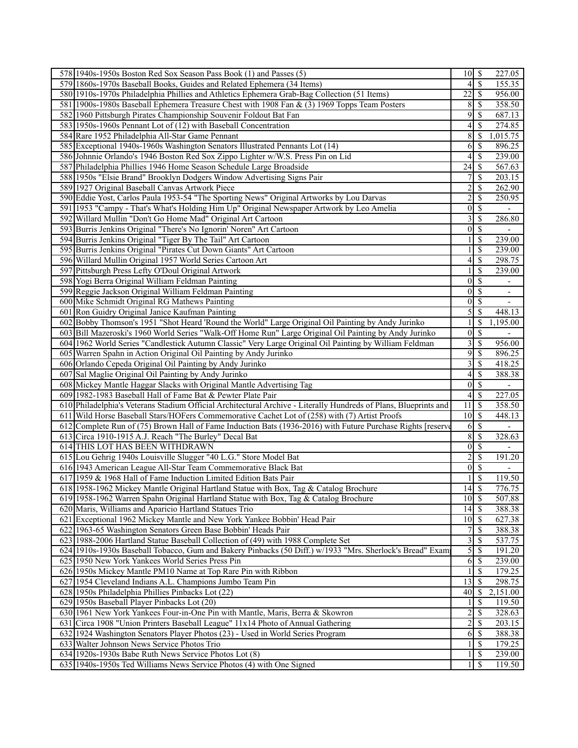| 578 1940s-1950s Boston Red Sox Season Pass Book (1) and Passes (5)                                               | $10$ $\sqrt{5}$    |                          | 227.05                   |
|------------------------------------------------------------------------------------------------------------------|--------------------|--------------------------|--------------------------|
| 579 1860s-1970s Baseball Books, Guides and Related Ephemera (34 Items)                                           | 4                  | $\mathcal{S}$            | 155.35                   |
| 580 1910s-1970s Philadelphia Phillies and Athletics Ephemera Grab-Bag Collection (51 Items)                      | 22                 | $\mathcal{S}$            | 956.00                   |
| 581 1900s-1980s Baseball Ephemera Treasure Chest with 1908 Fan & (3) 1969 Topps Team Posters                     | 8                  | $\mathcal{S}$            | 358.50                   |
| 582 1960 Pittsburgh Pirates Championship Souvenir Foldout Bat Fan                                                | 9                  | $\mathbb{S}$             | 687.13                   |
| 583 1950s-1960s Pennant Lot of (12) with Baseball Concentration                                                  | 4                  | -S                       | 274.85                   |
| 584 Rare 1952 Philadelphia All-Star Game Pennant                                                                 | 8                  | \$                       | 1,015.75                 |
| 585 Exceptional 1940s-1960s Washington Senators Illustrated Pennants Lot (14)                                    | 6                  | $\mathcal{S}$            | 896.25                   |
| 586 Johnnie Orlando's 1946 Boston Red Sox Zippo Lighter w/W.S. Press Pin on Lid                                  | 4                  | $\overline{\mathcal{S}}$ | 239.00                   |
| 587 Philadelphia Phillies 1946 Home Season Schedule Large Broadside                                              | 24                 | \$                       | 567.63                   |
| 588 1950s "Elsie Brand" Brooklyn Dodgers Window Advertising Signs Pair                                           | 7                  | \$                       | 203.15                   |
| 589 1927 Original Baseball Canvas Artwork Piece                                                                  | $\overline{c}$     | $\mathcal{S}$            | $\overline{262.90}$      |
| 590 Eddie Yost, Carlos Paula 1953-54 "The Sporting News" Original Artworks by Lou Darvas                         | $\overline{c}$     |                          | 250.95                   |
|                                                                                                                  |                    | \$                       |                          |
| 591 1953 "Campy - That's What's Holding Him Up" Original Newspaper Artwork by Leo Amelia                         | $\vert 0 \vert$    | $\overline{\mathcal{S}}$ |                          |
| 592 Willard Mullin "Don't Go Home Mad" Original Art Cartoon                                                      | 3                  | $\overline{\mathcal{S}}$ | 286.80                   |
| 593 Burris Jenkins Original "There's No Ignorin' Noren" Art Cartoon                                              | $\mathbf{0}$       | $\mathbb{S}$             |                          |
| 594 Burris Jenkins Original "Tiger By The Tail" Art Cartoon                                                      |                    | $\mathbb{S}$             | 239.00                   |
| 595 Burris Jenkins Original "Pirates Cut Down Giants" Art Cartoon                                                |                    | \$                       | 239.00                   |
| 596 Willard Mullin Original 1957 World Series Cartoon Art                                                        | 4                  | $\mathcal{S}$            | 298.75                   |
| 597 Pittsburgh Press Lefty O'Doul Original Artwork                                                               | 1                  | \$                       | 239.00                   |
| 598 Yogi Berra Original William Feldman Painting                                                                 | $\mathbf{0}$       | $\overline{\mathcal{S}}$ | $\overline{\phantom{0}}$ |
| 599 Reggie Jackson Original William Feldman Painting                                                             | $\boldsymbol{0}$   | \$                       | $\overline{\phantom{a}}$ |
| 600 Mike Schmidt Original RG Mathews Painting                                                                    | $\mathbf{0}$       | $\mathcal{S}$            |                          |
| 601 Ron Guidry Original Janice Kaufman Painting                                                                  | 5                  | $\mathbb{S}$             | 448.13                   |
| 602 Bobby Thomson's 1951 "Shot Heard 'Round the World" Large Original Oil Painting by Andy Jurinko               |                    | \$                       | 1,195.00                 |
| 603 Bill Mazeroski's 1960 World Series "Walk-Off Home Run" Large Original Oil Painting by Andy Jurinko           | $\boldsymbol{0}$   | $\overline{\mathcal{S}}$ |                          |
| 604 1962 World Series "Candlestick Autumn Classic" Very Large Original Oil Painting by William Feldman           | 3                  | \$                       | 956.00                   |
| 605 Warren Spahn in Action Original Oil Painting by Andy Jurinko                                                 | 9                  | $\mathbb{S}$             | 896.25                   |
| 606 Orlando Cepeda Original Oil Painting by Andy Jurinko                                                         | 3                  | $\mathcal{S}$            | 418.25                   |
| 607 Sal Maglie Original Oil Painting by Andy Jurinko                                                             | 4                  | $\mathcal{S}$            | 388.38                   |
| 608 Mickey Mantle Haggar Slacks with Original Mantle Advertising Tag                                             | $\theta$           | $\overline{\mathcal{S}}$ | $\overline{\phantom{a}}$ |
| 609 1982-1983 Baseball Hall of Fame Bat & Pewter Plate Pair                                                      | 4                  | -\$                      | 227.05                   |
| 610 Philadelphia's Veterans Stadium Official Architectural Archive - Literally Hundreds of Plans, Blueprints and | 11                 | $\overline{\mathcal{S}}$ | 358.50                   |
| 611 Wild Horse Baseball Stars/HOFers Commemorative Cachet Lot of (258) with (7) Artist Proofs                    | 10                 | $\sqrt{S}$               | 448.13                   |
| 612 Complete Run of (75) Brown Hall of Fame Induction Bats (1936-2016) with Future Purchase Rights [reserve      | 6                  | $\mathbb{S}$             |                          |
| 613 Circa 1910-1915 A.J. Reach "The Burley" Decal Bat                                                            | 8                  | $\mathcal{S}$            | 328.63                   |
| 614 THIS LOT HAS BEEN WITHDRAWN                                                                                  | $\theta$           | $\overline{\mathcal{S}}$ |                          |
| 615 Lou Gehrig 1940s Louisville Slugger "40 L.G." Store Model Bat                                                | $\overline{c}$     | $\mathcal{S}$            | 191.20                   |
| 616 1943 American League All-Star Team Commemorative Black Bat                                                   | $\mathbf{0}$       | $\overline{\mathcal{S}}$ |                          |
| 617 1959 & 1968 Hall of Fame Induction Limited Edition Bats Pair                                                 |                    | $\mathbb{S}$             | 119.50                   |
| 618 1958-1962 Mickey Mantle Original Hartland Statue with Box, Tag & Catalog Brochure                            | $\overline{14}$ \$ |                          | 776.75                   |
| 619 1958-1962 Warren Spahn Original Hartland Statue with Box, Tag & Catalog Brochure                             | $10 \mid S$        |                          | 507.88                   |
| 620 Maris, Williams and Aparicio Hartland Statues Trio                                                           | 14                 | $\mathsf{S}$             | 388.38                   |
| 621 Exceptional 1962 Mickey Mantle and New York Yankee Bobbin' Head Pair                                         | $10$ $\sqrt{5}$    |                          | 627.38                   |
| 622 1963-65 Washington Senators Green Base Bobbin' Heads Pair                                                    | 7                  | <sup>\$</sup>            | 388.38                   |
| 623 1988-2006 Hartland Statue Baseball Collection of (49) with 1988 Complete Set                                 | 3                  | \$                       | 537.75                   |
| 624 1910s-1930s Baseball Tobacco, Gum and Bakery Pinbacks (50 Diff.) w/1933 "Mrs. Sherlock's Bread" Exam         | 5                  | -\$                      | 191.20                   |
| 625 1950 New York Yankees World Series Press Pin                                                                 | 6                  | -\$                      | 239.00                   |
| 626 1950s Mickey Mantle PM10 Name at Top Rare Pin with Ribbon                                                    |                    | \$                       | 179.25                   |
| 627 1954 Cleveland Indians A.L. Champions Jumbo Team Pin                                                         | 13                 | $\mathcal{S}$            | 298.75                   |
| 628 1950s Philadelphia Phillies Pinbacks Lot (22)                                                                | 40                 | $\mathbb{S}$             | 2,151.00                 |
| 629 1950s Baseball Player Pinbacks Lot (20)                                                                      |                    | \$                       | 119.50                   |
| 630 1961 New York Yankees Four-in-One Pin with Mantle, Maris, Berra & Skowron                                    | $\overline{c}$     | <sup>\$</sup>            | 328.63                   |
| 631 Circa 1908 "Union Printers Baseball League" 11x14 Photo of Annual Gathering                                  | $\overline{c}$     | $\mathcal{S}$            | 203.15                   |
| 632 1924 Washington Senators Player Photos (23) - Used in World Series Program                                   | 6                  | $\mathcal{S}$            | 388.38                   |
| 633 Walter Johnson News Service Photos Trio                                                                      |                    | -S                       | 179.25                   |
| 634 1920s-1930s Babe Ruth News Service Photos Lot (8)                                                            |                    | \$                       | 239.00                   |
| 635 1940s-1950s Ted Williams News Service Photos (4) with One Signed                                             | 1                  | S                        | 119.50                   |
|                                                                                                                  |                    |                          |                          |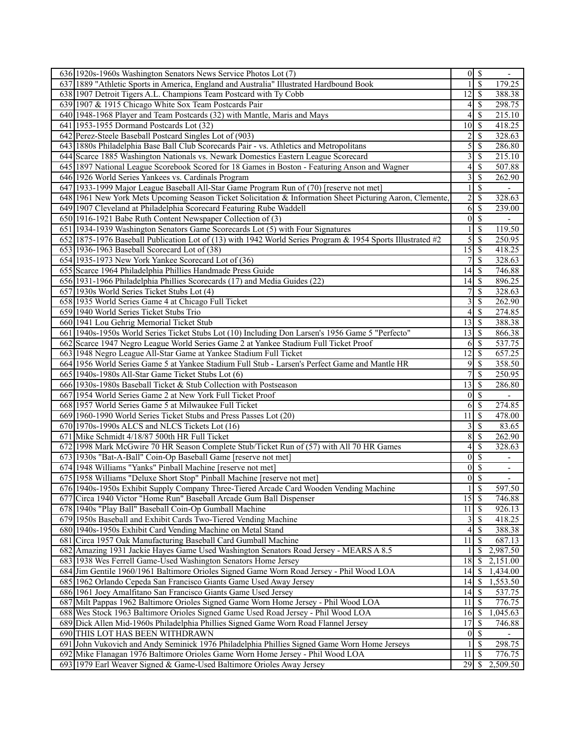| 636 1920s-1960s Washington Senators News Service Photos Lot (7)                                                                                                          |                  | $0 \mid S$               |                          |
|--------------------------------------------------------------------------------------------------------------------------------------------------------------------------|------------------|--------------------------|--------------------------|
| 637 1889 "Athletic Sports in America, England and Australia" Illustrated Hardbound Book                                                                                  |                  | $\mathcal{S}$            | 179.25                   |
| 638 1907 Detroit Tigers A.L. Champions Team Postcard with Ty Cobb                                                                                                        | 12               | -\$                      | 388.38                   |
| 639 1907 & 1915 Chicago White Sox Team Postcards Pair                                                                                                                    | 4                | \$                       | 298.75                   |
| 640 1948-1968 Player and Team Postcards (32) with Mantle, Maris and Mays                                                                                                 | 4                | <sup>\$</sup>            | 215.10                   |
| 641 1953-1955 Dormand Postcards Lot (32)                                                                                                                                 | 10               | - \$                     | 418.25                   |
| 642 Perez-Steele Baseball Postcard Singles Lot of (903)                                                                                                                  | $\overline{2}$   | \$                       | 328.63                   |
| 643 1880s Philadelphia Base Ball Club Scorecards Pair - vs. Athletics and Metropolitans                                                                                  | 5                | -\$                      | 286.80                   |
| 644 Scarce 1885 Washington Nationals vs. Newark Domestics Eastern League Scorecard                                                                                       | 3                | -\$                      | 215.10                   |
| 645 1897 National League Scorebook Scored for 18 Games in Boston - Featuring Anson and Wagner                                                                            | 4                | $\mathcal{S}$            | 507.88                   |
| 646 1926 World Series Yankees vs. Cardinals Program                                                                                                                      | 3                | <sup>\$</sup>            | 262.90                   |
| 647 1933-1999 Major League Baseball All-Star Game Program Run of (70) [reserve not met]                                                                                  |                  | -S                       | $\overline{\phantom{a}}$ |
| 648 1961 New York Mets Upcoming Season Ticket Solicitation & Information Sheet Picturing Aaron, Clemente                                                                 | $\overline{c}$   | $\mathcal{S}$            | 328.63                   |
| 649 1907 Cleveland at Philadelphia Scorecard Featuring Rube Waddell                                                                                                      | 6                | $\mathcal{S}$            | 239.00                   |
| 650 1916-1921 Babe Ruth Content Newspaper Collection of (3)                                                                                                              | $\vert 0 \vert$  | -\$                      |                          |
| 651 1934-1939 Washington Senators Game Scorecards Lot (5) with Four Signatures                                                                                           |                  | \$                       | 119.50                   |
| 652 1875-1976 Baseball Publication Lot of (13) with 1942 World Series Program & 1954 Sports Illustrated #2                                                               | 5                | S                        | 250.95                   |
|                                                                                                                                                                          | 15               | -\$                      |                          |
| 653 1936-1963 Baseball Scorecard Lot of (38)                                                                                                                             |                  |                          | 418.25                   |
| 654 1935-1973 New York Yankee Scorecard Lot of (36)                                                                                                                      | 7<br>14          | \$<br>-\$                | 328.63                   |
| 655 Scarce 1964 Philadelphia Phillies Handmade Press Guide                                                                                                               |                  |                          | 746.88                   |
| 656 1931-1966 Philadelphia Phillies Scorecards (17) and Media Guides (22)                                                                                                | 14               | 8                        | 896.25                   |
| 657 1930s World Series Ticket Stubs Lot (4)                                                                                                                              | 7                | $\mathbb{S}$             | 328.63                   |
| 658 1935 World Series Game 4 at Chicago Full Ticket                                                                                                                      | 3                | \$                       | 262.90                   |
| 659 1940 World Series Ticket Stubs Trio                                                                                                                                  | 4                | -\$                      | 274.85                   |
| 660 1941 Lou Gehrig Memorial Ticket Stub                                                                                                                                 | 13               | -\$                      | 388.38                   |
| 661 1940s-1950s World Series Ticket Stubs Lot (10) Including Don Larsen's 1956 Game 5 "Perfecto"                                                                         | 13               | S                        | 866.38                   |
| 662 Scarce 1947 Negro League World Series Game 2 at Yankee Stadium Full Ticket Proof                                                                                     | 6                | - \$                     | 537.75                   |
| 663 1948 Negro League All-Star Game at Yankee Stadium Full Ticket                                                                                                        | 12               | \$                       | 657.25                   |
| 664 1956 World Series Game 5 at Yankee Stadium Full Stub - Larsen's Perfect Game and Mantle HR                                                                           | 9                | <sup>\$</sup>            | 358.50                   |
| 665 1940s-1980s All-Star Game Ticket Stubs Lot (6)                                                                                                                       | 7                | -S                       | 250.95                   |
| 666 1930s-1980s Baseball Ticket & Stub Collection with Postseason                                                                                                        | 13               | -\$                      | 286.80                   |
| 667 1954 World Series Game 2 at New York Full Ticket Proof                                                                                                               | $\vert 0 \vert$  | $\overline{\mathcal{S}}$ |                          |
| 668 1957 World Series Game 5 at Milwaukee Full Ticket                                                                                                                    | 6                | -\$                      | 274.85                   |
| 669 1960-1990 World Series Ticket Stubs and Press Passes Lot (20)                                                                                                        | 11               | $\mathcal{S}$            | 478.00                   |
| 670 1970s-1990s ALCS and NLCS Tickets Lot (16)                                                                                                                           | 3                | $\mathcal{S}$            | 83.65                    |
| 671 Mike Schmidt 4/18/87 500th HR Full Ticket                                                                                                                            | 8                | -S                       | 262.90                   |
| 672 1998 Mark McGwire 70 HR Season Complete Stub/Ticket Run of (57) with All 70 HR Games                                                                                 | 4                | $\mathcal{S}$            | 328.63                   |
| 673 1930s "Bat-A-Ball" Coin-Op Baseball Game [reserve not met]                                                                                                           | $\vert 0 \vert$  | $\overline{\mathcal{S}}$ |                          |
| 674 1948 Williams "Yanks" Pinball Machine [reserve not met]                                                                                                              | $\boldsymbol{0}$ | $\mathcal{S}$            | $\overline{\phantom{a}}$ |
| 675 1958 Williams "Deluxe Short Stop" Pinball Machine [reserve not met]                                                                                                  | $\overline{0}$   | $\overline{\mathcal{S}}$ |                          |
| 676 1940s-1950s Exhibit Supply Company Three-Tiered Arcade Card Wooden Vending Machine                                                                                   | 1                | $\overline{\mathcal{S}}$ | 597.50                   |
| 677 Circa 1940 Victor "Home Run" Baseball Arcade Gum Ball Dispenser                                                                                                      | 15               | - \$                     | 746.88                   |
| 678 1940s "Play Ball" Baseball Coin-Op Gumball Machine                                                                                                                   | 11               | -\$                      | 926.13                   |
| 679 1950s Baseball and Exhibit Cards Two-Tiered Vending Machine                                                                                                          |                  |                          | 418.25                   |
| 680 1940s-1950s Exhibit Card Vending Machine on Metal Stand                                                                                                              | 4                | <sup>\$</sup>            | 388.38                   |
| 681 Circa 1957 Oak Manufacturing Baseball Card Gumball Machine                                                                                                           | 11               | $\mathbb{S}$             | 687.13                   |
| 682 Amazing 1931 Jackie Hayes Game Used Washington Senators Road Jersey - MEARS A 8.5                                                                                    |                  | -S                       | 2,987.50                 |
| 683 1938 Wes Ferrell Game-Used Washington Senators Home Jersey                                                                                                           | 18               | \$                       | 2,151.00                 |
| 684 Jim Gentile 1960/1961 Baltimore Orioles Signed Game Worn Road Jersey - Phil Wood LOA                                                                                 | 14               | -\$                      | 1,434.00                 |
| 685 1962 Orlando Cepeda San Francisco Giants Game Used Away Jersey                                                                                                       | 14               | $\mathsf{I}$             | 1,553.50                 |
| 686 1961 Joey Amalfitano San Francisco Giants Game Used Jersey                                                                                                           | 14               | -\$                      | 537.75                   |
| 687 Milt Pappas 1962 Baltimore Orioles Signed Game Worn Home Jersey - Phil Wood LOA<br>688 Wes Stock 1963 Baltimore Orioles Signed Game Used Road Jersey - Phil Wood LOA | 11<br>16         | -S<br>8                  | 776.75<br>1,045.63       |
|                                                                                                                                                                          | 17               | -S                       |                          |
| 689 Dick Allen Mid-1960s Philadelphia Phillies Signed Game Worn Road Flannel Jersey<br>690 THIS LOT HAS BEEN WITHDRAWN                                                   | $\vert 0 \vert$  | $\mathbb{S}$             | 746.88                   |
| 691 John Vukovich and Andy Seminick 1976 Philadelphia Phillies Signed Game Worn Home Jerseys                                                                             |                  | -\$                      | 298.75                   |
| 692 Mike Flanagan 1976 Baltimore Orioles Game Worn Home Jersey - Phil Wood LOA                                                                                           | 11               | $\mathbb{S}$             | 776.75                   |
| 693 1979 Earl Weaver Signed & Game-Used Baltimore Orioles Away Jersey                                                                                                    |                  |                          | 2,509.50                 |
|                                                                                                                                                                          |                  |                          |                          |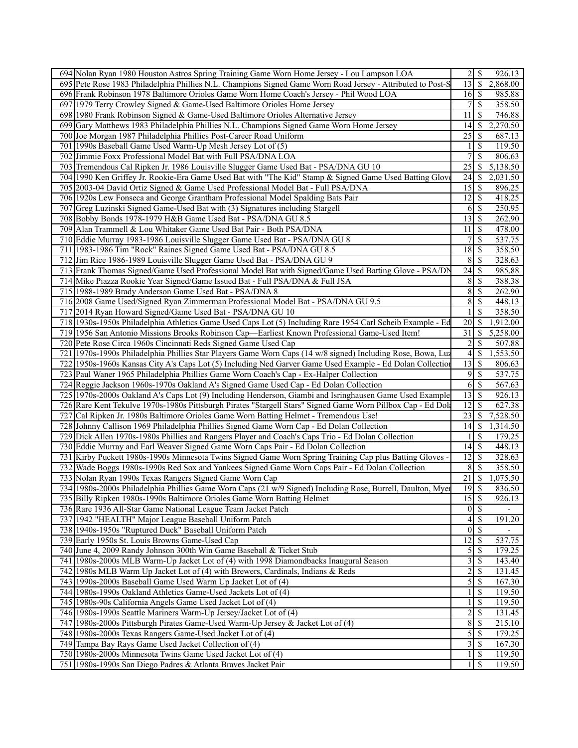| 694 Nolan Ryan 1980 Houston Astros Spring Training Game Worn Home Jersey - Lou Lampson LOA                   | \$<br>$\overline{2}$<br>926.13            |
|--------------------------------------------------------------------------------------------------------------|-------------------------------------------|
| 695 Pete Rose 1983 Philadelphia Phillies N.L. Champions Signed Game Worn Road Jersey - Attributed to Post-S  | 13<br>$\mathbb{S}$<br>2,868.00            |
| 696 Frank Robinson 1978 Baltimore Orioles Game Worn Home Coach's Jersey - Phil Wood LOA                      | 16<br>985.88<br>-S                        |
| 697 1979 Terry Crowley Signed & Game-Used Baltimore Orioles Home Jersey                                      | 7<br><sup>\$</sup><br>358.50              |
| 698 1980 Frank Robinson Signed & Game-Used Baltimore Orioles Alternative Jersey                              | 11<br>S<br>746.88                         |
| 699 Gary Matthews 1983 Philadelphia Phillies N.L. Champions Signed Game Worn Home Jersey                     | 14<br>$\mathbb{S}$<br>2,270.50            |
| 700 Joe Morgan 1987 Philadelphia Phillies Post-Career Road Uniform                                           | 25<br>\$<br>687.13                        |
| 701 1990s Baseball Game Used Warm-Up Mesh Jersey Lot of (5)                                                  | <sup>\$</sup><br>119.50                   |
| 702 Jimmie Foxx Professional Model Bat with Full PSA/DNA LOA                                                 | $\overline{7}$<br>\$<br>806.63            |
| 703 Tremendous Cal Ripken Jr. 1986 Louisville Slugger Game Used Bat - PSA/DNA GU 10                          | 25<br>\$<br>5,138.50                      |
| 704 1990 Ken Griffey Jr. Rookie-Era Game Used Bat with "The Kid" Stamp & Signed Game Used Batting Glove      | 24<br>\$<br>2,031.50                      |
| 705 2003-04 David Ortiz Signed & Game Used Professional Model Bat - Full PSA/DNA                             | 15<br>$\mathbb{S}$<br>896.25              |
| 706 1920s Lew Fonseca and George Grantham Professional Model Spalding Bats Pair                              | $\mathbb{S}$<br>12<br>418.25              |
| 707 Greg Luzinski Signed Game-Used Bat with (3) Signatures including Stargell                                | <sup>\$</sup><br>250.95<br>6              |
| Bobby Bonds 1978-1979 H&B Game Used Bat - PSA/DNA GU 8.5<br>708                                              | 13<br>$\mathbb{S}$<br>262.90              |
| 709 Alan Trammell & Lou Whitaker Game Used Bat Pair - Both PSA/DNA                                           | <sup>\$</sup><br>478.00<br>11             |
| 710 Eddie Murray 1983-1986 Louisville Slugger Game Used Bat - PSA/DNA GU 8                                   | \$<br>537.75                              |
| 711 1983-1986 Tim "Rock" Raines Signed Game Used Bat - PSA/DNA GU 8.5                                        | 18<br><sup>\$</sup><br>358.50             |
| 712 Jim Rice 1986-1989 Louisville Slugger Game Used Bat - PSA/DNA GU 9                                       | 8<br><sup>\$</sup><br>328.63              |
| 713 Frank Thomas Signed/Game Used Professional Model Bat with Signed/Game Used Batting Glove - PSA/DN        | 24<br>\$<br>985.88                        |
| 714 Mike Piazza Rookie Year Signed/Game Issued Bat - Full PSA/DNA & Full JSA                                 | 8<br>$\mathbb{S}$<br>388.38               |
| 715 1988-1989 Brady Anderson Game Used Bat - PSA/DNA 8                                                       | 8<br>$\mathbb{S}$<br>262.90               |
| 716 2008 Game Used/Signed Ryan Zimmerman Professional Model Bat - PSA/DNA GU 9.5                             | \$<br>8<br>448.13                         |
| 717 2014 Ryan Howard Signed/Game Used Bat - PSA/DNA GU 10                                                    | \$<br>358.50                              |
| 718 1930s-1950s Philadelphia Athletics Game Used Caps Lot (5) Including Rare 1954 Carl Scheib Example - Ed   | 1,912.00<br>20<br><sup>\$</sup>           |
| 719 1956 San Antonio Missions Brooks Robinson Cap—Earliest Known Professional Game-Used Item!                | 31<br>5,258.00<br>\$.                     |
| 720 Pete Rose Circa 1960s Cincinnati Reds Signed Game Used Cap                                               | $\overline{2}$<br><sup>\$</sup><br>507.88 |
| 721 1970s-1990s Philadelphia Phillies Star Players Game Worn Caps (14 w/8 signed) Including Rose, Bowa, Luz  | \$<br>1,553.50<br>$\overline{4}$          |
| 722 1950s-1960s Kansas City A's Caps Lot (5) Including Ned Garver Game Used Example - Ed Dolan Collection    | 13<br><sup>\$</sup><br>806.63             |
| 723 Paul Waner 1965 Philadelphia Phillies Game Worn Coach's Cap - Ex-Halper Collection                       | 9<br>\$<br>537.75                         |
| 724 Reggie Jackson 1960s-1970s Oakland A's Signed Game Used Cap - Ed Dolan Collection                        | $\mathbb{S}$<br>567.63<br>6               |
| 725 1970s-2000s Oakland A's Caps Lot (9) Including Henderson, Giambi and Isringhausen Game Used Example      | 13<br>\$<br>926.13                        |
| 726 Rare Kent Tekulve 1970s-1980s Pittsburgh Pirates "Stargell Stars" Signed Game Worn Pillbox Cap - Ed Dola | 12<br><sup>\$</sup><br>627.38             |
| Cal Ripken Jr. 1980s Baltimore Orioles Game Worn Batting Helmet - Tremendous Use!<br>727                     | 23<br>7,528.50<br>$\mathbb{S}$            |
| 728 Johnny Callison 1969 Philadelphia Phillies Signed Game Worn Cap - Ed Dolan Collection                    | 14<br>\$<br>1,314.50                      |
| 729 Dick Allen 1970s-1980s Phillies and Rangers Player and Coach's Caps Trio - Ed Dolan Collection           | \$<br>179.25                              |
| 730 Eddie Murray and Earl Weaver Signed Game Worn Caps Pair - Ed Dolan Collection                            | $\mathbb{S}$<br>448.13<br>14              |
| 731 Kirby Puckett 1980s-1990s Minnesota Twins Signed Game Worn Spring Training Cap plus Batting Gloves       | 12<br>\$<br>328.63                        |
| 732 Wade Boggs 1980s-1990s Red Sox and Yankees Signed Game Worn Caps Pair - Ed Dolan Collection              | \$<br>358.50<br>8                         |
| 733 Nolan Ryan 1990s Texas Rangers Signed Game Worn Cap                                                      | $\overline{21}$ \$<br>,075.50             |
| 734 1980s-2000s Philadelphia Phillies Game Worn Caps (21 w/9 Signed) Including Rose, Burrell, Daulton, Myer  | $\overline{\mathcal{S}}$<br>19<br>836.50  |
| 735 Billy Ripken 1980s-1990s Baltimore Orioles Game Worn Batting Helmet                                      | 15<br>-S<br>926.13                        |
| 736 Rare 1936 All-Star Game National League Team Jacket Patch                                                | $\mathbb{S}$<br>$\overline{0}$            |
| 737 1942 "HEALTH" Major League Baseball Uniform Patch                                                        | $\mathbb{S}$<br>191.20<br>4               |
| 738 1940s-1950s "Ruptured Duck" Baseball Uniform Patch                                                       | $\mathbb{S}$<br>$\vert 0 \vert$           |
| 739 Early 1950s St. Louis Browns Game-Used Cap                                                               | 12 <br>-S<br>537.75                       |
| 740 June 4, 2009 Randy Johnson 300th Win Game Baseball & Ticket Stub                                         | $\mathfrak{S}$<br>179.25<br><sup>\$</sup> |
| 741 1980s-2000s MLB Warm-Up Jacket Lot of (4) with 1998 Diamondbacks Inaugural Season                        | $\overline{3}$<br>\$<br>143.40            |
| 742 1980s MLB Warm Up Jacket Lot of (4) with Brewers, Cardinals, Indians & Reds                              | $\overline{2}$<br><sup>\$</sup><br>131.45 |
| 743 1990s-2000s Baseball Game Used Warm Up Jacket Lot of (4)                                                 | $\overline{5}$<br>$\mathcal{S}$<br>167.30 |
| 744 1980s-1990s Oakland Athletics Game-Used Jackets Lot of (4)                                               | S<br>119.50                               |
| 745 1980s-90s California Angels Game Used Jacket Lot of (4)                                                  | \$<br>119.50                              |
| 746 1980s-1990s Seattle Mariners Warm-Up Jersey/Jacket Lot of (4)                                            | $\overline{c}$<br>\$<br>131.45            |
| 747 1980s-2000s Pittsburgh Pirates Game-Used Warm-Up Jersey & Jacket Lot of (4)                              | 8 <sup>1</sup><br><sup>\$</sup><br>215.10 |
| 748 1980s-2000s Texas Rangers Game-Used Jacket Lot of (4)                                                    | $\mathfrak{S}$<br>\$<br>179.25            |
| 749 Tampa Bay Rays Game Used Jacket Collection of (4)                                                        | $\overline{\mathbf{3}}$<br>167.30<br>-S   |
| 750 1980s-2000s Minnesota Twins Game Used Jacket Lot of (4)                                                  | <sup>\$</sup><br>119.50                   |
| 751 1980s-1990s San Diego Padres & Atlanta Braves Jacket Pair                                                | <sup>\$</sup><br>119.50<br>1              |
|                                                                                                              |                                           |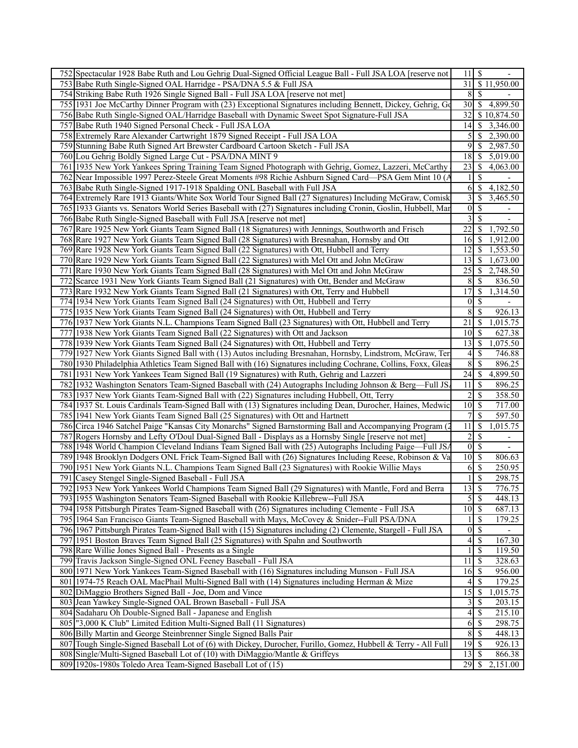| 752 Spectacular 1928 Babe Ruth and Lou Gehrig Dual-Signed Official League Ball - Full JSA LOA [reserve not     | $11 \mid S$                       |                           |
|----------------------------------------------------------------------------------------------------------------|-----------------------------------|---------------------------|
| 753 Babe Ruth Single-Signed OAL Harridge - PSA/DNA 5.5 & Full JSA                                              |                                   | 31 \$11,950.00            |
| 754 Striking Babe Ruth 1926 Single Signed Ball - Full JSA LOA [reserve not met]                                | 8<br><sup>\$</sup>                |                           |
| 755 1931 Joe McCarthy Dinner Program with (23) Exceptional Signatures including Bennett, Dickey, Gehrig, Gd    | 30                                | \$4,899.50                |
| 756 Babe Ruth Single-Signed OAL/Harridge Baseball with Dynamic Sweet Spot Signature-Full JSA                   | 32 <sup>1</sup>                   | \$10,874.50               |
| 757 Babe Ruth 1940 Signed Personal Check - Full JSA LOA                                                        |                                   | $14$ \$ 3,346.00          |
| 758 Extremely Rare Alexander Cartwright 1879 Signed Receipt - Full JSA LOA                                     | 5 <sub>l</sub>                    | \$2,390.00                |
| 759 Stunning Babe Ruth Signed Art Brewster Cardboard Cartoon Sketch - Full JSA                                 | 9                                 | \$<br>2,987.50            |
| 760 Lou Gehrig Boldly Signed Large Cut - PSA/DNA MINT 9                                                        |                                   | 5,019.00                  |
| 761 1935 New York Yankees Spring Training Team Signed Photograph with Gehrig, Gomez, Lazzeri, McCarthy         | 23<br>-S                          | 4,063.00                  |
| 762 Near Impossible 1997 Perez-Steele Great Moments #98 Richie Ashburn Signed Card—PSA Gem Mint 10 (A          |                                   | <sup>\$</sup>             |
| 763 Babe Ruth Single-Signed 1917-1918 Spalding ONL Baseball with Full JSA                                      | 6<br>-S                           | 4,182.50                  |
| 764 Extremely Rare 1913 Giants/White Sox World Tour Signed Ball (27 Signatures) Including McGraw, Comisk       | $3 \mid$ \$                       | 3,465.50                  |
| 765 1933 Giants vs. Senators World Series Baseball with (27) Signatures including Cronin, Goslin, Hubbell, Mar | 0 <br>\$                          |                           |
| 766 Babe Ruth Single-Signed Baseball with Full JSA [reserve not met]                                           | 3                                 | \$<br>$\blacksquare$      |
| 767 Rare 1925 New York Giants Team Signed Ball (18 Signatures) with Jennings, Southworth and Frisch            | 22                                | S<br>1,792.50             |
| 768 Rare 1927 New York Giants Team Signed Ball (28 Signatures) with Bresnahan, Hornsby and Ott                 | 16I                               | 1,912.00<br>-S            |
| 769 Rare 1928 New York Giants Team Signed Ball (22 Signatures) with Ott, Hubbell and Terry                     | 12 <sup>1</sup>                   | S<br>1,553.50             |
| 770 Rare 1929 New York Giants Team Signed Ball (22 Signatures) with Mel Ott and John McGraw                    | 13                                | <sup>\$</sup><br>1,673.00 |
| 771 Rare 1930 New York Giants Team Signed Ball (28 Signatures) with Mel Ott and John McGraw                    | 25                                | <sup>\$</sup><br>2,748.50 |
| 772 Scarce 1931 New York Giants Team Signed Ball (21 Signatures) with Ott, Bender and McGraw                   | 8                                 | S<br>836.50               |
| 773 Rare 1932 New York Giants Team Signed Ball (21 Signatures) with Ott, Terry and Hubbell                     | 17                                | <sup>\$</sup><br>1,314.50 |
| 774 1934 New York Giants Team Signed Ball (24 Signatures) with Ott, Hubbell and Terry                          | $\overline{0}$<br>-S              |                           |
| 775 1935 New York Giants Team Signed Ball (24 Signatures) with Ott, Hubbell and Terry                          | 8<br>-S                           | $\overline{926.13}$       |
| 776 1937 New York Giants N.L. Champions Team Signed Ball (23 Signatures) with Ott, Hubbell and Terry           | 21<br>-S                          | 1,015.75                  |
| 777 1938 New York Giants Team Signed Ball (22 Signatures) with Ott and Jackson                                 | $10\vert S$                       | 627.38                    |
| 778 1939 New York Giants Team Signed Ball (24 Signatures) with Ott, Hubbell and Terry                          | $13 \mid S$                       | 1,075.50                  |
| 779 1927 New York Giants Signed Ball with (13) Autos including Bresnahan, Hornsby, Lindstrom, McGraw, Ter      | 4 <sup>1</sup>                    | S<br>746.88               |
| 780 1930 Philadelphia Athletics Team Signed Ball with (16) Signatures including Cochrane, Collins, Foxx, Gleas | $\overline{8}$<br><sup>\$</sup>   | 896.25                    |
| 781 1931 New York Yankees Team Signed Ball (19 Signatures) with Ruth, Gehrig and Lazzeri                       |                                   | 4,899.50                  |
| 782 1932 Washington Senators Team-Signed Baseball with (24) Autographs Including Johnson & Berg—Full JS.       | 11<br>-S                          | 896.25                    |
| 783 1937 New York Giants Team-Signed Ball with (22) Signatures including Hubbell, Ott, Terry                   | $\overline{2}$<br>$\mathcal{S}$   | 358.50                    |
| 784 1937 St. Louis Cardinals Team-Signed Ball with (13) Signatures including Dean, Durocher, Haines, Medwic    | $10$   \$                         | 717.00                    |
| 785 1941 New York Giants Team Signed Ball (25 Signatures) with Ott and Hartnett                                | 7 <sup>1</sup><br><sup>\$</sup>   | 597.50                    |
| 786 Circa 1946 Satchel Paige "Kansas City Monarchs" Signed Barnstorming Ball and Accompanying Program (        | $11 \mid$ \$                      | 1,015.75                  |
| 787 Rogers Hornsby and Lefty O'Doul Dual-Signed Ball - Displays as a Hornsby Single [reserve not met]          | $\overline{2}$<br>-S              |                           |
| 788 1948 World Champion Cleveland Indians Team Signed Ball with (25) Autographs Including Paige—Full JS/       |                                   |                           |
| 789 1948 Brooklyn Dodgers ONL Frick Team-Signed Ball with (26) Signatures Including Reese, Robinson & Va       |                                   | 806.63                    |
| 790 1951 New York Giants N.L. Champions Team Signed Ball (23 Signatures) with Rookie Willie Mays               | -S<br><sup>6</sup>                | 250.95                    |
| 791 Casey Stengel Single-Signed Baseball - Full JSA                                                            |                                   | \$<br>298.75              |
| 792 1953 New York Yankees World Champions Team Signed Ball (29 Signatures) with Mantle, Ford and Berra         | $13 \mid$ \$                      | 776.75                    |
| 793 1955 Washington Senators Team-Signed Baseball with Rookie Killebrew--Full JSA                              | 5S                                | 448.13                    |
| 794 1958 Pittsburgh Pirates Team-Signed Baseball with (26) Signatures including Clemente - Full JSA            | $10 \overline{\smash{\big)} }$ \$ | 687.13                    |
| 795 1964 San Francisco Giants Team-Signed Baseball with Mays, McCovey & Snider--Full PSA/DNA                   | $1\overline{3}$                   | 179.25                    |
| 796 1967 Pittsburgh Pirates Team-Signed Ball with (15) Signatures including (2) Clemente, Stargell - Full JSA  | $\overline{0}$ \ $\overline{\$}$  |                           |
| 797 1951 Boston Braves Team Signed Ball (25 Signatures) with Spahn and Southworth                              | 4<br><sup>\$</sup>                | 167.30                    |
| 798 Rare Willie Jones Signed Ball - Presents as a Single                                                       |                                   | 119.50                    |
| 799 Travis Jackson Single-Signed ONL Feeney Baseball - Full JSA                                                | $11 \mid$ \$                      | 328.63                    |
| 800   1971 New York Yankees Team-Signed Baseball with (16) Signatures including Munson - Full JSA              | $16 \mid$ \$                      | 956.00                    |
| 801 1974-75 Reach OAL MacPhail Multi-Signed Ball with (14) Signatures including Herman & Mize                  | 4S                                | 179.25                    |
| 802 DiMaggio Brothers Signed Ball - Joe, Dom and Vince                                                         |                                   | 1,015.75                  |
| 803 Jean Yawkey Single-Signed OAL Brown Baseball - Full JSA                                                    | 3  <br>-S                         | 203.15                    |
| 804 Sadaharu Oh Double-Signed Ball - Japanese and English                                                      | 4S                                | 215.10                    |
| 805   "3,000 K Club" Limited Edition Multi-Signed Ball (11 Signatures)                                         |                                   | 298.75                    |
| 806 Billy Martin and George Steinbrenner Single Signed Balls Pair                                              | 8S                                | 448.13                    |
| 807 Tough Single-Signed Baseball Lot of (6) with Dickey, Durocher, Furillo, Gomez, Hubbell & Terry - All Full  |                                   | 926.13                    |
| 808 Single/Multi-Signed Baseball Lot of (10) with DiMaggio/Mantle & Griffeys                                   |                                   | 866.38                    |
| 809 1920s-1980s Toledo Area Team-Signed Baseball Lot of (15)                                                   |                                   | 2,151.00                  |
|                                                                                                                |                                   |                           |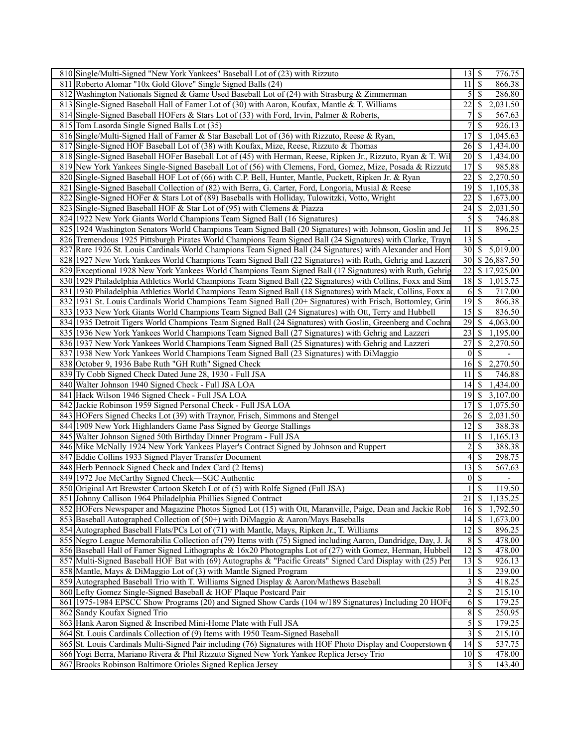| 810 Single/Multi-Signed "New York Yankees" Baseball Lot of (23) with Rizzuto                                                                       |                         | $13 \mid S$                | 776.75                      |  |
|----------------------------------------------------------------------------------------------------------------------------------------------------|-------------------------|----------------------------|-----------------------------|--|
| 811 Roberto Alomar "10x Gold Glove" Single Signed Balls (24)                                                                                       | 11 <sup>1</sup>         | $\sqrt{S}$                 | 866.38                      |  |
| 812 Washington Nationals Signed & Game Used Baseball Lot of (24) with Strasburg & Zimmerman                                                        |                         | $5 \overline{\smash{)}\,}$ | 286.80                      |  |
| 813 Single-Signed Baseball Hall of Famer Lot of (30) with Aaron, Koufax, Mantle & T. Williams                                                      | 22                      | $\mathbb{S}$               | 2,031.50                    |  |
| 814 Single-Signed Baseball HOFers & Stars Lot of (33) with Ford, Irvin, Palmer & Roberts,                                                          | 7                       | \$                         | 567.63                      |  |
| 815 Tom Lasorda Single Signed Balls Lot (35)                                                                                                       | 7                       | \$                         | 926.13                      |  |
| 816 Single/Multi-Signed Hall of Famer & Star Baseball Lot of (36) with Rizzuto, Reese & Ryan,                                                      | 17                      | \$                         | 1,045.63                    |  |
| 817 Single-Signed HOF Baseball Lot of (38) with Koufax, Mize, Reese, Rizzuto & Thomas                                                              | 26                      | $\mathbb{S}$               | 1,434.00                    |  |
| 818 Single-Signed Baseball HOFer Baseball Lot of (45) with Herman, Reese, Ripken Jr., Rizzuto, Ryan & T. Wil                                       | 20                      | $\sqrt{S}$                 | 1,434.00                    |  |
| 819 New York Yankees Single-Signed Baseball Lot of (56) with Clemens, Ford, Gomez, Mize, Posada & Rizzuto                                          | 17                      | \$                         | 985.88                      |  |
| 820 Single-Signed Baseball HOF Lot of (66) with C.P. Bell, Hunter, Mantle, Puckett, Ripken Jr. & Ryan                                              | 22                      |                            | \$2,270.50                  |  |
| 821 Single-Signed Baseball Collection of (82) with Berra, G. Carter, Ford, Longoria, Musial & Reese                                                | 19                      |                            | \$1,105.38                  |  |
|                                                                                                                                                    |                         |                            | \$1,673.00                  |  |
| 822 Single-Signed HOFer & Stars Lot of (89) Baseballs with Holliday, Tulowitzki, Votto, Wright                                                     | 22                      |                            |                             |  |
| 823 Single-Signed Baseball HOF & Star Lot of (95) with Clemens & Piazza                                                                            | 24                      |                            | \$2,031.50                  |  |
| 824 1922 New York Giants World Champions Team Signed Ball (16 Signatures)                                                                          | 5 <sub>l</sub>          | $\sqrt{S}$                 | 746.88                      |  |
| 825 1924 Washington Senators World Champions Team Signed Ball (20 Signatures) with Johnson, Goslin and Je                                          | 11                      | \$                         | 896.25                      |  |
| 826 Tremendous 1925 Pittsburgh Pirates World Champions Team Signed Ball (24 Signatures) with Clarke, Trayn                                         | 13                      | \$                         |                             |  |
| 827 Rare 1926 St. Louis Cardinals World Champions Team Signed Ball (24 Signatures) with Alexander and Horr                                         |                         |                            | $\overline{30}$ \$ 5,019.00 |  |
| 828 1927 New York Yankees World Champions Team Signed Ball (22 Signatures) with Ruth, Gehrig and Lazzeri                                           |                         |                            | 30 \$26,887.50              |  |
| 829 Exceptional 1928 New York Yankees World Champions Team Signed Ball (17 Signatures) with Ruth, Gehrig                                           | 22                      |                            | \$17,925.00                 |  |
| 830 1929 Philadelphia Athletics World Champions Team Signed Ball (22 Signatures) with Collins, Foxx and Sim                                        | 18                      |                            | \$1,015.75                  |  |
| 831 1930 Philadelphia Athletics World Champions Team Signed Ball (18 Signatures) with Mack, Collins, Foxx a                                        | 6                       | $\mathbb{S}$               | 717.00                      |  |
| 832 1931 St. Louis Cardinals World Champions Team Signed Ball (20+ Signatures) with Frisch, Bottomley, Grin                                        | 19                      | $\mathbb{S}$               | 866.38                      |  |
| 833 1933 New York Giants World Champions Team Signed Ball (24 Signatures) with Ott, Terry and Hubbell                                              | 15                      | $\mathbb{S}$               | 836.50                      |  |
| 834 1935 Detroit Tigers World Champions Team Signed Ball (24 Signatures) with Goslin, Greenberg and Cochra                                         | 29                      | $\mathbb{S}$               | 4,063.00                    |  |
| 835 1936 New York Yankees World Champions Team Signed Ball (27 Signatures) with Gehrig and Lazzeri                                                 | $\overline{23}$         |                            | \$1,195.00                  |  |
| 836 1937 New York Yankees World Champions Team Signed Ball (25 Signatures) with Gehrig and Lazzeri                                                 | 27                      |                            | \$2,270.50                  |  |
| 837 1938 New York Yankees World Champions Team Signed Ball (23 Signatures) with DiMaggio                                                           | $\vert 0 \vert$         | \$                         |                             |  |
| 838 October 9, 1936 Babe Ruth "GH Ruth" Signed Check                                                                                               | 16                      |                            | \$2,270.50                  |  |
| 839 Ty Cobb Signed Check Dated June 28, 1930 - Full JSA                                                                                            | 11                      | <sup>\$</sup>              | 746.88                      |  |
| 840 Walter Johnson 1940 Signed Check - Full JSA LOA                                                                                                | 14                      | $\mathbb{S}$               | 1,434.00                    |  |
| 841 Hack Wilson 1946 Signed Check - Full JSA LOA                                                                                                   | 19                      |                            | \$3,107.00                  |  |
| 842 Jackie Robinson 1959 Signed Personal Check - Full JSA LOA                                                                                      | 17                      |                            | $\overline{S}$ 1,075.50     |  |
| 843 HOFers Signed Checks Lot (39) with Traynor, Frisch, Simmons and Stengel                                                                        | 26                      | $\mathbb{S}$               | 2,031.50                    |  |
| 844 1909 New York Highlanders Game Pass Signed by George Stallings                                                                                 | 12                      | S                          | 388.38                      |  |
| 845 Walter Johnson Signed 50th Birthday Dinner Program - Full JSA                                                                                  | 11                      | $\mathbb{S}$               | 1,165.13                    |  |
| 846 Mike McNally 1924 New York Yankees Player's Contract Signed by Johnson and Ruppert                                                             | 2                       | \$                         | 388.38                      |  |
| 847 Eddie Collins 1933 Signed Player Transfer Document                                                                                             | $\vert 4 \vert$         | $\mathbb{S}$               | 298.75                      |  |
| 848 Herb Pennock Signed Check and Index Card (2 Items)                                                                                             | 13                      | <sup>\$</sup>              | 567.63                      |  |
| 849 1972 Joe McCarthy Signed Check—SGC Authentic                                                                                                   | $\vert 0 \vert$         | \$                         |                             |  |
|                                                                                                                                                    | $\mathbf{1}$            | $\mathbf S$                | 119.50                      |  |
| 850 Original Art Brewster Cartoon Sketch Lot of (5) with Rolfe Signed (Full JSA)<br>851 Johnny Callison 1964 Philadelphia Phillies Signed Contract |                         |                            |                             |  |
|                                                                                                                                                    | 21                      |                            | \$1,135.25                  |  |
| 852 HOFers Newspaper and Magazine Photos Signed Lot (15) with Ott, Maranville, Paige, Dean and Jackie Rob                                          | 16                      | $\overline{\mathcal{S}}$   | 1,792.50                    |  |
| 853 Baseball Autographed Collection of (50+) with DiMaggio & Aaron/Mays Baseballs                                                                  |                         |                            | $14 \quad $1,673.00$        |  |
| 854 Autographed Baseball Flats/PCs Lot of (71) with Mantle, Mays, Ripken Jr., T. Williams                                                          | $\overline{12}$         | <sup>\$</sup>              | 896.25                      |  |
| 855 Negro League Memorabilia Collection of (79) Items with (75) Signed including Aaron, Dandridge, Day, J. Jo                                      | 8                       | \$                         | 478.00                      |  |
| 856 Baseball Hall of Famer Signed Lithographs & 16x20 Photographs Lot of (27) with Gomez, Herman, Hubbell                                          | 12                      | \$                         | 478.00                      |  |
| 857 Multi-Signed Baseball HOF Bat with (69) Autographs & "Pacific Greats" Signed Card Display with (25) Per                                        | $\overline{13}$         | \$                         | 926.13                      |  |
| 858 Mantle, Mays & DiMaggio Lot of (3) with Mantle Signed Program                                                                                  | 1                       | \$                         | 239.00                      |  |
| 859 Autographed Baseball Trio with T. Williams Signed Display & Aaron/Mathews Baseball                                                             | $\overline{\mathbf{3}}$ | $\mathbb{S}$               | 418.25                      |  |
| 860 Lefty Gomez Single-Signed Baseball & HOF Plaque Postcard Pair                                                                                  | $\overline{c}$          | \$                         | 215.10                      |  |
| 861 1975-1984 EPSCC Show Programs (20) and Signed Show Cards (104 w/189 Signatures) Including 20 HOFe                                              | 6                       | $\mathbb{S}$               | 179.25                      |  |
| 862 Sandy Koufax Signed Trio                                                                                                                       | $\overline{8}$          | \$                         | 250.95                      |  |
| 863 Hank Aaron Signed & Inscribed Mini-Home Plate with Full JSA                                                                                    | 5                       | $\mathbb{S}$               | 179.25                      |  |
| 864 St. Louis Cardinals Collection of (9) Items with 1950 Team-Signed Baseball                                                                     | 3                       | \$                         | 215.10                      |  |
| 865 St. Louis Cardinals Multi-Signed Pair including (76) Signatures with HOF Photo Display and Cooperstown (                                       |                         | $14 \mid$ \$               | 537.75                      |  |
| 866 Yogi Berra, Mariano Rivera & Phil Rizzuto Signed New York Yankee Replica Jersey Trio                                                           |                         | $10 \mid$ \$               | 478.00                      |  |
| 867 Brooks Robinson Baltimore Orioles Signed Replica Jersey                                                                                        |                         |                            | 143.40                      |  |
|                                                                                                                                                    |                         |                            |                             |  |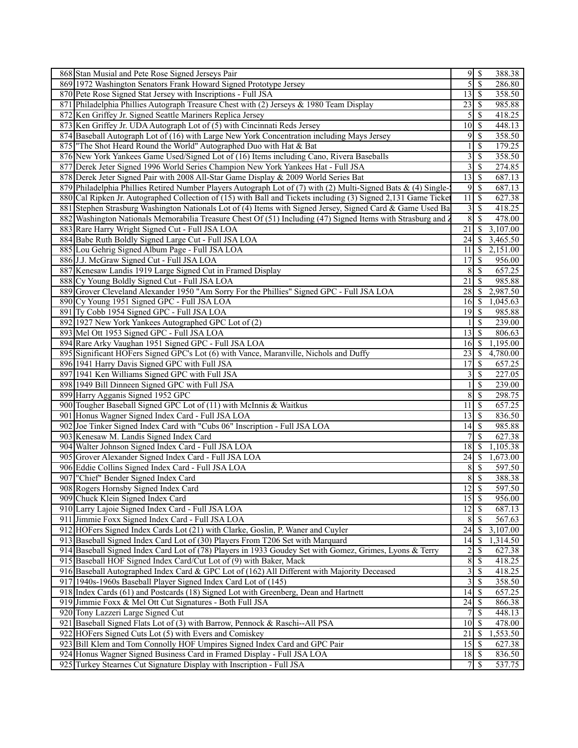|     | 868 Stan Musial and Pete Rose Signed Jerseys Pair                                                              |                                    | $9 \mid$ \$              | 388.38           |
|-----|----------------------------------------------------------------------------------------------------------------|------------------------------------|--------------------------|------------------|
|     | 869 1972 Washington Senators Frank Howard Signed Prototype Jersey                                              | 5                                  | $\overline{\mathcal{S}}$ | 286.80           |
|     | 870 Pete Rose Signed Stat Jersey with Inscriptions - Full JSA                                                  | 13                                 | $\mathbf{\hat{s}}$       | 358.50           |
| 871 | Philadelphia Phillies Autograph Treasure Chest with (2) Jerseys & 1980 Team Display                            | 23                                 | $\mathcal{S}$            | 985.88           |
|     | 872 Ken Griffey Jr. Signed Seattle Mariners Replica Jersey                                                     | 5                                  | -S                       | 418.25           |
|     | 873 Ken Griffey Jr. UDA Autograph Lot of (5) with Cincinnati Reds Jersey                                       | 10                                 | $\sqrt{S}$               | 448.13           |
|     | 874 Baseball Autograph Lot of (16) with Large New York Concentration including Mays Jersey                     | 9                                  | $\overline{\mathcal{S}}$ | 358.50           |
|     | 875 The Shot Heard Round the World" Autographed Duo with Hat & Bat                                             |                                    | $\mathbb{S}$             | 179.25           |
|     | 876 New York Yankees Game Used/Signed Lot of (16) Items including Cano, Rivera Baseballs                       | 3                                  | $\mathbb{S}$             | 358.50           |
| 877 | Derek Jeter Signed 1996 World Series Champion New York Yankees Hat - Full JSA                                  | 3                                  | $\overline{\mathcal{S}}$ | 274.85           |
|     | 878 Derek Jeter Signed Pair with 2008 All-Star Game Display & 2009 World Series Bat                            | 13                                 | $\mathbb{S}$             | 687.13           |
|     | 879 Philadelphia Phillies Retired Number Players Autograph Lot of (7) with (2) Multi-Signed Bats & (4) Single- | 9                                  | $\sqrt{3}$               | 687.13           |
|     | 880 Cal Ripken Jr. Autographed Collection of (15) with Ball and Tickets including (3) Signed 2,131 Game Ticket | 11                                 | -\$                      | 627.38           |
|     | 881 Stephen Strasburg Washington Nationals Lot of (4) Items with Signed Jersey, Signed Card & Game Used Ba     | 3                                  | $\mathbb{S}$             | 418.25           |
| 882 | Washington Nationals Memorabilia Treasure Chest Of (51) Including (47) Signed Items with Strasburg and 1       | $\overline{8}$                     | $\overline{\mathcal{S}}$ | 478.00           |
|     | 883 Rare Harry Wright Signed Cut - Full JSA LOA                                                                | 21                                 | $\mathbb{S}$             | 3,107.00         |
|     | 884 Babe Ruth Boldly Signed Large Cut - Full JSA LOA                                                           | 24                                 | -S                       | 3,465.50         |
|     | 885 Lou Gehrig Signed Album Page - Full JSA LOA                                                                | 11                                 | -\$                      | 2,151.00         |
|     | 886 J.J. McGraw Signed Cut - Full JSA LOA                                                                      | 17                                 | $\mathcal{S}$            | 956.00           |
|     | 887 Kenesaw Landis 1919 Large Signed Cut in Framed Display                                                     | 8                                  | $\mathcal{S}$            | 657.25           |
|     | 888 Cy Young Boldly Signed Cut - Full JSA LOA                                                                  | 21                                 | $\mathcal{S}$            | 985.88           |
|     | 889 Grover Cleveland Alexander 1950 "Am Sorry For the Phillies" Signed GPC - Full JSA LOA                      | 28                                 | $\mathcal{S}$            | 2,987.50         |
|     | 890 Cy Young 1951 Signed GPC - Full JSA LOA                                                                    | 16                                 | \$                       | 1,045.63         |
|     | 891 Ty Cobb 1954 Signed GPC - Full JSA LOA                                                                     | 19                                 | S                        | 985.88           |
|     | 892 1927 New York Yankees Autographed GPC Lot of (2)                                                           |                                    | $\mathcal{S}$            | 239.00           |
|     | 893 Mel Ott 1953 Signed GPC - Full JSA LOA                                                                     | 13                                 | -\$                      | 806.63           |
|     | 894 Rare Arky Vaughan 1951 Signed GPC - Full JSA LOA                                                           | 16                                 | $\sqrt{S}$               | 1,195.00         |
|     | 895 Significant HOFers Signed GPC's Lot (6) with Vance, Maranville, Nichols and Duffy                          | 23                                 | $\mathcal{S}$            | 4,780.00         |
|     | 896 1941 Harry Davis Signed GPC with Full JSA                                                                  | 17                                 | $\mathbb{S}$             | 657.25           |
|     | 897 1941 Ken Williams Signed GPC with Full JSA                                                                 | 3                                  | -\$                      | 227.05           |
|     | 898 1949 Bill Dinneen Signed GPC with Full JSA                                                                 |                                    | $\mathcal{S}$            | 239.00           |
|     | 899 Harry Agganis Signed 1952 GPC                                                                              | 8                                  | $\mathcal{S}$            | 298.75           |
|     | 900 Tougher Baseball Signed GPC Lot of (11) with McInnis & Waitkus                                             | 11                                 | -\$                      | 657.25           |
| 901 | Honus Wagner Signed Index Card - Full JSA LOA                                                                  | 13                                 | $\mathbb{S}$             | 836.50           |
|     | 902 Joe Tinker Signed Index Card with "Cubs 06" Inscription - Full JSA LOA                                     | 14                                 | $\mathbb{S}$             | 985.88           |
|     | 903 Kenesaw M. Landis Signed Index Card                                                                        | 7                                  | $\mathcal{S}$            | 627.38           |
|     | 904 Walter Johnson Signed Index Card - Full JSA LOA                                                            | 18                                 | $\mathcal{S}$            | 1,105.38         |
|     | 905 Grover Alexander Signed Index Card - Full JSA LOA                                                          |                                    |                          | 1,673.00         |
|     | 906 Eddie Collins Signed Index Card - Full JSA LOA                                                             | 8                                  | $\mathcal{S}$            | 597.50           |
|     | 907   "Chief" Bender Signed Index Card                                                                         | $\overline{8}$                     | $\overline{\mathcal{S}}$ | 388.38           |
|     | 908 Rogers Hornsby Signed Index Card                                                                           | 12                                 | $\overline{\mathcal{S}}$ | 597.50           |
|     | 909 Chuck Klein Signed Index Card                                                                              | 15                                 | l \$                     | 956.00           |
|     | 910 Larry Lajoie Signed Index Card - Full JSA LOA                                                              | 12                                 | $\sqrt{S}$               | 687.13           |
|     | 911 Jimmie Foxx Signed Index Card - Full JSA LOA                                                               | 8                                  | -\$                      | 567.63           |
|     | 912 HOFers Signed Index Cards Lot (21) with Clarke, Goslin, P. Waner and Cuyler                                | 24                                 | $\mathcal{S}$            | 3,107.00         |
|     | 913 Baseball Signed Index Card Lot of (30) Players From T206 Set with Marquard                                 | 14                                 | - \$                     | 1,314.50         |
|     | 914 Baseball Signed Index Card Lot of (78) Players in 1933 Goudey Set with Gomez, Grimes, Lyons & Terry        | 2                                  | -S                       | 627.38           |
|     | 915 Baseball HOF Signed Index Card/Cut Lot of (9) with Baker, Mack                                             | $\,$ $\,$                          | -\$                      | 418.25           |
|     | 916 Baseball Autographed Index Card & GPC Lot of (162) All Different with Majority Deceased                    | 3                                  | -\$                      | 418.25           |
|     | 917 1940s-1960s Baseball Player Signed Index Card Lot of (145)                                                 | 3                                  | $\sqrt{S}$               | 358.50           |
|     | 918 Index Cards (61) and Postcards (18) Signed Lot with Greenberg, Dean and Hartnett                           |                                    |                          | 657.25           |
|     | 919 Jimmie Foxx & Mel Ott Cut Signatures - Both Full JSA                                                       | 24                                 | S                        | 866.38           |
|     | 920 Tony Lazzeri Large Signed Cut                                                                              | $\overline{7}$                     | $\mathcal{S}$            | 448.13           |
| 921 | Baseball Signed Flats Lot of (3) with Barrow, Pennock & Raschi--All PSA                                        | $10$ $\sqrt{5}$                    |                          | 478.00           |
|     | 922 HOFers Signed Cuts Lot (5) with Evers and Comiskey                                                         | 21                                 | 8                        | 1,553.50         |
|     | 923 Bill Klem and Tom Connolly HOF Umpires Signed Index Card and GPC Pair                                      | 15<br>$18 \overline{\smash{)}\,5}$ | l \$                     | 627.38           |
|     | 924 Honus Wagner Signed Business Card in Framed Display - Full JSA LOA                                         |                                    |                          | 836.50<br>537.75 |
|     | 925 Turkey Stearnes Cut Signature Display with Inscription - Full JSA                                          |                                    |                          |                  |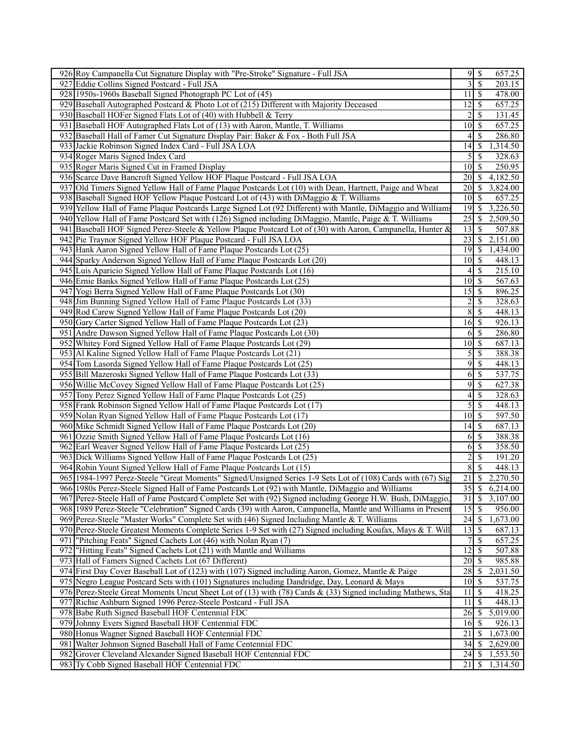|     | 926 Roy Campanella Cut Signature Display with "Pre-Stroke" Signature - Full JSA                                                                | 9                     | \$                           | 657.25                |
|-----|------------------------------------------------------------------------------------------------------------------------------------------------|-----------------------|------------------------------|-----------------------|
|     | 927 Eddie Collins Signed Postcard - Full JSA                                                                                                   | $\overline{3}$        | $\overline{\mathcal{S}}$     | 203.15                |
|     | 928 1950s-1960s Baseball Signed Photograph PC Lot of (45)                                                                                      | 11                    | $\mathcal{S}$                | 478.00                |
|     | 929 Baseball Autographed Postcard & Photo Lot of (215) Different with Majority Deceased                                                        | 12                    | \$                           | 657.25                |
|     | 930 Baseball HOFer Signed Flats Lot of (40) with Hubbell & Terry                                                                               | 2                     | \$                           | 131.45                |
|     | 931 Baseball HOF Autographed Flats Lot of (13) with Aaron, Mantle, T. Williams                                                                 | $\overline{10}$       | $\mathbb{S}$                 | 657.25                |
|     | 932 Baseball Hall of Famer Cut Signature Display Pair: Baker & Fox - Both Full JSA                                                             | 4                     | \$                           | 286.80                |
|     | 933 Jackie Robinson Signed Index Card - Full JSA LOA                                                                                           | 14                    | $\mathbb{S}$                 | 1,314.50              |
|     | 934 Roger Maris Signed Index Card                                                                                                              | $\mathfrak{S}$        | $\mathcal{S}$                | 328.63                |
|     | 935 Roger Maris Signed Cut in Framed Display                                                                                                   | 10                    | $\mathcal{S}$                | 250.95                |
|     | 936 Scarce Dave Bancroft Signed Yellow HOF Plaque Postcard - Full JSA LOA                                                                      | 20                    | \$                           | 4,182.50              |
|     | 937 Old Timers Signed Yellow Hall of Fame Plaque Postcards Lot (10) with Dean, Hartnett, Paige and Wheat                                       | 20                    | $\sqrt{S}$                   | 3,824.00              |
|     | 938 Baseball Signed HOF Yellow Plaque Postcard Lot of (43) with DiMaggio & T. Williams                                                         | $10 \mid$ \$          |                              | 657.25                |
|     | 939 Yellow Hall of Fame Plaque Postcards Large Signed Lot (92 Different) with Mantle, DiMaggio and Williams                                    | 19                    | $\mathbb{S}$                 | 3,226.50              |
|     | 940 Yellow Hall of Fame Postcard Set with (126) Signed including DiMaggio, Mantle, Paige & T. Williams                                         | $\overline{25}$       | $\mathbb{S}$                 | 2,509.50              |
|     | 941 Baseball HOF Signed Perez-Steele & Yellow Plaque Postcard Lot of (30) with Aaron, Campanella, Hunter &                                     | 13                    | $\mathbb{S}$                 | 507.88                |
|     | 942 Pie Traynor Signed Yellow HOF Plaque Postcard - Full JSA LOA                                                                               | 23                    | \$                           | 2,151.00              |
|     | 943 Hank Aaron Signed Yellow Hall of Fame Plaque Postcards Lot (25)                                                                            | 19                    | \$                           | 1,434.00              |
|     | 944 Sparky Anderson Signed Yellow Hall of Fame Plaque Postcards Lot (20)                                                                       |                       |                              | 448.13                |
|     | 945 Luis Aparicio Signed Yellow Hall of Fame Plaque Postcards Lot (16)                                                                         | 4                     | $\mathbf{\$}$                | 215.10                |
|     | 946 Ernie Banks Signed Yellow Hall of Fame Plaque Postcards Lot (25)                                                                           | 10 <sup>1</sup>       | $\sqrt{3}$                   | 567.63                |
|     | 947 Yogi Berra Signed Yellow Hall of Fame Plaque Postcards Lot (30)                                                                            | 15                    | $\mathbb{S}$                 | 896.25                |
|     | 948 Jim Bunning Signed Yellow Hall of Fame Plaque Postcards Lot (33)                                                                           | 2                     | \$                           | 328.63                |
|     | 949 Rod Carew Signed Yellow Hall of Fame Plaque Postcards Lot (20)                                                                             | 8 <sup>1</sup>        | $\mathbb{S}$                 | 448.13                |
|     | 950 Gary Carter Signed Yellow Hall of Fame Plaque Postcards Lot (23)                                                                           | $\overline{16}$ \$    |                              | 926.13                |
|     | 951 Andre Dawson Signed Yellow Hall of Fame Plaque Postcards Lot (30)                                                                          | 6                     | $\mathcal{S}$                | 286.80                |
|     | 952 Whitey Ford Signed Yellow Hall of Fame Plaque Postcards Lot (29)                                                                           | $\overline{10}$ \$    |                              | 687.13                |
|     | 953 Al Kaline Signed Yellow Hall of Fame Plaque Postcards Lot (21)                                                                             | 5                     | $\mathbb{S}$                 | 388.38                |
|     | 954 Tom Lasorda Signed Yellow Hall of Fame Plaque Postcards Lot (25)                                                                           | 9                     | $\mathbb{S}$                 | 448.13                |
|     | 955 Bill Mazeroski Signed Yellow Hall of Fame Plaque Postcards Lot (33)                                                                        | 6                     | $\mathbb{S}$                 | 537.75                |
|     | 956 Willie McCovey Signed Yellow Hall of Fame Plaque Postcards Lot (25)                                                                        | 9                     | $\overline{\mathcal{S}}$     | 627.38                |
|     | 957 Tony Perez Signed Yellow Hall of Fame Plaque Postcards Lot (25)                                                                            | 4                     | $\mathbb{S}$                 | 328.63                |
|     | 958 Frank Robinson Signed Yellow Hall of Fame Plaque Postcards Lot (17)                                                                        | 5                     | $\mathbb{S}$                 | 448.13                |
|     | 959 Nolan Ryan Signed Yellow Hall of Fame Plaque Postcards Lot (17)                                                                            | 10 <sup>1</sup><br>14 | $\mathbb{S}$<br>$\mathbb{S}$ | 597.50                |
|     | 960 Mike Schmidt Signed Yellow Hall of Fame Plaque Postcards Lot (20)                                                                          |                       |                              | 687.13                |
|     | 961 Ozzie Smith Signed Yellow Hall of Fame Plaque Postcards Lot (16)                                                                           | 6<br>6                | \$<br>$\mathbf{\$}$          | 388.38                |
|     | 962 Earl Weaver Signed Yellow Hall of Fame Plaque Postcards Lot (25)<br>963 Dick Williams Signed Yellow Hall of Fame Plaque Postcards Lot (25) | 2                     | $\mathbb{S}$                 | 358.50<br>191.20      |
|     | 964 Robin Yount Signed Yellow Hall of Fame Plaque Postcards Lot (15)                                                                           | $\sqrt{8}$            | $\overline{\mathcal{S}}$     | 448.13                |
|     | 965 1984-1997 Perez-Steele "Great Moments" Signed/Unsigned Series 1-9 Sets Lot of (108) Cards with (67) Sig                                    | $\overline{21}$ \$    |                              | 2,270.50              |
|     | 966 1980s Perez-Steele Signed Hall of Fame Postcards Lot (92) with Mantle, DiMaggio and Williams                                               | 35                    | $\overline{\$}$              | 6,214.00              |
|     | 967 Perez-Steele Hall of Fame Postcard Complete Set with (92) Signed including George H.W. Bush, DiMaggio,                                     | 31                    | $\sqrt{3}$                   | 3,107.00              |
|     | 968 1989 Perez-Steele "Celebration" Signed Cards (39) with Aaron, Campanella, Mantle and Williams in Present                                   | 15                    | $\overline{\mathcal{S}}$     | 956.00                |
|     | 969 Perez-Steele "Master Works" Complete Set with (46) Signed Including Mantle & T. Williams                                                   | 24                    | $\mathbb{S}$                 | 1,673.00              |
|     | 970 Perez-Steele Greatest Moments Complete Series 1-9 Set with (27) Signed including Koufax, Mays & T. Will                                    | 13                    | \$                           | 687.13                |
| 971 | "Pitching Feats" Signed Cachets Lot (46) with Nolan Ryan (7)                                                                                   | 7                     | \$                           | 657.25                |
| 972 | "Hitting Feats" Signed Cachets Lot (21) with Mantle and Williams                                                                               | 12                    | \$                           | 507.88                |
|     | 973 Hall of Famers Signed Cachets Lot (67 Different)                                                                                           |                       |                              | 985.88                |
|     | 974 First Day Cover Baseball Lot of (123) with (107) Signed including Aaron, Gomez, Mantle & Paige                                             | 28                    | \$                           | 2,031.50              |
|     | 975 Negro League Postcard Sets with (101) Signatures including Dandridge, Day, Leonard & Mays                                                  | $10 \mid S$           |                              | 537.75                |
|     | 976 Perez-Steele Great Moments Uncut Sheet Lot of (13) with (78) Cards & (33) Signed including Mathews, Sta                                    | 11                    | \$                           | 418.25                |
|     | 977 Richie Ashburn Signed 1996 Perez-Steele Postcard - Full JSA                                                                                | 11                    | \$                           | 448.13                |
|     | 978 Babe Ruth Signed Baseball HOF Centennial FDC                                                                                               | 26                    | $\mathbb{S}$                 | $\overline{5,019.00}$ |
|     | 979 Johnny Evers Signed Baseball HOF Centennial FDC                                                                                            | 16                    | <sup>\$</sup>                | 926.13                |
|     | 980 Honus Wagner Signed Baseball HOF Centennial FDC                                                                                            | 21                    | <sup>\$</sup>                | 1,673.00              |
|     | 981 Walter Johnson Signed Baseball Hall of Fame Centennial FDC                                                                                 | 34                    | $\mathbb S$                  | 2,629.00              |
|     | 982 Grover Cleveland Alexander Signed Baseball HOF Centennial FDC                                                                              | 24                    | \$                           | 1,553.50              |
|     | 983 Ty Cobb Signed Baseball HOF Centennial FDC                                                                                                 | 21                    | \$                           | 1,314.50              |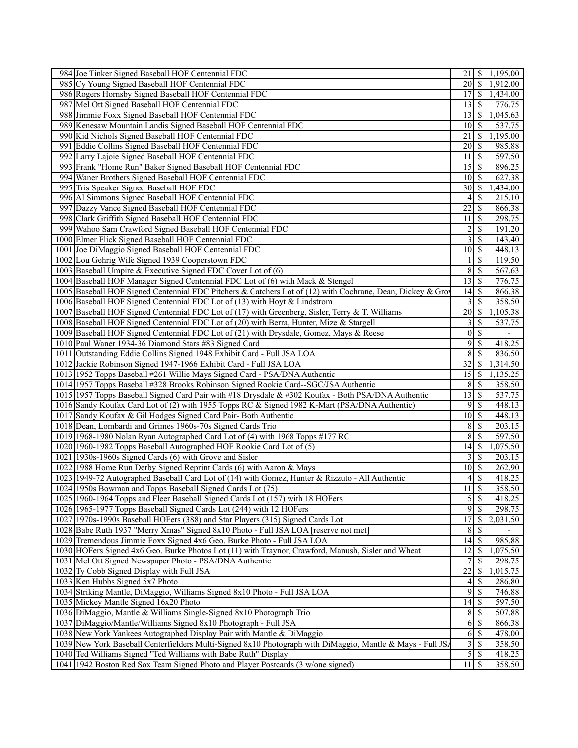| 984 Joe Tinker Signed Baseball HOF Centennial FDC                                                          | 21               | -S                       | 1,195.00 |
|------------------------------------------------------------------------------------------------------------|------------------|--------------------------|----------|
| 985 Cy Young Signed Baseball HOF Centennial FDC                                                            | 20               | $\sqrt{S}$               | 1,912.00 |
| 986 Rogers Hornsby Signed Baseball HOF Centennial FDC                                                      | 17               | -S                       | 1,434.00 |
| 987 Mel Ott Signed Baseball HOF Centennial FDC                                                             | 13               | -S                       | 776.75   |
| 988 Jimmie Foxx Signed Baseball HOF Centennial FDC                                                         | 13               | $\sqrt{S}$               | 1,045.63 |
| 989 Kenesaw Mountain Landis Signed Baseball HOF Centennial FDC                                             | 10               | - \$                     | 537.75   |
| 990 Kid Nichols Signed Baseball HOF Centennial FDC                                                         | 21               | -\$                      | 1,195.00 |
| 991 Eddie Collins Signed Baseball HOF Centennial FDC                                                       | 20               | -S                       | 985.88   |
| 992 Larry Lajoie Signed Baseball HOF Centennial FDC                                                        | 11               | 8                        | 597.50   |
| 993 Frank "Home Run" Baker Signed Baseball HOF Centennial FDC                                              | 15               | 8                        | 896.25   |
| 994 Waner Brothers Signed Baseball HOF Centennial FDC                                                      | 10               | -S                       | 627.38   |
| 995 Tris Speaker Signed Baseball HOF FDC                                                                   | 30               | 8                        | 1,434.00 |
| 996 Al Simmons Signed Baseball HOF Centennial FDC                                                          | 4                | -\$                      | 215.10   |
|                                                                                                            | 22               | -\$                      |          |
| 997 Dazzy Vance Signed Baseball HOF Centennial FDC                                                         |                  |                          | 866.38   |
| 998 Clark Griffith Signed Baseball HOF Centennial FDC                                                      | 11               | - \$                     | 298.75   |
| 999 Wahoo Sam Crawford Signed Baseball HOF Centennial FDC                                                  | 2                | <sup>\$</sup>            | 191.20   |
| 1000 Elmer Flick Signed Baseball HOF Centennial FDC                                                        | 3                | <sup>\$</sup>            | 143.40   |
| 1001 Joe DiMaggio Signed Baseball HOF Centennial FDC                                                       | 10 <sup>1</sup>  | S                        | 448.13   |
| 1002 Lou Gehrig Wife Signed 1939 Cooperstown FDC                                                           |                  | $\mathbb{S}$             | 119.50   |
| 1003 Baseball Umpire & Executive Signed FDC Cover Lot of (6)                                               | 8                | -\$                      | 567.63   |
| 1004 Baseball HOF Manager Signed Centennial FDC Lot of (6) with Mack & Stengel                             | 13               | $\mathcal{S}$            | 776.75   |
| 1005 Baseball HOF Signed Centennial FDC Pitchers & Catchers Lot of (12) with Cochrane, Dean, Dickey & Grov | 14               | $\mathcal{S}$            | 866.38   |
| 1006 Baseball HOF Signed Centennial FDC Lot of (13) with Hoyt & Lindstrom                                  | 3                | \$                       | 358.50   |
| 1007 Baseball HOF Signed Centennial FDC Lot of (17) with Greenberg, Sisler, Terry & T. Williams            | 20               | 8                        | 1,105.38 |
| 1008 Baseball HOF Signed Centennial FDC Lot of (20) with Berra, Hunter, Mize & Stargell                    | 3                | <sup>\$</sup>            | 537.75   |
| 1009 Baseball HOF Signed Centennial FDC Lot of (21) with Drysdale, Gomez, Mays & Reese                     | $\boldsymbol{0}$ | $\mathbb{S}$             |          |
| 1010 Paul Waner 1934-36 Diamond Stars #83 Signed Card                                                      | 9                | -S                       | 418.25   |
| 1011 Outstanding Eddie Collins Signed 1948 Exhibit Card - Full JSA LOA                                     | 8                | $\mathbb{S}$             | 836.50   |
| 1012 Jackie Robinson Signed 1947-1966 Exhibit Card - Full JSA LOA                                          | 32               | -S                       | 1,314.50 |
| 1013 1952 Topps Baseball #261 Willie Mays Signed Card - PSA/DNA Authentic                                  | 15               | ∣\$.                     | 1,135.25 |
| 1014 1957 Topps Baseball #328 Brooks Robinson Signed Rookie Card--SGC/JSA Authentic                        | 8                | $\mathcal{S}$            | 358.50   |
| 1015 1957 Topps Baseball Signed Card Pair with #18 Drysdale & #302 Koufax - Both PSA/DNA Authentic         | 13               | -S                       | 537.75   |
| 1016 Sandy Koufax Card Lot of (2) with 1955 Topps RC & Signed 1982 K-Mart (PSA/DNA Authentic)              | 9                | -\$                      | 448.13   |
| 1017 Sandy Koufax & Gil Hodges Signed Card Pair-Both Authentic                                             | 10               | -\$                      | 448.13   |
| 1018 Dean, Lombardi and Grimes 1960s-70s Signed Cards Trio                                                 | 8                | -S                       | 203.15   |
| 1019 1968-1980 Nolan Ryan Autographed Card Lot of (4) with 1968 Topps #177 RC                              | 8                | -S                       | 597.50   |
| 1020 1960-1982 Topps Baseball Autographed HOF Rookie Card Lot of (5)                                       | 14               | - \$                     | 1,075.50 |
| 1021 1930s-1960s Signed Cards (6) with Grove and Sisler                                                    | 3                | -\$                      | 203.15   |
|                                                                                                            |                  |                          |          |
| 1022 1988 Home Run Derby Signed Reprint Cards (6) with Aaron & Mays                                        | 10               | $\mathcal{S}$            | 262.90   |
| 1023 1949-72 Autographed Baseball Card Lot of (14) with Gomez, Hunter & Rizzuto - All Authentic            |                  | $4 \overline{\sqrt{}}$   | 418.25   |
| 1024 1950s Bowman and Topps Baseball Signed Cards Lot (75)                                                 | 11               | $\overline{\mathcal{S}}$ | 358.50   |
| 1025 1960-1964 Topps and Fleer Baseball Signed Cards Lot (157) with 18 HOFers                              | 5                | $\mathcal{S}$            | 418.25   |
| 1026 1965-1977 Topps Baseball Signed Cards Lot (244) with 12 HOFers                                        | 9                | $\mathbb{S}$             | 298.75   |
| 1027 1970s-1990s Baseball HOFers (388) and Star Players (315) Signed Cards Lot                             | 17               | <sup>\$</sup>            | 2,031.50 |
| 1028 Babe Ruth 1937 "Merry Xmas" Signed 8x10 Photo - Full JSA LOA [reserve not met]                        | 8                | $\mathbb{S}$             |          |
| 1029 Tremendous Jimmie Foxx Signed 4x6 Geo. Burke Photo - Full JSA LOA                                     | 14               | $\mathcal{S}$            | 985.88   |
| 1030 HOFers Signed 4x6 Geo. Burke Photos Lot (11) with Traynor, Crawford, Manush, Sisler and Wheat         | 12               | -S                       | 1,075.50 |
| 1031 Mel Ott Signed Newspaper Photo - PSA/DNA Authentic                                                    | 7                | \$                       | 298.75   |
| 1032 Ty Cobb Signed Display with Full JSA                                                                  | 22               | \$                       | 1,015.75 |
| 1033 Ken Hubbs Signed 5x7 Photo                                                                            | 4                | - \$                     | 286.80   |
| 1034 Striking Mantle, DiMaggio, Williams Signed 8x10 Photo - Full JSA LOA                                  | 9                | \$                       | 746.88   |
| 1035 Mickey Mantle Signed 16x20 Photo                                                                      | 14               | -S                       | 597.50   |
| 1036 DiMaggio, Mantle & Williams Single-Signed 8x10 Photograph Trio                                        | 8                | -S                       | 507.88   |
| 1037 DiMaggio/Mantle/Williams Signed 8x10 Photograph - Full JSA                                            | 6                | $\mathcal{S}$            | 866.38   |
| 1038 New York Yankees Autographed Display Pair with Mantle & DiMaggio                                      | 6                | - \$                     | 478.00   |
| 1039 New York Baseball Centerfielders Multi-Signed 8x10 Photograph with DiMaggio, Mantle & Mays - Full JS. | 3                | - \$                     | 358.50   |
| 1040 Ted Williams Signed "Ted Williams with Babe Ruth" Display                                             | 5                | $\mathbb{S}$             | 418.25   |
| 1041   1942 Boston Red Sox Team Signed Photo and Player Postcards (3 w/one signed)                         | $11 \mid S$      |                          | 358.50   |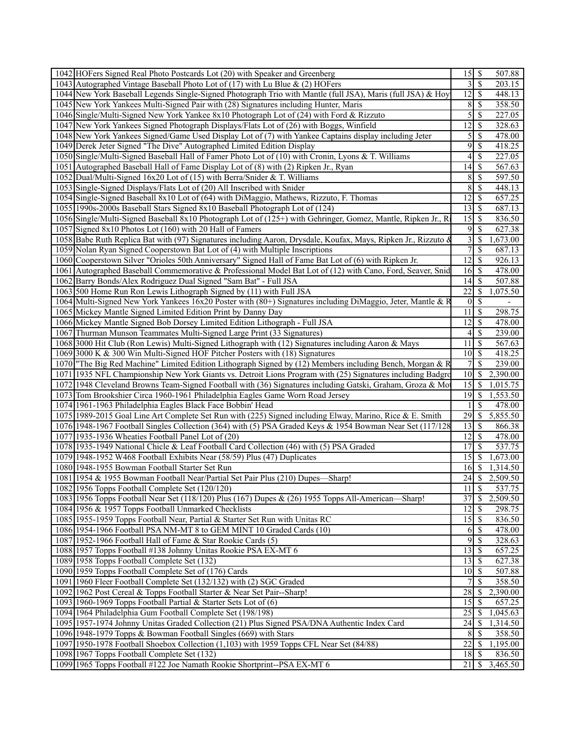| 1042 HOFers Signed Real Photo Postcards Lot (20) with Speaker and Greenberg                                    |                 |                          | 507.88              |
|----------------------------------------------------------------------------------------------------------------|-----------------|--------------------------|---------------------|
| 1043 Autographed Vintage Baseball Photo Lot of (17) with Lu Blue & (2) HOFers                                  | 3               | -\$                      | 203.15              |
| 1044 New York Baseball Legends Single-Signed Photograph Trio with Mantle (full JSA), Maris (full JSA) & Hoy    | 12              | $\mathcal{S}$            | 448.13              |
| 1045 New York Yankees Multi-Signed Pair with (28) Signatures including Hunter, Maris                           | 8               | \$                       | 358.50              |
| 1046 Single/Multi-Signed New York Yankee 8x10 Photograph Lot of (24) with Ford & Rizzuto                       | 5               | $\mathbb{S}$             | 227.05              |
| 1047 New York Yankees Signed Photograph Displays/Flats Lot of (26) with Boggs, Winfield                        | 12              | -S                       | 328.63              |
| 1048 New York Yankees Signed/Game Used Display Lot of (7) with Yankee Captains display including Jeter         | 5               | $\overline{\mathcal{S}}$ | 478.00              |
| 1049 Derek Jeter Signed "The Dive" Autographed Limited Edition Display                                         | 9               | $\mathbb{S}$             | 418.25              |
| 1050 Single/Multi-Signed Baseball Hall of Famer Photo Lot of (10) with Cronin, Lyons & T. Williams             | 4               | $\mathcal{S}$            | 227.05              |
| 1051 Autographed Baseball Hall of Fame Display Lot of (8) with (2) Ripken Jr., Ryan                            | 14              | $\mathcal{S}$            | 567.63              |
| 1052 Dual/Multi-Signed 16x20 Lot of (15) with Berra/Snider & T. Williams                                       | 8               | $\mathbb{S}$             | 597.50              |
| 1053 Single-Signed Displays/Flats Lot of (20) All Inscribed with Snider                                        | 8               | -\$                      | 448.13              |
|                                                                                                                | 12              |                          | 657.25              |
| 1054 Single-Signed Baseball 8x10 Lot of (64) with DiMaggio, Mathews, Rizzuto, F. Thomas                        |                 | -\$                      |                     |
| 1055 1990s-2000s Baseball Stars Signed 8x10 Baseball Photograph Lot of (124)                                   | 13              | $\sqrt{3}$               | 687.13              |
| 1056 Single/Multi-Signed Baseball 8x10 Photograph Lot of (125+) with Gehringer, Gomez, Mantle, Ripken Jr., R   | 15              | -\$                      | 836.50              |
| 1057 Signed 8x10 Photos Lot (160) with 20 Hall of Famers                                                       | 9               | $\mathbb{S}$             | 627.38              |
| 1058 Babe Ruth Replica Bat with (97) Signatures including Aaron, Drysdale, Koufax, Mays, Ripken Jr., Rizzuto & | 3               | \$                       | 1,673.00            |
| 1059 Nolan Ryan Signed Cooperstown Bat Lot of (4) with Multiple Inscriptions                                   | 7               | \$                       | 687.13              |
| 1060 Cooperstown Silver "Orioles 50th Anniversary" Signed Hall of Fame Bat Lot of (6) with Ripken Jr.          | 12              | $\mathcal{S}$            | 926.13              |
| 1061 Autographed Baseball Commemorative & Professional Model Bat Lot of (12) with Cano, Ford, Seaver, Snid     | 16              | -\$                      | 478.00              |
| 1062 Barry Bonds/Alex Rodriguez Dual Signed "Sam Bat" - Full JSA                                               | 14              | $\sqrt{S}$               | 507.88              |
| 1063 500 Home Run Ron Lewis Lithograph Signed by (11) with Full JSA                                            | 22              | \$                       | 1,075.50            |
| 1064 Multi-Signed New York Yankees 16x20 Poster with (80+) Signatures including DiMaggio, Jeter, Mantle & R    | $\theta$        | <sup>\$</sup>            |                     |
| 1065 Mickey Mantle Signed Limited Edition Print by Danny Day                                                   | 11              | -S                       | 298.75              |
| 1066 Mickey Mantle Signed Bob Dorsey Limited Edition Lithograph - Full JSA                                     | 12              | $\mathcal{S}$            | 478.00              |
| 1067 Thurman Munson Teammates Multi-Signed Large Print (33 Signatures)                                         | 4               | $\mathcal{S}$            | 239.00              |
| 1068 3000 Hit Club (Ron Lewis) Multi-Signed Lithograph with (12) Signatures including Aaron & Mays             | 11              | $\mathcal{S}$            | $\overline{567.63}$ |
| 1069 3000 K & 300 Win Multi-Signed HOF Pitcher Posters with (18) Signatures                                    | 10              | $\mathcal{S}$            | 418.25              |
| 1070 The Big Red Machine" Limited Edition Lithograph Signed by (12) Members including Bench, Morgan & R        | $\overline{7}$  | \$                       | 239.00              |
| 1071 1935 NFL Championship New York Giants vs. Detroit Lions Program with (25) Signatures including Badgro     | 10              | -S                       | 2,390.00            |
| 1072 1948 Cleveland Browns Team-Signed Football with (36) Signatures including Gatski, Graham, Groza & Mo      | 15              | \$                       | 1,015.75            |
| 1073 Tom Brookshier Circa 1960-1961 Philadelphia Eagles Game Worn Road Jersey                                  | 19              | $\mathbb{S}$             | 1,553.50            |
| 1074 1961-1963 Philadelphia Eagles Black Face Bobbin' Head                                                     |                 | <sup>\$</sup>            | 478.00              |
| 1075 1989-2015 Goal Line Art Complete Set Run with (225) Signed including Elway, Marino, Rice & E. Smith       | 29              | $\mathcal{S}$            | 5,855.50            |
| 1076 1948-1967 Football Singles Collection (364) with (5) PSA Graded Keys & 1954 Bowman Near Set (117/128      | 13              | -S                       | 866.38              |
| 1077 1935-1936 Wheaties Football Panel Lot of (20)                                                             | $\overline{12}$ | -\$                      | 478.00              |
| 1078 1935-1949 National Chicle & Leaf Football Card Collection (46) with (5) PSA Graded                        | 17              | $\mathbb{S}$             | 537.75              |
| 1079 1948-1952 W468 Football Exhibits Near (58/59) Plus (47) Duplicates                                        | 15              | -S                       | 1,673.00            |
| 1080 1948-1955 Bowman Football Starter Set Run                                                                 | 16              | -S                       | 1,314.50            |
| 1081 1954 & 1955 Bowman Football Near/Partial Set Pair Plus (210) Dupes-Sharp!                                 | 24              | -S                       | 2,509.50            |
| 1082 1956 Topps Football Complete Set (120/120)                                                                | 11              | $\overline{\mathcal{S}}$ | 537.75              |
| 1083 1956 Topps Football Near Set (118/120) Plus (167) Dupes & (26) 1955 Topps All-American—Sharp!             | 37              | $\overline{\mathcal{S}}$ | 2,509.50            |
| 1084 1956 & 1957 Topps Football Unmarked Checklists                                                            | 12              | $\overline{\mathcal{S}}$ | 298.75              |
| 1085 1955-1959 Topps Football Near, Partial & Starter Set Run with Unitas RC                                   |                 |                          | 836.50              |
| 1086 1954-1966 Football PSA NM-MT 8 to GEM MINT 10 Graded Cards (10)                                           | 6               | $\mathcal{S}$            | 478.00              |
| 1087 1952-1966 Football Hall of Fame & Star Rookie Cards (5)                                                   | 9               | $\mathbb{S}$             | 328.63              |
| 1088 1957 Topps Football #138 Johnny Unitas Rookie PSA EX-MT 6                                                 | 13              | -\$                      | 657.25              |
| 1089 1958 Topps Football Complete Set (132)                                                                    | 13              | -\$                      | 627.38              |
| 1090 1959 Topps Football Complete Set of (176) Cards                                                           | 10              | -\$                      | 507.88              |
| 1091 1960 Fleer Football Complete Set (132/132) with (2) SGC Graded                                            | 7               | <sup>\$</sup>            | 358.50              |
| 1092 1962 Post Cereal & Topps Football Starter & Near Set Pair--Sharp!                                         | 28              | <sup>\$</sup>            | 2,390.00            |
| 1093 1960-1969 Topps Football Partial & Starter Sets Lot of (6)                                                | 15              | -S                       | 657.25              |
| 1094 1964 Philadelphia Gum Football Complete Set (198/198)                                                     | 25              | -\$                      | 1,045.63            |
| 1095 1957-1974 Johnny Unitas Graded Collection (21) Plus Signed PSA/DNA Authentic Index Card                   | 24              | -S                       | 1,314.50            |
| 1096 1948-1979 Topps & Bowman Football Singles (669) with Stars                                                | 8               | -\$                      | 358.50              |
| 1097 1950-1978 Football Shoebox Collection (1,103) with 1959 Topps CFL Near Set (84/88)                        | 22              | $\mathbb{S}$             | 1,195.00            |
| 1098 1967 Topps Football Complete Set (132)                                                                    | 18              | $\sqrt{S}$               | 836.50              |
| 1099 1965 Topps Football #122 Joe Namath Rookie Shortprint--PSA EX-MT 6                                        | 21              | -S                       | 3,465.50            |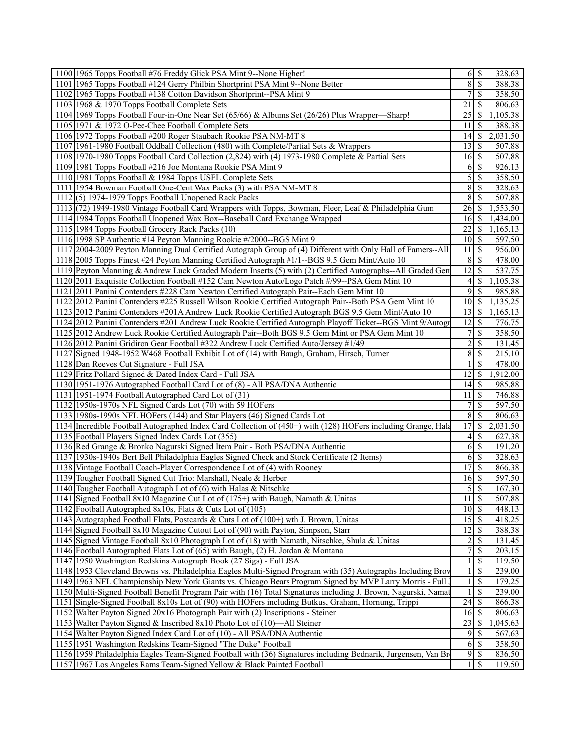| 1100 1965 Topps Football #76 Freddy Glick PSA Mint 9--None Higher!                                                                                                                      |                  | 328.63                                          |
|-----------------------------------------------------------------------------------------------------------------------------------------------------------------------------------------|------------------|-------------------------------------------------|
| 1101 1965 Topps Football #124 Gerry Philbin Shortprint PSA Mint 9--None Better                                                                                                          | 8 <sup>1</sup>   | $\mathcal{S}$<br>388.38                         |
| 1102 1965 Topps Football #138 Cotton Davidson Shortprint--PSA Mint 9                                                                                                                    | 7                | \$<br>358.50                                    |
| 1103 1968 & 1970 Topps Football Complete Sets                                                                                                                                           | 21               | 806.63<br>-S                                    |
| 1104 1969 Topps Football Four-in-One Near Set (65/66) & Albums Set (26/26) Plus Wrapper—Sharp!                                                                                          | $\overline{25}$  | 1,105.38<br><sup>\$</sup>                       |
| 1105 1971 & 1972 O-Pee-Chee Football Complete Sets                                                                                                                                      | 11               | <sup>\$</sup><br>388.38                         |
| 1106 1972 Topps Football #200 Roger Staubach Rookie PSA NM-MT 8                                                                                                                         | 4                | 2,031.50<br><sup>\$</sup>                       |
| 1107 1961-1980 Football Oddball Collection (480) with Complete/Partial Sets & Wrappers                                                                                                  | 13               | <sup>\$</sup><br>507.88                         |
| 1108 1970-1980 Topps Football Card Collection (2,824) with (4) 1973-1980 Complete & Partial Sets                                                                                        | 16               | 507.88<br>-S                                    |
| 1109 1981 Topps Football #216 Joe Montana Rookie PSA Mint 9                                                                                                                             | 6                | -S<br>926.13                                    |
| 1110 1981 Topps Football & 1984 Topps USFL Complete Sets                                                                                                                                | $\vert 5 \vert$  | <sup>\$</sup><br>358.50                         |
|                                                                                                                                                                                         |                  |                                                 |
| 1111 1954 Bowman Football One-Cent Wax Packs (3) with PSA NM-MT 8                                                                                                                       | 8                | -S<br>328.63                                    |
| $1112(5)$ 1974-1979 Topps Football Unopened Rack Packs                                                                                                                                  | 8                | 507.88<br>-S                                    |
| 1113 (72) 1949-1980 Vintage Football Card Wrappers with Topps, Bowman, Fleer, Leaf & Philadelphia Gum                                                                                   | 26               | $\mathbb{S}$<br>1,553.50                        |
| 1114 1984 Topps Football Unopened Wax Box--Baseball Card Exchange Wrapped                                                                                                               | 16               | <sup>\$</sup><br>1,434.00                       |
| 1115 1984 Topps Football Grocery Rack Packs (10)                                                                                                                                        | 22               | 1,165.13<br><sup>\$</sup>                       |
| 1116 1998 SP Authentic #14 Peyton Manning Rookie #/2000--BGS Mint 9                                                                                                                     | 10 <sup>1</sup>  | -S<br>597.50                                    |
| 1117 2004-2009 Peyton Manning Dual Certified Autograph Group of (4) Different with Only Hall of Famers--All                                                                             | 11               | -S<br>956.00                                    |
| 1118 2005 Topps Finest #24 Peyton Manning Certified Autograph #1/1--BGS 9.5 Gem Mint/Auto 10                                                                                            | 8                | -S<br>478.00                                    |
| 1119 Peyton Manning & Andrew Luck Graded Modern Inserts (5) with (2) Certified Autographs--All Graded Gen                                                                               | $\overline{12}$  | \$<br>537.75                                    |
| 1120 2011 Exquisite Collection Football #152 Cam Newton Auto/Logo Patch #/99--PSA Gem Mint 10                                                                                           | $\left 4\right $ | $\mathbb{S}$<br>1,105.38                        |
| 1121 2011 Panini Contenders #228 Cam Newton Certified Autograph Pair--Each Gem Mint 10                                                                                                  | 9                | \$<br>985.88                                    |
| 1122 2012 Panini Contenders #225 Russell Wilson Rookie Certified Autograph Pair--Both PSA Gem Mint 10                                                                                   | 10 <sup>1</sup>  | 1,135.25<br>\$                                  |
| 1123 2012 Panini Contenders #201A Andrew Luck Rookie Certified Autograph BGS 9.5 Gem Mint/Auto 10                                                                                       | 13               | <sup>\$</sup><br>1,165.13                       |
| 1124 2012 Panini Contenders #201 Andrew Luck Rookie Certified Autograph Playoff Ticket--BGS Mint 9/Autogr                                                                               | 12               | <sup>\$</sup><br>776.75                         |
| 1125 2012 Andrew Luck Rookie Certified Autograph Pair--Both BGS 9.5 Gem Mint or PSA Gem Mint 10                                                                                         | $\overline{7}$   | <sup>\$</sup><br>358.50                         |
| 1126 2012 Panini Gridiron Gear Football #322 Andrew Luck Certified Auto/Jersey #1/49                                                                                                    | $\overline{2}$   | \$<br>131.45                                    |
| 1127 Signed 1948-1952 W468 Football Exhibit Lot of (14) with Baugh, Graham, Hirsch, Turner                                                                                              | 8                | \$<br>215.10                                    |
| 1128 Dan Reeves Cut Signature - Full JSA                                                                                                                                                |                  | 478.00<br><sup>\$</sup>                         |
| 1129 Fritz Pollard Signed & Dated Index Card - Full JSA                                                                                                                                 | 12               | 1,912.00<br><sup>\$</sup>                       |
| 1130 1951-1976 Autographed Football Card Lot of (8) - All PSA/DNA Authentic                                                                                                             | 14               | 985.88<br><sup>\$</sup>                         |
|                                                                                                                                                                                         |                  |                                                 |
| 1131 1951-1974 Football Autographed Card Lot of (31)                                                                                                                                    | 11               | $\mathcal{S}$<br>746.88                         |
| 1132 1950s-1970s NFL Signed Cards Lot (70) with 59 HOFers                                                                                                                               | 7                | <sup>\$</sup><br>597.50                         |
| 1133 1980s-1990s NFL HOFers (144) and Star Players (46) Signed Cards Lot                                                                                                                | 8                | \$<br>806.63                                    |
| 1134 Incredible Football Autographed Index Card Collection of (450+) with (128) HOFers including Grange, Hala                                                                           | 17               | \$<br>2,031.50                                  |
| 1135 Football Players Signed Index Cards Lot (355)                                                                                                                                      | $\left 4\right $ | <sup>\$</sup><br>627.38                         |
| 1136 Red Grange & Bronko Nagurski Signed Item Pair - Both PSA/DNA Authentic                                                                                                             | 6                | <sup>\$</sup><br>191.20                         |
| 1137 1930s-1940s Bert Bell Philadelphia Eagles Signed Check and Stock Certificate (2 Items)                                                                                             | 6                | -S<br>328.63                                    |
| 1138 Vintage Football Coach-Player Correspondence Lot of (4) with Rooney                                                                                                                | 17               | <sup>\$</sup><br>866.38                         |
| 1139 Tougher Football Signed Cut Trio: Marshall, Neale & Herber                                                                                                                         | 16               | 597.50<br>-S                                    |
| 1140 Tougher Football Autograph Lot of (6) with Halas & Nitschke                                                                                                                        | 5 <sup>1</sup>   | $\mathbf{\$}$<br>167.30                         |
| 1141 Signed Football 8x10 Magazine Cut Lot of (175+) with Baugh, Namath & Unitas                                                                                                        |                  | 507.88                                          |
| 1142 Football Autographed 8x10s, Flats & Cuts Lot of (105)                                                                                                                              | 10               | $\overline{\mathcal{S}}$<br>448.13              |
| 1143 Autographed Football Flats, Postcards & Cuts Lot of (100+) wth J. Brown, Unitas                                                                                                    |                  | 418.25                                          |
| 1144 Signed Football 8x10 Magazine Cutout Lot of (90) with Payton, Simpson, Starr                                                                                                       | 12               | $\boldsymbol{\mathsf{S}}$<br>388.38             |
| 1145 Signed Vintage Football 8x10 Photograph Lot of (18) with Namath, Nitschke, Shula & Unitas                                                                                          | $\overline{2}$   | \$<br>131.45                                    |
| 1146 Football Autographed Flats Lot of (65) with Baugh, (2) H. Jordan & Montana                                                                                                         | 7                | <sup>\$</sup><br>203.15                         |
| 1147 1950 Washington Redskins Autograph Book (27 Sigs) - Full JSA                                                                                                                       |                  | <sup>\$</sup><br>119.50                         |
| 1148 1953 Cleveland Browns vs. Philadelphia Eagles Multi-Signed Program with (35) Autographs Including Brov                                                                             | $\mathbf{1}$     | <sup>\$</sup><br>239.00                         |
| 1149 1963 NFL Championship New York Giants vs. Chicago Bears Program Signed by MVP Larry Morris - Full                                                                                  |                  | \$<br>179.25                                    |
| 1150 Multi-Signed Football Benefit Program Pair with (16) Total Signatures including J. Brown, Nagurski, Namat                                                                          |                  | <sup>\$</sup><br>239.00                         |
| 1151 Single-Signed Football 8x10s Lot of (90) with HOFers including Butkus, Graham, Hornung, Trippi                                                                                     | 24               | \$<br>866.38                                    |
|                                                                                                                                                                                         |                  |                                                 |
|                                                                                                                                                                                         |                  |                                                 |
| 1152 Walter Payton Signed 20x16 Photograph Pair with (2) Inscriptions - Steiner                                                                                                         | 16               | 806.63<br>\$                                    |
| 1153 Walter Payton Signed & Inscribed 8x10 Photo Lot of (10)—All Steiner                                                                                                                | 23               | 1,045.63<br><sup>\$</sup>                       |
| 1154 Walter Payton Signed Index Card Lot of (10) - All PSA/DNA Authentic                                                                                                                | $\overline{9}$   | <sup>\$</sup><br>567.63                         |
| 1155 1951 Washington Redskins Team-Signed "The Duke" Football                                                                                                                           | 6                | -S<br>358.50                                    |
| 1156 1959 Philadelphia Eagles Team-Signed Football with (36) Signatures including Bednarik, Jurgensen, Van Br<br>1157 1967 Los Angeles Rams Team-Signed Yellow & Black Painted Football | $\overline{9}$   | $\mathbb{S}$<br>836.50<br>$1 \mid$ \$<br>119.50 |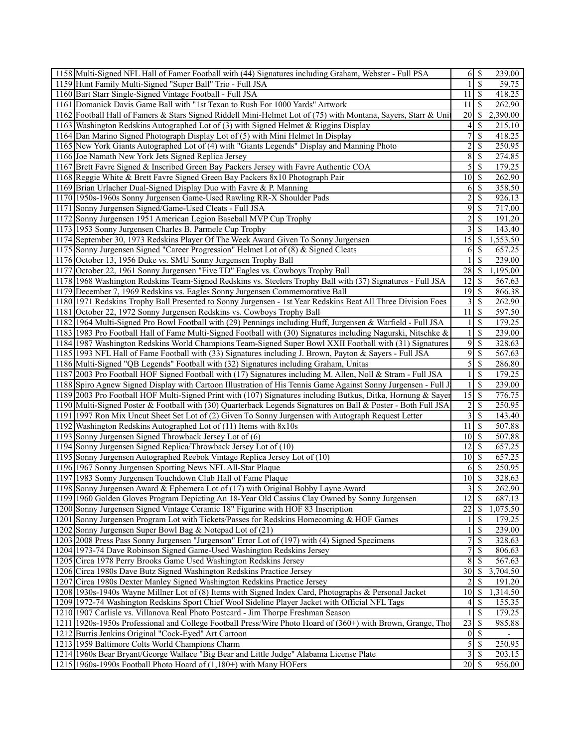| 1158 Multi-Signed NFL Hall of Famer Football with (44) Signatures including Graham, Webster - Full PSA         | 61                                            | <sup>\$</sup>             | 239.00                |  |
|----------------------------------------------------------------------------------------------------------------|-----------------------------------------------|---------------------------|-----------------------|--|
| 1159 Hunt Family Multi-Signed "Super Ball" Trio - Full JSA                                                     |                                               | \$                        | 59.75                 |  |
| 1160 Bart Starr Single-Signed Vintage Football - Full JSA                                                      | 11                                            | -S                        | 418.25                |  |
| 1161 Domanick Davis Game Ball with "1st Texan to Rush For 1000 Yards" Artwork                                  | 11                                            | -S                        | 262.90                |  |
| 1162 Football Hall of Famers & Stars Signed Riddell Mini-Helmet Lot of (75) with Montana, Sayers, Starr & Unit | 20                                            | $\mathbb{S}$              | 2,390.00              |  |
| 1163 Washington Redskins Autographed Lot of (3) with Signed Helmet & Riggins Display                           | 4                                             | \$                        | 215.10                |  |
| 1164 Dan Marino Signed Photograph Display Lot of (5) with Mini Helmet In Display                               | 7                                             | $\mathcal{S}$             | 418.25                |  |
| 1165 New York Giants Autographed Lot of (4) with "Giants Legends" Display and Manning Photo                    | $\overline{c}$                                | $\mathcal{S}$             | 250.95                |  |
| 1166 Joe Namath New York Jets Signed Replica Jersey                                                            | 8                                             | -S                        | 274.85                |  |
| 1167 Brett Favre Signed & Inscribed Green Bay Packers Jersey with Favre Authentic COA                          | 5                                             | -S                        | 179.25                |  |
| 1168 Reggie White & Brett Favre Signed Green Bay Packers 8x10 Photograph Pair                                  | 10                                            | -\$                       | 262.90                |  |
| 1169 Brian Urlacher Dual-Signed Display Duo with Favre & P. Manning                                            | 6                                             | -S                        | 358.50                |  |
|                                                                                                                |                                               |                           |                       |  |
| 1170 1950s-1960s Sonny Jurgensen Game-Used Rawling RR-X Shoulder Pads                                          | $\overline{2}$<br>$\overline{9}$              | \$                        | 926.13                |  |
| 1171 Sonny Jurgensen Signed/Game-Used Cleats - Full JSA                                                        |                                               | $\mathcal{S}$             | 717.00                |  |
| 1172 Sonny Jurgensen 1951 American Legion Baseball MVP Cup Trophy                                              | $\overline{c}$                                | -S                        | 191.20                |  |
| 1173 1953 Sonny Jurgensen Charles B. Parmele Cup Trophy                                                        | $\overline{3}$                                | -S                        | 143.40                |  |
| 1174 September 30, 1973 Redskins Player Of The Week Award Given To Sonny Jurgensen                             | 15                                            | -S                        | 1,553.50              |  |
| 1175 Sonny Jurgensen Signed "Career Progression" Helmet Lot of (8) & Signed Cleats                             | 6                                             | \$                        | 657.25                |  |
| 1176 October 13, 1956 Duke vs. SMU Sonny Jurgensen Trophy Ball                                                 |                                               | <sup>\$</sup>             | 239.00                |  |
| 1177 October 22, 1961 Sonny Jurgensen "Five TD" Eagles vs. Cowboys Trophy Ball                                 | 28                                            | -S                        | 1,195.00              |  |
| 1178 1968 Washington Redskins Team-Signed Redskins vs. Steelers Trophy Ball with (37) Signatures - Full JSA    | 12                                            | -S                        | 567.63                |  |
| 1179 December 7, 1969 Redskins vs. Eagles Sonny Jurgensen Commemorative Ball                                   | 19                                            | -\$                       | 866.38                |  |
| 1180 1971 Redskins Trophy Ball Presented to Sonny Jurgensen - 1st Year Redskins Beat All Three Division Foes   | $\overline{\mathbf{3}}$                       | $\boldsymbol{\mathsf{S}}$ | 262.90                |  |
| 1181 October 22, 1972 Sonny Jurgensen Redskins vs. Cowboys Trophy Ball                                         | 11                                            | -\$                       | 597.50                |  |
| 1182 1964 Multi-Signed Pro Bowl Football with (29) Pennings including Huff, Jurgensen & Warfield - Full JSA    |                                               | <sup>\$</sup>             | 179.25                |  |
| 1183 1983 Pro Football Hall of Fame Multi-Signed Football with (30) Signatures including Nagurski, Nitschke &  |                                               | $\mathcal{S}$             | 239.00                |  |
| 1184 1987 Washington Redskins World Champions Team-Signed Super Bowl XXII Football with (31) Signatures        | 9                                             | \$                        | 328.63                |  |
| 1185 1993 NFL Hall of Fame Football with (33) Signatures including J. Brown, Payton & Sayers - Full JSA        | 9                                             | \$                        | 567.63                |  |
| 1186 Multi-Signed "QB Legends" Football with (32) Signatures including Graham, Unitas                          | $\mathfrak{S}$                                | \$                        | 286.80                |  |
| 1187 2003 Pro Football HOF Signed Football with (17) Signatures including M. Allen, Noll & Stram - Full JSA    |                                               | \$                        | 179.25                |  |
| 1188 Spiro Agnew Signed Display with Cartoon Illustration of His Tennis Game Against Sonny Jurgensen - Full J  |                                               | \$                        | 239.00                |  |
| 1189 2003 Pro Football HOF Multi-Signed Print with (107) Signatures including Butkus, Ditka, Hornung & Sayer   | 15                                            | $\mathcal{S}$             | 776.75                |  |
| 1190 Multi-Signed Poster & Football with (30) Quarterback Legends Signatures on Ball & Poster - Both Full JSA  | $\overline{\mathbf{c}}$                       | $\mathcal{S}$             | 250.95                |  |
| 1191 1997 Ron Mix Uncut Sheet Set Lot of (2) Given To Sonny Jurgensen with Autograph Request Letter            | 3                                             | \$                        | 143.40                |  |
| 1192 Washington Redskins Autographed Lot of (11) Items with 8x10s                                              | 11                                            | $\mathbf{s}$              | 507.88                |  |
| 1193 Sonny Jurgensen Signed Throwback Jersey Lot of (6)                                                        | 10 <sup>1</sup>                               | <sup>\$</sup>             | 507.88                |  |
| 1194 Sonny Jurgensen Signed Replica/Throwback Jersey Lot of (10)                                               | 12                                            | -\$                       | 657.25                |  |
|                                                                                                                |                                               |                           |                       |  |
| 1195 Sonny Jurgensen Autographed Reebok Vintage Replica Jersey Lot of (10)                                     | $10\vert S$                                   |                           | 657.25                |  |
| 1196 1967 Sonny Jurgensen Sporting News NFL All-Star Plaque                                                    | 6                                             | -\$                       | 250.95                |  |
| 1197 1983 Sonny Jurgensen Touchdown Club Hall of Fame Plaque                                                   | 10 <sup>1</sup>                               | -S                        | 328.63                |  |
| 1198 Sonny Jurgensen Award & Ephemera Lot of (17) with Original Bobby Layne Award                              | $\overline{3}$                                | -\$                       | 262.90                |  |
| 1199 1960 Golden Gloves Program Depicting An 18-Year Old Cassius Clay Owned by Sonny Jurgensen                 | 12                                            | $\mathcal{S}$             | 687.13                |  |
| 1200 Sonny Jurgensen Signed Vintage Ceramic 18" Figurine with HOF 83 Inscription                               | 22                                            | \$                        | 1,075.50              |  |
| 1201 Sonny Jurgensen Program Lot with Tickets/Passes for Redskins Homecoming & HOF Games                       |                                               | -S                        | 179.25                |  |
| 1202 Sonny Jurgensen Super Bowl Bag & Notepad Lot of (21)                                                      |                                               | -S                        | 239.00                |  |
| 1203 2008 Press Pass Sonny Jurgensen "Jurgenson" Error Lot of (197) with (4) Signed Specimens                  | 7                                             | -S                        | 328.63                |  |
| 1204 1973-74 Dave Robinson Signed Game-Used Washington Redskins Jersey                                         | 7                                             | \$                        | 806.63                |  |
| 1205 Circa 1978 Perry Brooks Game Used Washington Redskins Jersey                                              | 8                                             | S                         | 567.63                |  |
| 1206 Circa 1980s Dave Butz Signed Washington Redskins Practice Jersey                                          | 30                                            | \$                        | 3,704.50              |  |
| 1207 Circa 1980s Dexter Manley Signed Washington Redskins Practice Jersey                                      |                                               | S                         | 191.20                |  |
| 1208 1930s-1940s Wayne Millner Lot of (8) Items with Signed Index Card, Photographs & Personal Jacket          | 10                                            | -\$                       | $\overline{1,314.50}$ |  |
| 1209 1972-74 Washington Redskins Sport Chief Wool Sideline Player Jacket with Official NFL Tags                | 4                                             | -S                        | 155.35                |  |
| 1210 1907 Carlisle vs. Villanova Real Photo Postcard - Jim Thorpe Freshman Season                              |                                               | $\mathcal{S}$             | 179.25                |  |
| 1211 1920s-1950s Professional and College Football Press/Wire Photo Hoard of (360+) with Brown, Grange, Tho    | 23                                            | -S                        | 985.88                |  |
| 1212 Burris Jenkins Original "Cock-Eyed" Art Cartoon                                                           | $\vert 0 \vert$                               | -S                        |                       |  |
| 1213 1959 Baltimore Colts World Champions Charm                                                                | 5                                             | -S                        | 250.95                |  |
| 1214 1960s Bear Bryant/George Wallace "Big Bear and Little Judge" Alabama License Plate                        |                                               |                           | 203.15                |  |
|                                                                                                                | $\overline{\mathbf{3}}$<br>$\overline{20}$ \$ | -\$                       |                       |  |
| 1215 1960s-1990s Football Photo Hoard of (1,180+) with Many HOFers                                             |                                               |                           | 956.00                |  |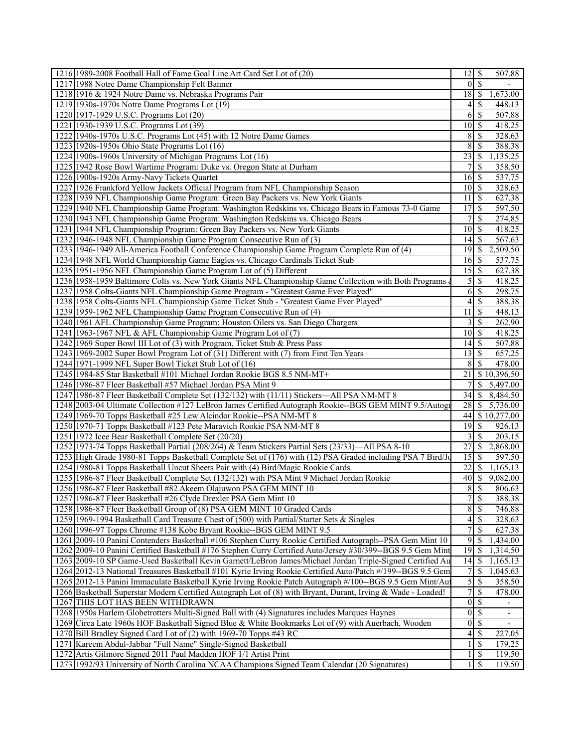| 1216 1989-2008 Football Hall of Fame Goal Line Art Card Set Lot of (20)                                      | 12                 | -\$                      | 507.88                     |
|--------------------------------------------------------------------------------------------------------------|--------------------|--------------------------|----------------------------|
| 1217 1988 Notre Dame Championship Felt Banner                                                                | $\Omega$           | <sup>S</sup>             |                            |
| 1218 1916 & 1924 Notre Dame vs. Nebraska Programs Pair                                                       | 18                 | $\mathbb{S}$             | 1,673.00                   |
| 1219 1930s-1970s Notre Dame Programs Lot (19)                                                                | 4                  | -S                       | 448.13                     |
| 1220 1917-1929 U.S.C. Programs Lot (20)                                                                      | 6                  | -S                       | 507.88                     |
| 1221 1930-1939 U.S.C. Programs Lot (39)                                                                      | $\overline{10}$    | -\$                      | 418.25                     |
| 1222 1940s-1970s U.S.C. Programs Lot (45) with 12 Notre Dame Games                                           | 8                  | -S                       | 328.63                     |
| 1223 1920s-1950s Ohio State Programs Lot (16)                                                                | 8                  | -S                       | 388.38                     |
| 1224 1900s-1960s University of Michigan Programs Lot (16)                                                    | 23                 | -S                       | 1,135.25                   |
| 1225 1942 Rose Bowl Wartime Program: Duke vs. Oregon State at Durham                                         | 7                  | -S                       | 358.50                     |
| 1226 1900s-1920s Army-Navy Tickets Quartet                                                                   | 16                 | -\$                      | 537.75                     |
| 1227 1926 Frankford Yellow Jackets Official Program from NFL Championship Season                             | 10 <sup>1</sup>    | S                        | 328.63                     |
| 1228 1939 NFL Championship Game Program: Green Bay Packers vs. New York Giants                               | 11                 | -S                       | 627.38                     |
| 1229 1940 NFL Championship Game Program: Washington Redskins vs. Chicago Bears in Famous 73-0 Game           | 17                 | -S                       | 597.50                     |
| 1230 1943 NFL Championship Game Program: Washington Redskins vs. Chicago Bears                               | $\overline{7}$     | -S                       | 274.85                     |
| 1231 1944 NFL Championship Program: Green Bay Packers vs. New York Giants                                    | $10 \mid$ \$       |                          | 418.25                     |
| 1232 1946-1948 NFL Championship Game Program Consecutive Run of (3)                                          | 14                 | -S                       | 567.63                     |
| 1233 1946-1949 All-America Football Conference Championship Game Program Complete Run of (4)                 | 19                 | -S                       | 2,509.50                   |
| 1234 1948 NFL World Championship Game Eagles vs. Chicago Cardinals Ticket Stub                               | 16                 | -\$                      | 537.75                     |
| 1235 1951-1956 NFL Championship Game Program Lot of (5) Different                                            | 15                 | -S                       | 627.38                     |
| 1236 1958-1959 Baltimore Colts vs. New York Giants NFL Championship Game Collection with Both Programs       | $\mathfrak{S}$     | -\$                      | 418.25                     |
| 1237 1958 Colts-Giants NFL Championship Game Program - "Greatest Game Ever Played"                           | 6                  | -\$                      | 298.75                     |
| 1238 1958 Colts-Giants NFL Championship Game Ticket Stub - "Greatest Game Ever Played"                       | 4                  | -S                       | 388.38                     |
| 1239 1959-1962 NFL Championship Game Program Consecutive Run of (4)                                          | 11                 | -\$                      | 448.13                     |
| 1240 1961 AFL Championship Game Program: Houston Oilers vs. San Diego Chargers                               | 3                  | -\$                      | 262.90                     |
| 1241 1963-1967 NFL & AFL Championship Game Program Lot of (7)                                                | 10 <sup>°</sup>    | S                        | 418.25                     |
| 1242 1969 Super Bowl III Lot of (3) with Program, Ticket Stub & Press Pass                                   |                    |                          | 507.88                     |
| 1243 1969-2002 Super Bowl Program Lot of (31) Different with (7) from First Ten Years                        | 13                 | - \$                     | 657.25                     |
|                                                                                                              |                    |                          | 478.00                     |
| 1244 1971-1999 NFL Super Bowl Ticket Stub Lot of (16)                                                        | 8                  | -S                       |                            |
| 1245 1984-85 Star Basketball #101 Michael Jordan Rookie BGS 8.5 NM-MT+                                       | 21<br>7            |                          | \$10,396.50                |
| 1246 1986-87 Fleer Basketball #57 Michael Jordan PSA Mint 9                                                  |                    | <sup>S</sup>             | 5,497.00                   |
| 1247 1986-87 Fleer Basketball Complete Set (132/132) with (11/11) Stickers—All PSA NM-MT 8                   | 34                 |                          | \$8,484.50                 |
| 1248 2003-04 Ultimate Collection #127 LeBron James Certified Autograph Rookie--BGS GEM MINT 9.5/Autogr       | 28                 |                          | $\frac{1}{2}$ \$ 5,736.00  |
| 1249 1969-70 Topps Basketball #25 Lew Alcindor Rookie--PSA NM-MT 8                                           | 44                 |                          | $\frac{1}{2}$ \$ 10,277.00 |
| 1250 1970-71 Topps Basketball #123 Pete Maravich Rookie PSA NM-MT 8                                          | 19                 | S                        | 926.13                     |
| 1251 1972 Icee Bear Basketball Complete Set (20/20)                                                          | 3                  | -S                       | 203.15                     |
| 1252 1973-74 Topps Basketball Partial (208/264) & Team Stickers Partial Sets (23/33)—All PSA 8-10            | $27\,$             | -S                       | 2,868.00                   |
| 1253 High Grade 1980-81 Topps Basketball Complete Set of (176) with (12) PSA Graded including PSA 7 Bird/Jo  | 15                 | -S                       | 597.50                     |
| 1254 1980-81 Topps Basketball Uncut Sheets Pair with (4) Bird/Magic Rookie Cards                             | $22\,$             | <sup>S</sup>             | 1,165.13                   |
| 1255 1986-87 Fleer Basketball Complete Set (132/132) with PSA Mint 9 Michael Jordan Rookie                   | $\overline{40}$ \$ |                          | 9,082.00                   |
| 1256 1986-87 Fleer Basketball #82 Akeem Olajuwon PSA GEM MINT 10                                             | 8                  | $\overline{\mathcal{S}}$ | 806.63                     |
| 1257 1986-87 Fleer Basketball #26 Clyde Drexler PSA Gem Mint 10                                              | 7                  | -\$                      | 388.38                     |
| 1258 1986-87 Fleer Basketball Group of (8) PSA GEM MINT 10 Graded Cards                                      | 8                  | -\$                      | 746.88                     |
| 1259 1969-1994 Basketball Card Treasure Chest of (500) with Partial/Starter Sets & Singles                   | 4                  | -\$                      | 328.63                     |
| 1260 1996-97 Topps Chrome #138 Kobe Bryant Rookie--BGS GEM MINT 9.5                                          | 7                  | <sup>\$</sup>            | 627.38                     |
| 1261 2009-10 Panini Contenders Basketball #106 Stephen Curry Rookie Certified Autograph--PSA Gem Mint 10     | 9                  | -S                       | 1,434.00                   |
| 1262 2009-10 Panini Certified Basketball #176 Stephen Curry Certified Auto/Jersey #30/399--BGS 9.5 Gem Mint  |                    |                          | 1,314.50                   |
| 1263 2009-10 SP Game-Used Basketball Kevin Garnett/LeBron James/Michael Jordan Triple-Signed Certified Au    |                    |                          | 1,165.13                   |
| 1264 2012-13 National Treasures Basketball #101 Kyrie Irving Rookie Certified Auto/Patch #/199--BGS 9.5 Gem  | 7                  | \$                       | 1,045.63                   |
| 1265 2012-13 Panini Immaculate Basketball Kyrie Irving Rookie Patch Autograph #/100--BGS 9.5 Gem Mint/Au     | $\overline{5}$     | -\$                      | 358.50                     |
| 1266 Basketball Superstar Modern Certified Autograph Lot of (8) with Bryant, Durant, Irving & Wade - Loaded! | $\overline{7}$     | -S                       | 478.00                     |
| 1267 THIS LOT HAS BEEN WITHDRAWN                                                                             | $\vert 0 \vert$    | -\$                      |                            |
| 1268 1950s Harlem Globetrotters Multi-Signed Ball with (4) Signatures includes Marques Haynes                | $\overline{0}$     | $\overline{\mathcal{S}}$ | $\overline{\phantom{a}}$   |
| 1269 Circa Late 1960s HOF Basketball Signed Blue & White Bookmarks Lot of (9) with Auerbach, Wooden          |                    | $\overline{0}$ \$        |                            |
| 1270 Bill Bradley Signed Card Lot of (2) with 1969-70 Topps #43 RC                                           | 4                  | -\$                      | 227.05                     |
| 1271 Kareem Abdul-Jabbar "Full Name" Single-Signed Basketball                                                |                    | -S                       | 179.25                     |
| 1272 Artis Gilmore Signed 2011 Paul Madden HOF 1/1 Artist Print                                              | $\mathbf{1}$       | -S                       | 119.50                     |
| 1273 1992/93 University of North Carolina NCAA Champions Signed Team Calendar (20 Signatures)                |                    | $1 \mid$ \$              | 119.50                     |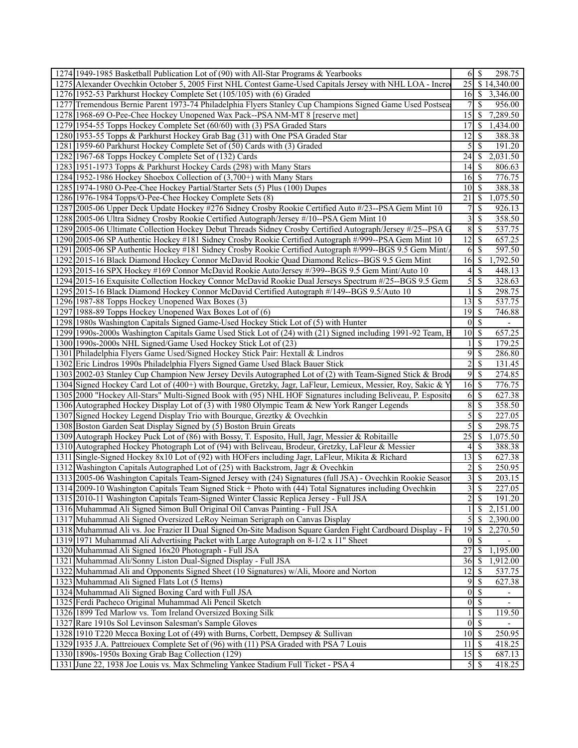| 1274 1949-1985 Basketball Publication Lot of (90) with All-Star Programs & Yearbooks                         | $6 \mid S$                         |                          | 298.75                       |
|--------------------------------------------------------------------------------------------------------------|------------------------------------|--------------------------|------------------------------|
| 1275 Alexander Ovechkin October 5, 2005 First NHL Contest Game-Used Capitals Jersey with NHL LOA - Incre     |                                    |                          | $\overline{25}$ \$ 14,340.00 |
| 1276 1952-53 Parkhurst Hockey Complete Set (105/105) with (6) Graded                                         |                                    |                          | 16 \$ 3,346.00               |
| 1277 Tremendous Bernie Parent 1973-74 Philadelphia Flyers Stanley Cup Champions Signed Game Used Postsea     | 71                                 | <sup>\$</sup>            | 956.00                       |
| 1278 1968-69 O-Pee-Chee Hockey Unopened Wax Pack--PSA NM-MT 8 [reserve met]                                  | 15 <sup>1</sup>                    | <sup>\$</sup>            | 7,289.50                     |
| 1279 1954-55 Topps Hockey Complete Set (60/60) with (3) PSA Graded Stars                                     | 17I                                | -S                       | 1,434.00                     |
| 1280 1953-55 Topps & Parkhurst Hockey Grab Bag (31) with One PSA Graded Star                                 | 12                                 | S                        | 388.38                       |
| 1281 1959-60 Parkhurst Hockey Complete Set of (50) Cards with (3) Graded                                     | $\mathcal{S}$                      | <sup>\$</sup>            | 191.20                       |
| 1282 1967-68 Topps Hockey Complete Set of (132) Cards                                                        |                                    |                          | 2,031.50                     |
| 1283 1951-1973 Topps & Parkhurst Hockey Cards (298) with Many Stars                                          | 14 <sub>1</sub>                    | <sup>\$</sup>            | 806.63                       |
| 1284 1952-1986 Hockey Shoebox Collection of (3,700+) with Many Stars                                         | 16 <sup> </sup>                    | <sup>\$</sup>            | 776.75                       |
| 1285 1974-1980 O-Pee-Chee Hockey Partial/Starter Sets (5) Plus (100) Dupes                                   | 10   S                             |                          | 388.38                       |
| 1286 1976-1984 Topps/O-Pee-Chee Hockey Complete Sets (8)                                                     | 21                                 | -S                       | 1,075.50                     |
| 1287 2005-06 Upper Deck Update Hockey #276 Sidney Crosby Rookie Certified Auto #/23--PSA Gem Mint 10         | 7 <sup>1</sup>                     | S                        | 926.13                       |
| 1288 2005-06 Ultra Sidney Crosby Rookie Certified Autograph/Jersey #/10--PSA Gem Mint 10                     | $3 \overline{\smash{)}\, \text{}}$ |                          | 358.50                       |
| 1289 2005-06 Ultimate Collection Hockey Debut Threads Sidney Crosby Certified Autograph/Jersey #/25--PSA G   | 8                                  | $\mathcal{S}$            | 537.75                       |
| 1290 2005-06 SP Authentic Hockey #181 Sidney Crosby Rookie Certified Autograph #/999--PSA Gem Mint 10        | 12                                 | <sup>\$</sup>            | 657.25                       |
| 1291 2005-06 SP Authentic Hockey #181 Sidney Crosby Rookie Certified Autograph #/999--BGS 9.5 Gem Mint/      | 6                                  | -S                       | 597.50                       |
| 1292 2015-16 Black Diamond Hockey Connor McDavid Rookie Quad Diamond Relics--BGS 9.5 Gem Mint                | 16                                 | -S                       | 1,792.50                     |
| 1293 2015-16 SPX Hockey #169 Connor McDavid Rookie Auto/Jersey #/399--BGS 9.5 Gem Mint/Auto 10               | 4 <sup>1</sup>                     | <sup>\$</sup>            | 448.13                       |
| 1294 2015-16 Exquisite Collection Hockey Connor McDavid Rookie Dual Jerseys Spectrum #/25--BGS 9.5 Gem       | $\overline{5}$                     | <sup>\$</sup>            | 328.63                       |
| 1295 2015-16 Black Diamond Hockey Connor McDavid Certified Autograph #/149--BGS 9.5/Auto 10                  | 11                                 | \$                       | 298.75                       |
| 1296 1987-88 Topps Hockey Unopened Wax Boxes (3)                                                             | 13                                 | <sup>\$</sup>            | 537.75                       |
| 1297 1988-89 Topps Hockey Unopened Wax Boxes Lot of (6)                                                      | $19$ $\sqrt{S}$                    |                          | 746.88                       |
| 1298 1980s Washington Capitals Signed Game-Used Hockey Stick Lot of (5) with Hunter                          | $0\vert S$                         |                          | $\overline{\phantom{a}}$     |
| 1299 1990s-2000s Washington Capitals Game Used Stick Lot of (24) with (21) Signed including 1991-92 Team, B  | $10$   \$                          |                          | 657.25                       |
| 1300 1990s-2000s NHL Signed/Game Used Hockey Stick Lot of (23)                                               | 1 <sup>1</sup>                     | <sup>\$</sup>            | 179.25                       |
| 1301 Philadelphia Flyers Game Used/Signed Hockey Stick Pair: Hextall & Lindros                               | 9                                  | <sup>\$</sup>            | 286.80                       |
| 1302 Eric Lindros 1990s Philadelphia Flyers Signed Game Used Black Bauer Stick                               | $\overline{2}$                     | <sup>\$</sup>            | 131.45                       |
|                                                                                                              | 9S                                 |                          |                              |
| 1303 2002-03 Stanley Cup Champion New Jersey Devils Autographed Lot of (2) with Team-Signed Stick & Brode    |                                    |                          | 274.85                       |
| 1304 Signed Hockey Card Lot of (400+) with Bourque, Gretzky, Jagr, LaFleur, Lemieux, Messier, Roy, Sakic & Y |                                    |                          | 776.75                       |
| 1305 2000 "Hockey All-Stars" Multi-Signed Book with (95) NHL HOF Signatures including Beliveau, P. Esposite  | 6                                  | <sup>\$</sup>            | 627.38                       |
| 1306 Autographed Hockey Display Lot of (3) with 1980 Olympic Team & New York Ranger Legends                  | $\overline{8}$                     | <sup>\$</sup>            | 358.50                       |
| 1307 Signed Hockey Legend Display Trio with Bourque, Greztky & Ovechkin                                      | $\mathfrak{S}$                     | \$                       | 227.05                       |
| 1308 Boston Garden Seat Display Signed by (5) Boston Bruin Greats                                            | $\mathcal{S}$                      | <sup>\$</sup>            | 298.75                       |
| 1309 Autograph Hockey Puck Lot of (86) with Bossy, T. Esposito, Hull, Jagr, Messier & Robitaille             |                                    |                          | 1,075.50                     |
| 1310 Autographed Hockey Photograph Lot of (94) with Beliveau, Brodeur, Gretzky, LaFleur & Messier            | 41                                 | <sup>\$</sup>            | 388.38                       |
| 1311 Single-Signed Hockey 8x10 Lot of (92) with HOFers including Jagr, LaFleur, Mikita & Richard             |                                    |                          | 627.38                       |
| 1312 Washington Capitals Autographed Lot of (25) with Backstrom, Jagr & Ovechkin                             | $\overline{2}$                     | <sup>\$</sup>            | 250.95                       |
| 1313 2005-06 Washington Capitals Team-Signed Jersey with (24) Signatures (full JSA) - Ovechkin Rookie Seasor | $\frac{3}{2}$                      | \$                       | 203.15                       |
| 1314 2009-10 Washington Capitals Team Signed Stick + Photo with (44) Total Signatures including Ovechkin     | $\overline{3}$                     | <sup>S</sup>             | 227.05                       |
| 1315 2010-11 Washington Capitals Team-Signed Winter Classic Replica Jersey - Full JSA                        | $\overline{2}$                     | $\overline{\mathcal{S}}$ | 191.20                       |
| 1316 Muhammad Ali Signed Simon Bull Original Oil Canvas Painting - Full JSA                                  | $\mathbf{1}$                       | \$                       | 2,151.00                     |
| 1317 Muhammad Ali Signed Oversized LeRoy Neiman Serigraph on Canvas Display                                  | $\overline{5}$                     |                          | \$2,390.00                   |
| 1318 Muhammad Ali vs. Joe Frazier II Dual Signed On-Site Madison Square Garden Fight Cardboard Display - F   | 19                                 | $\mathbb{S}$             | 2,270.50                     |
| 1319 1971 Muhammad Ali Advertising Packet with Large Autograph on 8-1/2 x 11" Sheet                          | 0                                  | $\mathcal{S}$            |                              |
| 1320 Muhammad Ali Signed 16x20 Photograph - Full JSA                                                         | 27                                 | <sup>\$</sup>            | 1,195.00                     |
| 1321 Muhammad Ali/Sonny Liston Dual-Signed Display - Full JSA                                                | 36                                 | -S                       | 1,912.00                     |
| 1322 Muhammad Ali and Opponents Signed Sheet (10 Signatures) w/Ali, Moore and Norton                         | 12                                 | \$                       | 537.75                       |
| 1323 Muhammad Ali Signed Flats Lot (5 Items)                                                                 | 95                                 |                          | 627.38                       |
| 1324 Muhammad Ali Signed Boxing Card with Full JSA                                                           | $0 \mid \text{\$}$                 |                          |                              |
| 1325 Ferdi Pacheco Original Muhammad Ali Pencil Sketch                                                       | $\overline{0}$                     | <sup>\$</sup>            |                              |
| 1326 1899 Ted Marlow vs. Tom Ireland Oversized Boxing Silk                                                   |                                    | $1 \mid$ \$              | 119.50                       |
| 1327 Rare 1910s Sol Levinson Salesman's Sample Gloves                                                        | $0\sqrt{s}$                        |                          |                              |
| 1328 1910 T220 Mecca Boxing Lot of (49) with Burns, Corbett, Dempsey & Sullivan                              | $10$ $\sqrt{5}$                    |                          | 250.95                       |
| 1329 1935 J.A. Pattreiouex Complete Set of (96) with (11) PSA Graded with PSA 7 Louis                        | $11 \mid$ \$                       |                          | 418.25                       |
| 1330 1890s-1950s Boxing Grab Bag Collection (129)                                                            |                                    |                          | 687.13                       |
| 1331 June 22, 1938 Joe Louis vs. Max Schmeling Yankee Stadium Full Ticket - PSA 4                            |                                    |                          | 418.25                       |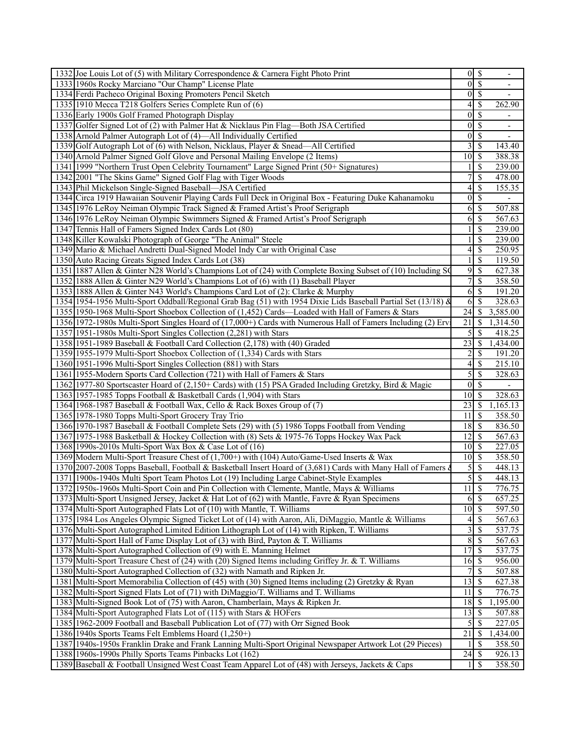| 1332 Joe Louis Lot of (5) with Military Correspondence & Carnera Fight Photo Print                            | $0 \mid \mathcal{S}$ |                                    |
|---------------------------------------------------------------------------------------------------------------|----------------------|------------------------------------|
| 1333 1960s Rocky Marciano "Our Champ" License Plate                                                           | $\overline{0}$       | <sup>\$</sup>                      |
| 1334 Ferdi Pacheco Original Boxing Promoters Pencil Sketch                                                    | $\vert 0 \vert$      | <sup>\$</sup><br>$\blacksquare$    |
| 1335 1910 Mecca T218 Golfers Series Complete Run of (6)                                                       | 4                    | <sup>\$</sup><br>262.90            |
| 1336 Early 1900s Golf Framed Photograph Display                                                               | 0                    | <sup>\$</sup>                      |
| 1337 Golfer Signed Lot of (2) with Palmer Hat & Nicklaus Pin Flag—Both JSA Certified                          | $\vert 0 \vert$      | -S                                 |
| 1338 Arnold Palmer Autograph Lot of (4)—All Individually Certified                                            | $\overline{0}$       | -S                                 |
| 1339 Golf Autograph Lot of (6) with Nelson, Nicklaus, Player & Snead—All Certified                            | 3                    | <sup>\$</sup><br>143.40            |
| 1340 Arnold Palmer Signed Golf Glove and Personal Mailing Envelope (2 Items)                                  | 10 <sup>1</sup>      | 388.38<br>8                        |
| 1341 1999 "Northern Trust Open Celebrity Tournament" Large Signed Print (50+ Signatures)                      |                      | <sup>\$</sup><br>239.00            |
| 1342 2001 "The Skins Game" Signed Golf Flag with Tiger Woods                                                  | 7                    | \$<br>478.00                       |
| 1343 Phil Mickelson Single-Signed Baseball—JSA Certified                                                      | 4                    | <sup>\$</sup><br>155.35            |
| 1344 Circa 1919 Hawaiian Souvenir Playing Cards Full Deck in Original Box - Featuring Duke Kahanamoku         | $\vert 0 \vert$      | -S                                 |
| 1345 1976 LeRoy Neiman Olympic Track Signed & Framed Artist's Proof Serigraph                                 | 6                    | \$<br>507.88                       |
| 1346 1976 LeRoy Neiman Olympic Swimmers Signed & Framed Artist's Proof Serigraph                              | 6                    | 567.63<br>-S                       |
| 1347 Tennis Hall of Famers Signed Index Cards Lot (80)                                                        |                      | <sup>\$</sup><br>239.00            |
| 1348 Killer Kowalski Photograph of George "The Animal" Steele                                                 |                      | S<br>239.00                        |
| 1349 Mario & Michael Andretti Dual-Signed Model Indy Car with Original Case                                   | 4                    | S<br>250.95                        |
| 1350 Auto Racing Greats Signed Index Cards Lot (38)                                                           | 1                    | <sup>\$</sup><br>119.50            |
| 1351 1887 Allen & Ginter N28 World's Champions Lot of (24) with Complete Boxing Subset of (10) Including S(   | 9                    | <sup>\$</sup><br>627.38            |
| 1352 1888 Allen & Ginter N29 World's Champions Lot of (6) with (1) Baseball Player                            | $\overline{7}$       | <sup>\$</sup><br>358.50            |
| 1353 1888 Allen & Ginter N43 World's Champions Card Lot of (2): Clarke & Murphy                               | 6                    | <sup>\$</sup><br>191.20            |
| 1354 1954-1956 Multi-Sport Oddball/Regional Grab Bag (51) with 1954 Dixie Lids Baseball Partial Set (13/18) & | 6                    | S<br>328.63                        |
| 1355 1950-1968 Multi-Sport Shoebox Collection of (1,452) Cards—Loaded with Hall of Famers & Stars             | 24                   | 3,585.00<br>-S                     |
| 1356 1972-1980s Multi-Sport Singles Hoard of (17,000+) Cards with Numerous Hall of Famers Including (2) Erv   | 21                   | -S<br>1,314.50                     |
| 1357 1951-1980s Multi-Sport Singles Collection (2,281) with Stars                                             | 5                    | -S<br>418.25                       |
| 1358 1951-1989 Baseball & Football Card Collection (2,178) with (40) Graded                                   | 23                   | -S<br>1,434.00                     |
| 1359 1955-1979 Multi-Sport Shoebox Collection of (1,334) Cards with Stars                                     | 2                    | S<br>191.20                        |
| 1360 1951-1996 Multi-Sport Singles Collection (881) with Stars                                                | 4                    | -S<br>215.10                       |
| 1361 1955-Modern Sports Card Collection (721) with Hall of Famers & Stars                                     | $\overline{5}$       | -S<br>328.63                       |
| 1362 1977-80 Sportscaster Hoard of (2,150+ Cards) with (15) PSA Graded Including Gretzky, Bird & Magic        | $\vert 0 \vert$      | $\mathcal{S}$                      |
| 1363 1957-1985 Topps Football & Basketball Cards (1,904) with Stars                                           | 10 <sup>1</sup>      | <sup>\$</sup><br>328.63            |
| 1364 1968-1987 Baseball & Football Wax, Cello & Rack Boxes Group of (7)                                       |                      | 1,165.13                           |
| 1365 1978-1980 Topps Multi-Sport Grocery Tray Trio                                                            | 11                   | -S<br>358.50                       |
| 1366 1970-1987 Baseball & Football Complete Sets (29) with (5) 1986 Topps Football from Vending               | 18                   | - \$<br>836.50                     |
| 1367 1975-1988 Basketball & Hockey Collection with (8) Sets & 1975-76 Topps Hockey Wax Pack                   | 12                   | -S<br>567.63                       |
| 1368 1990s-2010s Multi-Sport Wax Box & Case Lot of (16)                                                       | 10                   | 227.05<br>  S                      |
| 1369 Modern Multi-Sport Treasure Chest of (1,700+) with (104) Auto/Game-Used Inserts & Wax                    | $10$ $\sqrt{5}$      | 358.50                             |
| 1370 2007-2008 Topps Baseball, Football & Basketball Insert Hoard of (3,681) Cards with Many Hall of Famers   | 5                    | 448.13<br>-S                       |
| 1371 1900s-1940s Multi Sport Team Photos Lot (19) Including Large Cabinet-Style Examples                      | $\overline{5}$       | $\mathcal{S}$<br>448.13            |
| 1372 1950s-1960s Multi-Sport Coin and Pin Collection with Clemente, Mantle, Mays & Williams                   | 11                   | $\overline{\mathcal{S}}$<br>776.75 |
| 1373 Multi-Sport Unsigned Jersey, Jacket & Hat Lot of (62) with Mantle, Favre & Ryan Specimens                | 6S                   | 657.25                             |
| 1374 Multi-Sport Autographed Flats Lot of (10) with Mantle, T. Williams                                       |                      | 597.50                             |
| 1375 1984 Los Angeles Olympic Signed Ticket Lot of (14) with Aaron, Ali, DiMaggio, Mantle & Williams          |                      | 567.63                             |
| 1376 Multi-Sport Autographed Limited Edition Lithograph Lot of (14) with Ripken, T. Williams                  | 3                    | \$<br>537.75                       |
| 1377 Multi-Sport Hall of Fame Display Lot of (3) with Bird, Payton & T. Williams                              | 8                    | \$<br>567.63                       |
| 1378 Multi-Sport Autographed Collection of (9) with E. Manning Helmet                                         | 17                   |                                    |
| 1379 Multi-Sport Treasure Chest of (24) with (20) Signed Items including Griffey Jr. & T. Williams            | 16                   | -S<br>537.75                       |
| 1380 Multi-Sport Autographed Collection of (32) with Namath and Ripken Jr.                                    | 7                    | 956.00<br>- \$<br>\$<br>507.88     |
|                                                                                                               |                      | 627.38                             |
| 1381 Multi-Sport Memorabilia Collection of (45) with (30) Signed Items including (2) Gretzky & Ryan           | 13                   | $\mathcal{S}$                      |
| 1382 Multi-Sport Signed Flats Lot of (71) with DiMaggio/T. Williams and T. Williams                           | 11                   | -S<br>776.75                       |
| 1383 Multi-Signed Book Lot of (75) with Aaron, Chamberlain, Mays & Ripken Jr.                                 | 18                   | 1,195.00<br>  \$                   |
| 1384 Multi-Sport Autographed Flats Lot of (115) with Stars & HOFers                                           | 13                   | -S<br>507.88                       |
| 1385 1962-2009 Football and Baseball Publication Lot of (77) with Orr Signed Book                             | 5                    | <sup>\$</sup><br>227.05            |
| 1386 1940s Sports Teams Felt Emblems Hoard (1,250+)                                                           | 21                   | 1,434.00<br>-S                     |
| 1387 1940s-1950s Franklin Drake and Frank Lanning Multi-Sport Original Newspaper Artwork Lot (29 Pieces)      |                      | 358.50<br>-S                       |
| 1388 1960s-1990s Philly Sports Teams Pinbacks Lot (162)                                                       | 24                   | -S<br>926.13                       |
| 1389 Baseball & Football Unsigned West Coast Team Apparel Lot of (48) with Jerseys, Jackets & Caps            | $\frac{1}{2}$        | 8<br>358.50                        |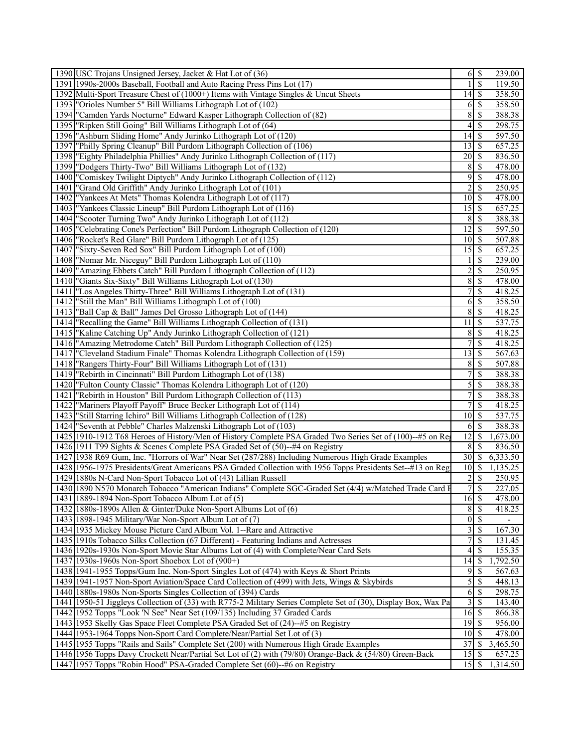|      | 1390 USC Trojans Unsigned Jersey, Jacket & Hat Lot of (36)                                                       |                         |                          | 239.00   |
|------|------------------------------------------------------------------------------------------------------------------|-------------------------|--------------------------|----------|
|      | 1391 1990s-2000s Baseball, Football and Auto Racing Press Pins Lot (17)                                          |                         | <sup>\$</sup>            | 119.50   |
|      | 1392 Multi-Sport Treasure Chest of (1000+) Items with Vintage Singles & Uncut Sheets                             | $14$ S                  |                          | 358.50   |
|      | 1393 "Orioles Number 5" Bill Williams Lithograph Lot of (102)                                                    | 6                       | $\mathcal{S}$            | 358.50   |
|      | 1394 "Camden Yards Nocturne" Edward Kasper Lithograph Collection of (82)                                         | 8                       | \$                       | 388.38   |
|      | 1395   "Ripken Still Going" Bill Williams Lithograph Lot of (64)                                                 | 4                       | S                        | 298.75   |
|      | 1396 "Ashburn Sliding Home" Andy Jurinko Lithograph Lot of (120)                                                 | 14                      | S                        | 597.50   |
| 1397 | "Philly Spring Cleanup" Bill Purdom Lithograph Collection of (106)                                               | 13                      | -\$                      | 657.25   |
|      | 1398  "Eighty Philadelphia Phillies" Andy Jurinko Lithograph Collection of (117)                                 |                         |                          | 836.50   |
| 1399 | "Dodgers Thirty-Two" Bill Williams Lithograph Lot of (132)                                                       | 8                       | \$                       | 478.00   |
|      | 1400 "Comiskey Twilight Diptych" Andy Jurinko Lithograph Collection of (112)                                     | 9                       | \$                       | 478.00   |
| 1401 | "Grand Old Griffith" Andy Jurinko Lithograph Lot of (101)                                                        | $\overline{2}$          | <sup>\$</sup>            | 250.95   |
| 1402 | "Yankees At Mets" Thomas Kolendra Lithograph Lot of (117)                                                        | 10 <sup>1</sup>         | 8                        | 478.00   |
| 1403 | "Yankees Classic Lineup" Bill Purdom Lithograph Lot of (116)                                                     | 15                      | -\$                      | 657.25   |
| 1404 | "Scooter Turning Two" Andy Jurinko Lithograph Lot of (112)                                                       | 8                       | -\$                      | 388.38   |
| 1405 | "Celebrating Cone's Perfection" Bill Purdom Lithograph Collection of (120)                                       | 12                      | S                        | 597.50   |
|      | 1406   "Rocket's Red Glare" Bill Purdom Lithograph Lot of (125)                                                  | 10                      | l \$                     | 507.88   |
| 1407 | "Sixty-Seven Red Sox" Bill Purdom Lithograph Lot of (100)                                                        | 15                      | - \$                     | 657.25   |
| 1408 | "Nomar Mr. Niceguy" Bill Purdom Lithograph Lot of (110)                                                          |                         | \$                       | 239.00   |
|      | 1409  "Amazing Ebbets Catch" Bill Purdom Lithograph Collection of (112)                                          | $\overline{c}$          | \$                       | 250.95   |
| 1410 | "Giants Six-Sixty" Bill Williams Lithograph Lot of (130)                                                         | 8                       | \$                       | 478.00   |
| 1411 | "Los Angeles Thirty-Three" Bill Williams Lithograph Lot of (131)                                                 | 7                       | \$                       | 418.25   |
| 1412 | "Still the Man" Bill Williams Lithograph Lot of (100)                                                            | 6                       | \$                       | 358.50   |
|      | 1413   "Ball Cap & Ball" James Del Grosso Lithograph Lot of (144)                                                | 8                       | -\$                      | 418.25   |
| 1414 | "Recalling the Game" Bill Williams Lithograph Collection of (131)                                                | 11                      | <sup>\$</sup>            | 537.75   |
| 1415 | "Kaline Catching Up" Andy Jurinko Lithograph Collection of (121)                                                 | 8                       | -\$                      | 418.25   |
|      | 1416  "Amazing Metrodome Catch" Bill Purdom Lithograph Collection of (125)                                       |                         | \$                       | 418.25   |
| 1417 | "Cleveland Stadium Finale" Thomas Kolendra Lithograph Collection of (159)                                        | 13                      | \$                       | 567.63   |
|      | 1418 Thirty-Four" Bill Williams Lithograph Lot of (131)                                                          | 8 <sup>1</sup>          | -\$                      | 507.88   |
|      | 1419 "Rebirth in Cincinnati" Bill Purdom Lithograph Lot of (138)                                                 | 7                       | \$                       | 388.38   |
|      | 1420 "Fulton County Classic" Thomas Kolendra Lithograph Lot of (120)                                             | 5                       | \$                       | 388.38   |
| 1421 | "Rebirth in Houston" Bill Purdom Lithograph Collection of (113)                                                  | 7                       | $\mathcal{S}$            | 388.38   |
| 1422 | "Mariners Playoff Payoff" Bruce Becker Lithograph Lot of (114)                                                   | 7                       | \$                       | 418.25   |
|      | 1423   "Still Starring Ichiro" Bill Williams Lithograph Collection of (128)                                      | 10                      | \$                       | 537.75   |
|      | 1424 "Seventh at Pebble" Charles Malzenski Lithograph Lot of (103)                                               | 6                       | - \$                     | 388.38   |
|      | 1425 1910-1912 T68 Heroes of History/Men of History Complete PSA Graded Two Series Set of (100)--#5 on Rea       | 12                      | -\$                      | 1,673.00 |
|      | 1426 1911 T99 Sights & Scenes Complete PSA Graded Set of (50)--#4 on Registry                                    | 8                       | <sup>\$</sup>            | 836.50   |
|      | 1427 1938 R69 Gum, Inc. "Horrors of War" Near Set (287/288) Including Numerous High Grade Examples               |                         |                          | 6,333.50 |
|      | 1428 1956-1975 Presidents/Great Americans PSA Graded Collection with 1956 Topps Presidents Set-+#13 on Reg       | $10 \mid S$             |                          | 1,135.25 |
|      | 1429 1880s N-Card Non-Sport Tobacco Lot of (43) Lillian Russell                                                  | $\overline{2}$          | \$                       | 250.95   |
|      | 1430 1890 N570 Monarch Tobacco "American Indians" Complete SGC-Graded Set (4/4) w/Matched Trade Card I           |                         | 7s                       | 227.05   |
|      | 1431 1889-1894 Non-Sport Tobacco Album Lot of (5)                                                                | $16 \,$ \$              |                          | 478.00   |
|      | 1432 1880s-1890s Allen & Ginter/Duke Non-Sport Albums Lot of (6)                                                 | 8 <sup>1</sup>          | $\overline{\mathcal{S}}$ | 418.25   |
|      | 1433 1898-1945 Military/War Non-Sport Album Lot of (7)                                                           |                         | $0 \mid S$               |          |
|      | 1434 1935 Mickey Mouse Picture Card Album Vol. 1--Rare and Attractive                                            | $\overline{\mathbf{3}}$ | $\mathcal{S}$            | 167.30   |
|      | 1435 1910s Tobacco Silks Collection (67 Different) - Featuring Indians and Actresses                             | 7                       | S                        | 131.45   |
|      | 1436 1920s-1930s Non-Sport Movie Star Albums Lot of (4) with Complete/Near Card Sets                             | 4                       | -S                       | 155.35   |
|      | 1437 1930s-1960s Non-Sport Shoebox Lot of (900+)                                                                 | 14                      | -\$                      | 1,792.50 |
|      | 1438 1941-1955 Topps/Gum Inc. Non-Sport Singles Lot of (474) with Keys & Short Prints                            | 9                       | <sup>\$</sup>            | 567.63   |
|      | 1439 1941-1957 Non-Sport Aviation/Space Card Collection of (499) with Jets, Wings & Skybirds                     | $\mathfrak{S}$          | <sup>5</sup>             | 448.13   |
|      | 1440 1880s-1980s Non-Sports Singles Collection of (394) Cards                                                    | 6                       | $\mathcal{S}$            | 298.75   |
|      | 1441   1950-51 Jiggleys Collection of (33) with R775-2 Military Series Complete Set of (30), Display Box, Wax Pa | 3                       | \$                       | 143.40   |
|      | 1442 1952 Topps "Look 'N See" Near Set (109/135) Including 37 Graded Cards                                       | $16 \mid$ \$            |                          | 866.38   |
|      | 1443 1953 Skelly Gas Space Fleet Complete PSA Graded Set of (24)--#5 on Registry                                 | 19                      | \$                       | 956.00   |
|      | 1444 1953-1964 Topps Non-Sport Card Complete/Near/Partial Set Lot of (3)                                         | $10\vert S$             |                          | 478.00   |
|      | 1445 1955 Topps "Rails and Sails" Complete Set (200) with Numerous High Grade Examples                           | 37                      | -\$                      | 3,465.50 |
|      | 1446 1956 Topps Davy Crockett Near/Partial Set Lot of (2) with (79/80) Orange-Back & (54/80) Green-Back          | 15                      | -\$                      | 657.25   |
|      | 1447 1957 Topps "Robin Hood" PSA-Graded Complete Set (60)--#6 on Registry                                        | 15                      | \$                       | 1,314.50 |
|      |                                                                                                                  |                         |                          |          |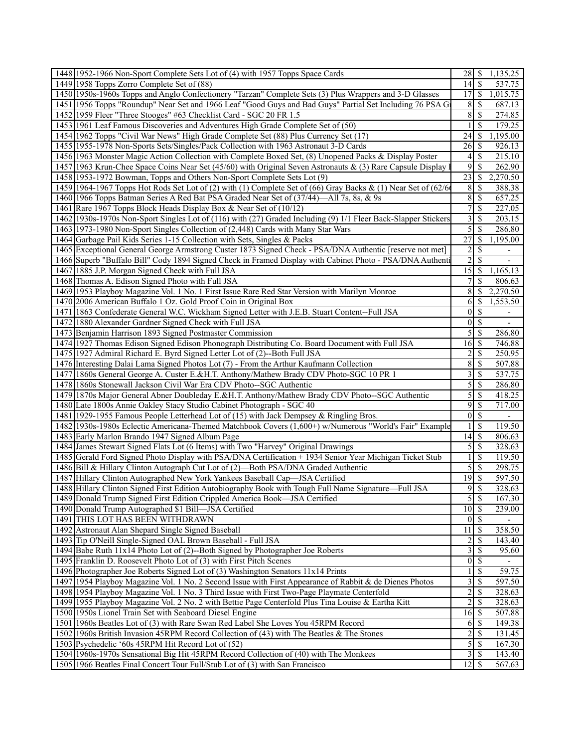|      | 1448 1952-1966 Non-Sport Complete Sets Lot of (4) with 1957 Topps Space Cards                                  | $28$   \$                     |                          | 1,135.25                 |
|------|----------------------------------------------------------------------------------------------------------------|-------------------------------|--------------------------|--------------------------|
|      | 1449 1958 Topps Zorro Complete Set of (88)                                                                     | 14                            | -S                       | 537.75                   |
|      | 1450 1950s-1960s Topps and Anglo Confectionery "Tarzan" Complete Sets (3) Plus Wrappers and 3-D Glasses        | 17                            | $\mathcal{S}$            | 1,015.75                 |
|      | 1451 1956 Topps "Roundup" Near Set and 1966 Leaf "Good Guys and Bad Guys" Partial Set Including 76 PSA G       | 8                             | <sup>\$</sup>            | 687.13                   |
|      | 1452 1959 Fleer "Three Stooges" #63 Checklist Card - SGC 20 FR 1.5                                             | 8                             | -\$                      | 274.85                   |
|      | 1453 1961 Leaf Famous Discoveries and Adventures High Grade Complete Set of (50)                               |                               | <sup>\$</sup>            | 179.25                   |
|      | 1454 1962 Topps "Civil War News" High Grade Complete Set (88) Plus Currency Set (17)                           | 24                            | S                        | 1,195.00                 |
|      | 1455 1955-1978 Non-Sports Sets/Singles/Pack Collection with 1963 Astronaut 3-D Cards                           | 26                            | -S                       | 926.13                   |
|      | 1456 1963 Monster Magic Action Collection with Complete Boxed Set, (8) Unopened Packs & Display Poster         | 4                             | -\$                      | 215.10                   |
|      | 1457 1963 Krun-Chee Space Coins Near Set (45/60) with Original Seven Astronauts & (3) Rare Capsule Display     | 9                             | $\mathcal{S}$            | 262.90                   |
|      | 1458 1953-1972 Bowman, Topps and Others Non-Sport Complete Sets Lot (9)                                        | 23                            | <sup>\$</sup>            | 2,270.50                 |
|      | 1459 1964-1967 Topps Hot Rods Set Lot of (2) with (1) Complete Set of (66) Gray Backs & (1) Near Set of (62/6  | 8                             | -S                       | 388.38                   |
|      | 1460 1966 Topps Batman Series A Red Bat PSA Graded Near Set of (37/44)—All 7s, 8s, & 9s                        | 8                             | $\mathcal{S}$            | 657.25                   |
|      | 1461 Rare 1967 Topps Block Heads Display Box & Near Set of (10/12)                                             | 7                             | \$                       | 227.05                   |
|      | 1462 1930s-1970s Non-Sport Singles Lot of (116) with (27) Graded Including (9) 1/1 Fleer Back-Slapper Stickers | 3                             | \$                       | 203.15                   |
|      | 1463 1973-1980 Non-Sport Singles Collection of (2,448) Cards with Many Star Wars                               | 5                             | $\mathbb{S}$             | 286.80                   |
|      | 1464 Garbage Pail Kids Series 1-15 Collection with Sets, Singles & Packs                                       | 27                            | S                        | 1,195.00                 |
|      | 1465 Exceptional General George Armstrong Custer 1873 Signed Check - PSA/DNA Authentic [reserve not met]       | $\overline{2}$                | S                        | $\blacksquare$           |
|      | 1466 Superb "Buffalo Bill" Cody 1894 Signed Check in Framed Display with Cabinet Photo - PSA/DNA Authenti      | 2                             | \$                       | $\overline{\phantom{a}}$ |
|      | 1467 1885 J.P. Morgan Signed Check with Full JSA                                                               | 15                            | -\$                      | 1,165.13                 |
|      | 1468 Thomas A. Edison Signed Photo with Full JSA                                                               | 7                             | \$                       | 806.63                   |
|      | 1469 1953 Playboy Magazine Vol. 1 No. 1 First Issue Rare Red Star Version with Marilyn Monroe                  | 8                             | $\mathbb{S}$             | 2,270.50                 |
|      | 1470 2006 American Buffalo 1 Oz. Gold Proof Coin in Original Box                                               | 6                             | -S                       | 1,553.50                 |
|      | 1471   1863 Confederate General W.C. Wickham Signed Letter with J.E.B. Stuart Content--Full JSA                | $\mathbf{0}$                  | -\$                      | $\overline{\phantom{0}}$ |
|      | 1472 1880 Alexander Gardner Signed Check with Full JSA                                                         | $\mathbf{0}$                  | $\overline{\mathcal{S}}$ | $\overline{\phantom{a}}$ |
|      | 1473 Benjamin Harrison 1893 Signed Postmaster Commission                                                       | 5                             | \$                       | 286.80                   |
|      | 1474 1927 Thomas Edison Signed Edison Phonograph Distributing Co. Board Document with Full JSA                 | 16                            | -\$                      | 746.88                   |
|      | 1475 1927 Admiral Richard E. Byrd Signed Letter Lot of (2)--Both Full JSA                                      | 2                             | \$                       | 250.95                   |
|      | 1476 Interesting Dalai Lama Signed Photos Lot (7) - From the Arthur Kaufmann Collection                        | 8                             | \$                       | 507.88                   |
|      | 1477 1860s General George A. Custer E.&H.T. Anthony/Mathew Brady CDV Photo-SGC 10 PR 1                         | 3                             | -\$                      | 537.75                   |
|      | 1478 1860s Stonewall Jackson Civil War Era CDV Photo--SGC Authentic                                            | 5                             | \$                       | 286.80                   |
|      | 1479 1870s Major General Abner Doubleday E.&H.T. Anthony/Mathew Brady CDV Photo--SGC Authentic                 | 5                             | $\mathcal{S}$            | 418.25                   |
|      | 1480 Late 1800s Annie Oakley Stacy Studio Cabinet Photograph - SGC 40                                          | 9                             | $\mathcal{S}$            | 717.00                   |
| 1481 | [1929-1955 Famous People Letterhead Lot of (15) with Jack Dempsey & Ringling Bros.                             | $\boldsymbol{0}$              | \$                       | $\overline{\phantom{a}}$ |
|      | 1482   1930s-1980s Eclectic Americana-Themed Matchbook Covers (1,600+) w/Numerous "World's Fair" Example       |                               | <sup>\$</sup>            | 119.50                   |
|      | 1483 Early Marlon Brando 1947 Signed Album Page                                                                | 14                            | \$                       | 806.63                   |
|      | 1484 James Stewart Signed Flats Lot (6 Items) with Two "Harvey" Original Drawings                              | 5                             | \$                       | 328.63                   |
|      | 1485 Gerald Ford Signed Photo Display with PSA/DNA Certification + 1934 Senior Year Michigan Ticket Stub       |                               | \$                       | 119.50                   |
|      | 1486 Bill & Hillary Clinton Autograph Cut Lot of (2)—Both PSA/DNA Graded Authentic                             | 5                             | \$                       | 298.75                   |
|      | 1487 Hillary Clinton Autographed New York Yankees Baseball Cap—JSA Certified                                   | 19                            | \$                       | 597.50                   |
|      | 1488 Hillary Clinton Signed First Edition Autobiography Book with Tough Full Name Signature—Full JSA           |                               |                          | 328.63                   |
|      | 1489 Donald Trump Signed First Edition Crippled America Book-JSA Certified                                     | $5 \overline{\smash{)}\,}$    |                          | 167.30                   |
|      | 1490 Donald Trump Autographed \$1 Bill-JSA Certified                                                           | $10\overline{\smash{)}\,}$ \$ |                          | 239.00                   |
|      | 1491 THIS LOT HAS BEEN WITHDRAWN                                                                               | $\overline{0 S}$              |                          |                          |
|      | 1492 Astronaut Alan Shepard Single Signed Baseball                                                             | 11                            | S                        | 358.50                   |
|      | 1493 Tip O'Neill Single-Signed OAL Brown Baseball - Full JSA                                                   | $\overline{\mathbf{c}}$       | \$                       | 143.40                   |
|      | 1494 Babe Ruth 11x14 Photo Lot of (2)--Both Signed by Photographer Joe Roberts                                 | $\overline{3}$                | -S                       | 95.60                    |
|      | 1495 Franklin D. Roosevelt Photo Lot of (3) with First Pitch Scenes                                            | $0$ s                         |                          | $\blacksquare$           |
|      | 1496 Photographer Joe Roberts Signed Lot of (3) Washington Senators 11x14 Prints                               | 1                             | $\mathcal{S}$            | 59.75                    |
|      | 1497 1954 Playboy Magazine Vol. 1 No. 2 Second Issue with First Appearance of Rabbit & de Dienes Photos        | $\overline{3}$                | $\mathcal{S}$            | 597.50                   |
|      | 1498 1954 Playboy Magazine Vol. 1 No. 3 Third Issue with First Two-Page Playmate Centerfold                    | $\overline{c}$                | \$                       | 328.63                   |
|      | 1499 1955 Playboy Magazine Vol. 2 No. 2 with Bettie Page Centerfold Plus Tina Louise & Eartha Kitt             | 2                             | -S                       | 328.63                   |
|      | 1500 1950s Lionel Train Set with Seaboard Diesel Engine                                                        | 16                            | S                        | 507.88                   |
|      | 1501 1960s Beatles Lot of (3) with Rare Swan Red Label She Loves You 45RPM Record                              | 6                             | -\$                      | 149.38                   |
|      | 1502 1960s British Invasion 45RPM Record Collection of (43) with The Beatles & The Stones                      | 2                             | -S                       | 131.45                   |
|      | 1503 Psychedelic '60s 45RPM Hit Record Lot of (52)                                                             | $\overline{5}$                | S                        | 167.30                   |
|      | 1504 1960s-1970s Sensational Big Hit 45RPM Record Collection of (40) with The Monkees                          | $\overline{\mathbf{3}}$       | $\mathcal{S}$            | 143.40                   |
|      | 1505 1966 Beatles Final Concert Tour Full/Stub Lot of (3) with San Francisco                                   |                               |                          | 567.63                   |
|      |                                                                                                                |                               |                          |                          |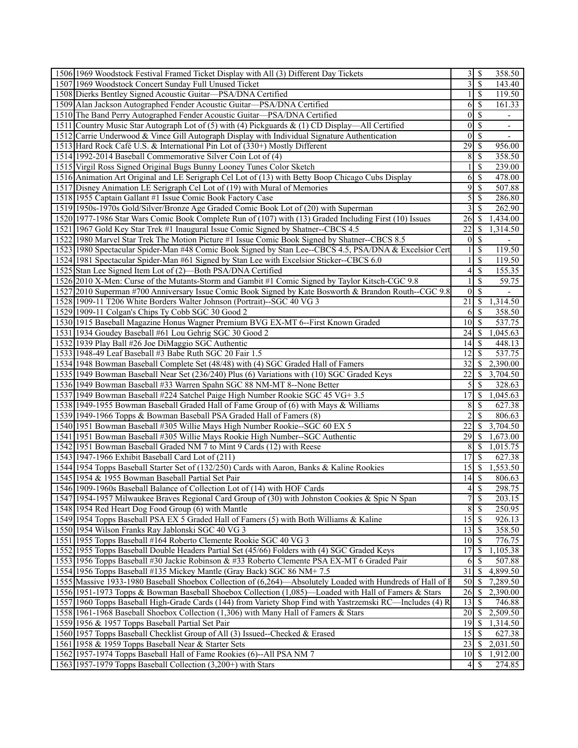| 1506 1969 Woodstock Festival Framed Ticket Display with All (3) Different Day Tickets                       |                            | $3 \mid$ \$                 | 358.50                      |  |
|-------------------------------------------------------------------------------------------------------------|----------------------------|-----------------------------|-----------------------------|--|
| 1507 1969 Woodstock Concert Sunday Full Unused Ticket                                                       |                            | $3$ \ $\sqrt{3}$            | 143.40                      |  |
| 1508 Dierks Bentley Signed Acoustic Guitar-PSA/DNA Certified                                                |                            | -S                          | 119.50                      |  |
| 1509 Alan Jackson Autographed Fender Acoustic Guitar-PSA/DNA Certified                                      | 61                         | -S                          | 161.33                      |  |
| 1510 The Band Perry Autographed Fender Acoustic Guitar—PSA/DNA Certified                                    |                            | $0 \mid \mathcal{S}$        |                             |  |
| 1511 Country Music Star Autograph Lot of (5) with (4) Pickguards & (1) CD Display—All Certified             |                            | $01$ s                      |                             |  |
| 1512 Carrie Underwood & Vince Gill Autograph Display with Individual Signature Authentication               |                            | $01$ s                      |                             |  |
| 1513 Hard Rock Café U.S. & International Pin Lot of (330+) Mostly Different                                 | $\overline{29}$ \$         |                             | 956.00                      |  |
| 1514 1992-2014 Baseball Commemorative Silver Coin Lot of (4)                                                | 81                         | -S                          | 358.50                      |  |
| 1515 Virgil Ross Signed Original Bugs Bunny Looney Tunes Color Sketch                                       |                            | S                           | 239.00                      |  |
| 1516 Animation Art Original and LE Serigraph Cel Lot of (13) with Betty Boop Chicago Cubs Display           | 6 <sup>1</sup>             | <sup>\$</sup>               | 478.00                      |  |
| 1517 Disney Animation LE Serigraph Cel Lot of (19) with Mural of Memories                                   |                            | $9$ $\sqrt{3}$              | 507.88                      |  |
| 1518 1955 Captain Gallant #1 Issue Comic Book Factory Case                                                  | 5 <sup>1</sup>             | -S                          | 286.80                      |  |
| 1519 1950s-1970s Gold/Silver/Bronze Age Graded Comic Book Lot of (20) with Superman                         |                            | $3$ \ $\sqrt{3}$            | 262.90                      |  |
|                                                                                                             |                            |                             |                             |  |
| 1520 1977-1986 Star Wars Comic Book Complete Run of (107) with (13) Graded Including First (10) Issues      | 22                         | <sup>S</sup>                | 1,434.00                    |  |
| 1521 1967 Gold Key Star Trek #1 Inaugural Issue Comic Signed by Shatner--CBCS 4.5                           | $\Omega$                   |                             | 1,314.50                    |  |
| 1522 1980 Marvel Star Trek The Motion Picture #1 Issue Comic Book Signed by Shatner--CBCS 8.5               |                            | -S                          |                             |  |
| 1523 1980 Spectacular Spider-Man #48 Comic Book Signed by Stan Lee--CBCS 4.5, PSA/DNA & Excelsior Cert      |                            | S                           | 119.50                      |  |
| 1524 1981 Spectacular Spider-Man #61 Signed by Stan Lee with Excelsior Sticker--CBCS 6.0                    |                            | -S                          | 119.50                      |  |
| 1525 Stan Lee Signed Item Lot of (2)—Both PSA/DNA Certified                                                 |                            | $4\sqrt{3}$                 | 155.35                      |  |
| 1526 2010 X-Men: Curse of the Mutants-Storm and Gambit #1 Comic Signed by Taylor Kitsch-CGC 9.8             |                            | \$                          | 59.75                       |  |
| 1527 2010 Superman #700 Anniversary Issue Comic Book Signed by Kate Bosworth & Brandon Routh--CGC 9.8       | $\Omega$                   | -S                          |                             |  |
| 1528 1909-11 T206 White Borders Walter Johnson (Portrait)--SGC 40 VG 3                                      | 21                         | <sup>S</sup>                | 1,314.50                    |  |
| 1529 1909-11 Colgan's Chips Ty Cobb SGC 30 Good 2                                                           |                            | $6 \mid$ \$                 | 358.50                      |  |
| 1530 1915 Baseball Magazine Honus Wagner Premium BVG EX-MT 6--First Known Graded                            | $10\overline{\smash{)}\,}$ |                             | 537.75                      |  |
| 1531 1934 Goudey Baseball #61 Lou Gehrig SGC 30 Good 2                                                      |                            | 24S                         | 1,045.63                    |  |
| 1532 1939 Play Ball #26 Joe DiMaggio SGC Authentic                                                          |                            |                             | 448.13                      |  |
| 1533 1948-49 Leaf Baseball #3 Babe Ruth SGC 20 Fair 1.5                                                     | 12                         |                             | 537.75                      |  |
| 1534 1948 Bowman Baseball Complete Set (48/48) with (4) SGC Graded Hall of Famers                           | $\overline{32}$            | S.                          | 2,390.00                    |  |
| 1535 1949 Bowman Baseball Near Set (236/240) Plus (6) Variations with (10) SGC Graded Keys                  | 22                         |                             | $\overline{\$}$ 3,704.50    |  |
| 1536 1949 Bowman Baseball #33 Warren Spahn SGC 88 NM-MT 8--None Better                                      |                            | -S                          | 328.63                      |  |
| 1537 1949 Bowman Baseball #224 Satchel Paige High Number Rookie SGC 45 VG+ 3.5                              |                            | $17$ $\sqrt{S}$             | 1,045.63                    |  |
| 1538 1949-1955 Bowman Baseball Graded Hall of Fame Group of (6) with Mays & Williams                        |                            | 81 S                        | 627.38                      |  |
| 1539 1949-1966 Topps & Bowman Baseball PSA Graded Hall of Famers (8)                                        |                            | <sup>\$</sup>               | 806.63                      |  |
| 1540 1951 Bowman Baseball #305 Willie Mays High Number Rookie--SGC 60 EX 5                                  |                            |                             | $\overline{22}$ \$ 3,704.50 |  |
| 1541 1951 Bowman Baseball #305 Willie Mays Rookie High Number--SGC Authentic                                |                            |                             | 1,673.00                    |  |
| 1542 1951 Bowman Baseball Graded NM 7 to Mint 9 Cards (12) with Reese                                       |                            |                             | 8 \$ 1,015.75               |  |
| 1543 1947-1966 Exhibit Baseball Card Lot of (211)                                                           | $17\overline{\smash{)}\,}$ |                             | 627.38                      |  |
| 1544 1954 Topps Baseball Starter Set of (132/250) Cards with Aaron, Banks & Kaline Rookies                  |                            | $15\overline{\smash{)}\,}$  | 1,553.50                    |  |
| 1545 1954 & 1955 Bowman Baseball Partial Set Pair                                                           |                            |                             | 806.63                      |  |
| 1546 1909-1960s Baseball Balance of Collection Lot of (14) with HOF Cards                                   |                            | $4\vert$ \$                 | 298.75                      |  |
| 1547 1954-1957 Milwaukee Braves Regional Card Group of (30) with Johnston Cookies & Spic N Span             |                            |                             | 203.15                      |  |
| 1548 1954 Red Heart Dog Food Group (6) with Mantle                                                          |                            | 8S                          | 250.95                      |  |
| 1549 1954 Topps Baseball PSA EX 5 Graded Hall of Famers (5) with Both Williams & Kaline                     |                            | $15 \overline{\smash{)}\,}$ | 926.13                      |  |
| 1550 1954 Wilson Franks Ray Jablonski SGC 40 VG 3                                                           | 13                         | - \$                        | 358.50                      |  |
|                                                                                                             |                            |                             |                             |  |
| 1551 1955 Topps Baseball #164 Roberto Clemente Rookie SGC 40 VG 3                                           | $10\vert S$                |                             | 776.75                      |  |
| 1552 1955 Topps Baseball Double Headers Partial Set (45/66) Folders with (4) SGC Graded Keys                |                            | $17$ $\sqrt{ }$             | 1,105.38                    |  |
| 1553 1956 Topps Baseball #30 Jackie Robinson & #33 Roberto Clemente PSA EX-MT 6 Graded Pair                 | 6                          | -S                          | 507.88                      |  |
| 1554 1956 Topps Baseball #135 Mickey Mantle (Gray Back) SGC 86 NM+7.5                                       |                            |                             | $31 \quad $4,899.50$        |  |
| 1555 Massive 1933-1980 Baseball Shoebox Collection of (6,264)—Absolutely Loaded with Hundreds of Hall of I  |                            |                             | 50 \$ 7,289.50              |  |
| 1556 1951-1973 Topps & Bowman Baseball Shoebox Collection (1,085)—Loaded with Hall of Famers & Stars        |                            | $\overline{26}$ \$          | 2,390.00                    |  |
| 1557   1960 Topps Baseball High-Grade Cards (144) from Variety Shop Find with Yastrzemski RC—Includes (4) R |                            | $13 \mid$ \$                | 746.88                      |  |
| 1558 1961-1968 Baseball Shoebox Collection (1,306) with Many Hall of Famers & Stars                         |                            |                             | $20 \mid $2,509.50$         |  |
| 1559 1956 & 1957 Topps Baseball Partial Set Pair                                                            |                            |                             | 1,314.50                    |  |
| 1560 1957 Topps Baseball Checklist Group of All (3) Issued--Checked & Erased                                |                            | $15$ $\sqrt{5}$             | 627.38                      |  |
| 1561 1958 & 1959 Topps Baseball Near & Starter Sets                                                         |                            |                             | $23 \mid 12,031.50$         |  |
| 1562 1957-1974 Topps Baseball Hall of Fame Rookies (6)--All PSA NM 7                                        |                            |                             | $10 \mid $1,912.00$         |  |
| 1563 1957-1979 Topps Baseball Collection (3,200+) with Stars                                                |                            | $4\,$ \ $\sim$              | 274.85                      |  |
|                                                                                                             |                            |                             |                             |  |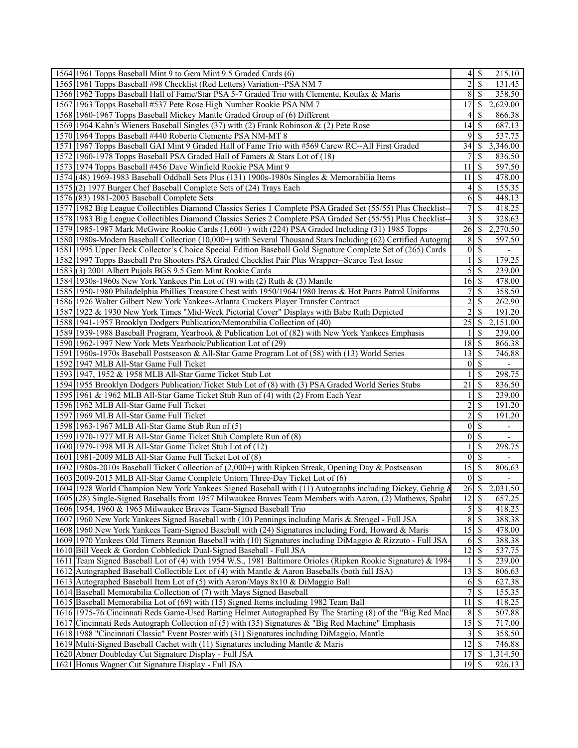| 1564 1961 Topps Baseball Mint 9 to Gem Mint 9.5 Graded Cards (6)                                              | $\vert 4 \vert$            | $\mathcal{S}$       | 215.10                             |
|---------------------------------------------------------------------------------------------------------------|----------------------------|---------------------|------------------------------------|
| 1565 1961 Topps Baseball #98 Checklist (Red Letters) Variation--PSA NM 7                                      | 2                          | <sup>\$</sup>       | 131.45                             |
| 1566 1962 Topps Baseball Hall of Fame/Star PSA 5-7 Graded Trio with Clemente, Koufax & Maris                  | 8                          | <sup>\$</sup>       | 358.50                             |
| 1567 1963 Topps Baseball #537 Pete Rose High Number Rookie PSA NM 7                                           | 17                         | S                   | 2,629.00                           |
| 1568 1960-1967 Topps Baseball Mickey Mantle Graded Group of (6) Different                                     | 4                          | S                   | 866.38                             |
| 1569 1964 Kahn's Wieners Baseball Singles (37) with (2) Frank Robinson & (2) Pete Rose                        | 14                         | \$                  | 687.13                             |
| 1570 1964 Topps Baseball #440 Roberto Clemente PSA NM-MT 8                                                    | 9                          | <sup>\$</sup>       | 537.75                             |
| 1571 1967 Topps Baseball GAI Mint 9 Graded Hall of Fame Trio with #569 Carew RC--All First Graded             | 34                         | S                   | 3,346.00                           |
| 1572 1960-1978 Topps Baseball PSA Graded Hall of Famers & Stars Lot of (18)                                   | 7                          | S                   | 836.50                             |
| 1573 1974 Topps Baseball #456 Dave Winfield Rookie PSA Mint 9                                                 | 11                         | <sup>\$</sup>       | 597.50                             |
| 1574 (48) 1969-1983 Baseball Oddball Sets Plus (131) 1900s-1980s Singles & Memorabilia Items                  | 11                         | <sup>\$</sup>       | 478.00                             |
| 1575 (2) 1977 Burger Chef Baseball Complete Sets of (24) Trays Each                                           | 4                          | \$                  | 155.35                             |
| 1576 (83) 1981-2003 Baseball Complete Sets                                                                    | 6                          | <sup>\$</sup>       | 448.13                             |
| 1577 1982 Big League Collectibles Diamond Classics Series 1 Complete PSA Graded Set (55/55) Plus Checklist--  | $\tau$                     | <sup>\$</sup>       | 418.25                             |
| 1578 1983 Big League Collectibles Diamond Classics Series 2 Complete PSA Graded Set (55/55) Plus Checklist-   | 3                          | <sup>\$</sup>       | 328.63                             |
| 1579 1985-1987 Mark McGwire Rookie Cards (1,600+) with (224) PSA Graded Including (31) 1985 Topps             | 26                         | <sup>\$</sup>       | 2,270.50                           |
| 1580 1980s-Modern Baseball Collection (10,000+) with Several Thousand Stars Including (62) Certified Autograp | 8                          | <sup>\$</sup>       | 597.50                             |
| 1581 1995 Upper Deck Collector's Choice Special Edition Baseball Gold Signature Complete Set of (265) Cards   | $\mathbf{0}$               | \$                  | $\overline{\phantom{a}}$           |
| 1582 1997 Topps Baseball Pro Shooters PSA Graded Checklist Pair Plus Wrapper--Scarce Test Issue               |                            | <sup>\$</sup>       | 179.25                             |
| 1583 (3) 2001 Albert Pujols BGS 9.5 Gem Mint Rookie Cards                                                     | 5                          | <sup>\$</sup>       | 239.00                             |
| 1584 1930s-1960s New York Yankees Pin Lot of (9) with (2) Ruth & (3) Mantle                                   | 16                         | <sup>\$</sup>       | 478.00                             |
| 1585 1950-1980 Philadelphia Phillies Treasure Chest with 1950/1964/1980 Items & Hot Pants Patrol Uniforms     | 7                          | <sup>\$</sup>       | 358.50                             |
| 1586 1926 Walter Gilbert New York Yankees-Atlanta Crackers Player Transfer Contract                           | $\overline{c}$             | <sup>\$</sup>       | 262.90                             |
| 1587 1922 & 1930 New York Times "Mid-Week Pictorial Cover" Displays with Babe Ruth Depicted                   | $\overline{2}$             | <sup>\$</sup>       | 191.20                             |
| 1588 1941-1957 Brooklyn Dodgers Publication/Memorabilia Collection of (40)                                    | 25                         | S                   | 2,151.00                           |
| 1589 1939-1988 Baseball Program, Yearbook & Publication Lot of (82) with New York Yankees Emphasis            | 1                          | <sup>\$</sup>       | 239.00                             |
| 1590 1962-1997 New York Mets Yearbook/Publication Lot of (29)                                                 | 18                         | <sup>\$</sup>       | 866.38                             |
| 1591 1960s-1970s Baseball Postseason & All-Star Game Program Lot of (58) with (13) World Series               | 13                         | <sup>\$</sup>       | 746.88                             |
| 1592 1947 MLB All-Star Game Full Ticket                                                                       | $\theta$                   | $\mathbb{S}$        |                                    |
|                                                                                                               |                            | <sup>\$</sup>       | $\overline{\phantom{a}}$<br>298.75 |
| 1593 1947, 1952 & 1958 MLB All-Star Game Ticket Stub Lot                                                      | 21                         |                     | 836.50                             |
| 1594 1955 Brooklyn Dodgers Publication/Ticket Stub Lot of (8) with (3) PSA Graded World Series Stubs          |                            | S                   |                                    |
| 1595 1961 & 1962 MLB All-Star Game Ticket Stub Run of (4) with (2) From Each Year                             | 1                          | <sup>\$</sup>       | 239.00                             |
| 1596 1962 MLB All-Star Game Full Ticket                                                                       | $\overline{c}$             | <sup>\$</sup>       | 191.20                             |
| 1597 1969 MLB All-Star Game Full Ticket                                                                       | $\overline{2}$<br>$\theta$ | S                   | 191.20                             |
| 1598 1963-1967 MLB All-Star Game Stub Run of (5)                                                              |                            | S                   | $\overline{\phantom{0}}$           |
| 1599 1970-1977 MLB All-Star Game Ticket Stub Complete Run of (8)                                              | $\mathbf{0}$               | <sup>\$</sup>       | $\overline{\phantom{a}}$           |
| 1600 1979-1998 MLB All-Star Game Ticket Stub Lot of (12)                                                      | 1                          | \$                  | 298.75                             |
| 1601 1981-2009 MLB All-Star Game Full Ticket Lot of (8)                                                       | $\theta$                   | <sup>\$</sup>       | $\overline{a}$                     |
| 1602 1980s-2010s Baseball Ticket Collection of (2,000+) with Ripken Streak, Opening Day & Postseason          | 15                         | <sup>\$</sup>       | 806.63                             |
| 1603 2009-2015 MLB All-Star Game Complete Untorn Three-Day Ticket Lot of (6)                                  | $\mathbf{0}$               | \$                  |                                    |
| 1604 1928 World Champion New York Yankees Signed Baseball with (11) Autographs including Dickey, Gehrig &     | $\overline{26}$ \$         |                     | 2,031.50                           |
| 1605 (28) Single-Signed Baseballs from 1957 Milwaukee Braves Team Members with Aaron, (2) Mathews, Spahn      | 12                         | $\mathcal{S}$       | 657.25                             |
| 1606 1954, 1960 & 1965 Milwaukee Braves Team-Signed Baseball Trio                                             | 5                          | $\mathbb{S}$        | 418.25                             |
| 1607 1960 New York Yankees Signed Baseball with (10) Pennings including Maris & Stengel - Full JSA            | $\,$ 8 $\,$                | \$                  | 388.38                             |
| 1608 1960 New York Yankees Team-Signed Baseball with (24) Signatures including Ford, Howard & Maris           | 15                         | \$                  | 478.00                             |
|                                                                                                               |                            |                     |                                    |
| 1609 1970 Yankees Old Timers Reunion Baseball with (10) Signatures including DiMaggio & Rizzuto - Full JSA    | 6                          | \$                  | 388.38                             |
| 1610 Bill Veeck & Gordon Cobbledick Dual-Signed Baseball - Full JSA                                           | $\overline{12}$            | \$                  | 537.75                             |
| 1611 Team Signed Baseball Lot of (4) with 1954 W.S., 1981 Baltimore Orioles (Ripken Rookie Signature) & 1984  | 1                          | \$                  | 239.00                             |
| 1612 Autographed Baseball Collectible Lot of (4) with Mantle & Aaron Baseballs (both full JSA)                | 13                         | \$                  | 806.63                             |
| 1613 Autographed Baseball Item Lot of (5) with Aaron/Mays 8x10 & DiMaggio Ball                                | 6                          | \$                  | 627.38                             |
| 1614 Baseball Memorabilia Collection of (7) with Mays Signed Baseball                                         | 7                          | $\mathbb{S}$        | 155.35                             |
| 1615 Baseball Memorabilia Lot of (69) with (15) Signed Items including 1982 Team Ball                         | 11                         | \$                  | 418.25                             |
| 1616 1975-76 Cincinnati Reds Game-Used Batting Helmet Autographed By The Starting (8) of the "Big Red Mac     | 8                          | \$                  | 507.88                             |
| 1617 Cincinnati Reds Autograph Collection of (5) with (35) Signatures & "Big Red Machine" Emphasis            | $\overline{15}$            | \$                  | 717.00                             |
| 1618 1988 "Cincinnati Classic" Event Poster with (31) Signatures including DiMaggio, Mantle                   | 3                          | \$                  | 358.50                             |
| 1619 Multi-Signed Baseball Cachet with (11) Signatures including Mantle & Maris                               | $\overline{12}$            | \$                  | 746.88                             |
| 1620 Abner Doubleday Cut Signature Display - Full JSA<br>1621 Honus Wagner Cut Signature Display - Full JSA   | 17<br>19                   | \$<br><sup>\$</sup> | 1,314.50<br>926.13                 |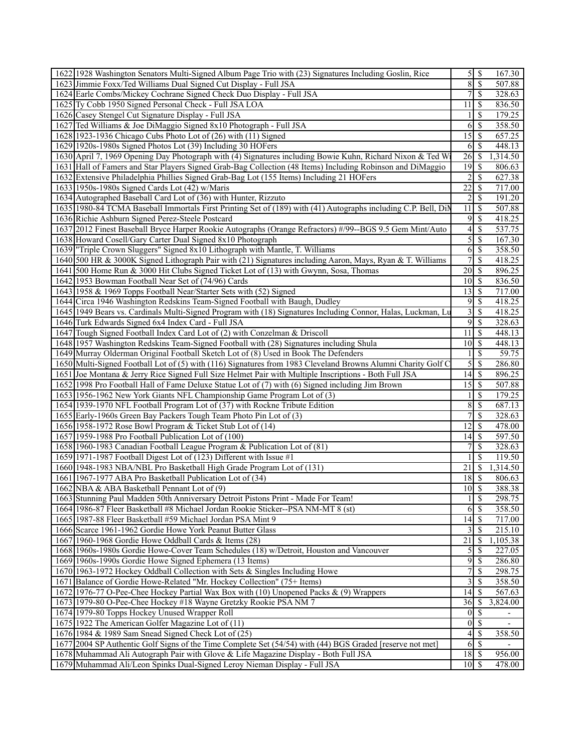| 1622 1928 Washington Senators Multi-Signed Album Page Trio with (23) Signatures Including Goslin, Rice                                                           |                                                   | $5$   \$                 | 167.30                |
|------------------------------------------------------------------------------------------------------------------------------------------------------------------|---------------------------------------------------|--------------------------|-----------------------|
| 1623 Jimmie Foxx/Ted Williams Dual Signed Cut Display - Full JSA                                                                                                 | $\overline{8}$                                    | $\overline{\mathcal{S}}$ | 507.88                |
| 1624 Earle Combs/Mickey Cochrane Signed Check Duo Display - Full JSA                                                                                             | 7                                                 | $\mathcal{S}$            | 328.63                |
| 1625 Ty Cobb 1950 Signed Personal Check - Full JSA LOA                                                                                                           | 11                                                | \$                       | 836.50                |
| 1626 Casey Stengel Cut Signature Display - Full JSA                                                                                                              | 1                                                 | <sup>\$</sup>            | 179.25                |
| 1627 Ted Williams & Joe DiMaggio Signed 8x10 Photograph - Full JSA                                                                                               | 6                                                 | -S                       | 358.50                |
| 1628 1923-1936 Chicago Cubs Photo Lot of (26) with (11) Signed                                                                                                   | 15                                                | $\mathcal{S}$            | 657.25                |
| 1629 1920s-1980s Signed Photos Lot (39) Including 30 HOFers                                                                                                      | 6                                                 | -S                       | 448.13                |
| 1630 April 7, 1969 Opening Day Photograph with (4) Signatures including Bowie Kuhn, Richard Nixon & Ted W.                                                       | 26                                                | <sup>5</sup>             | 1,314.50              |
| 1631 Hall of Famers and Star Players Signed Grab-Bag Collection (48 Items) Including Robinson and DiMaggio                                                       | 19                                                | - \$                     | 806.63                |
| 1632 Extensive Philadelphia Phillies Signed Grab-Bag Lot (155 Items) Including 21 HOFers                                                                         | $\overline{2}$                                    | -S                       | 627.38                |
| 1633 1950s-1980s Signed Cards Lot (42) w/Maris                                                                                                                   | $\overline{22}$                                   | -S                       | 717.00                |
| 1634 Autographed Baseball Card Lot of (36) with Hunter, Rizzuto                                                                                                  | 2                                                 | $\mathcal{S}$            | 191.20                |
| 1635 1980-84 TCMA Baseball Immortals First Printing Set of (189) with (41) Autographs including C.P. Bell, DiN                                                   | 11                                                | -S                       | 507.88                |
| 1636 Richie Ashburn Signed Perez-Steele Postcard                                                                                                                 | $\overline{9}$                                    | $\sqrt{S}$               | 418.25                |
| 1637 2012 Finest Baseball Bryce Harper Rookie Autographs (Orange Refractors) #/99--BGS 9.5 Gem Mint/Auto                                                         | 4                                                 | $\mathbb{S}$             | 537.75                |
| 1638 Howard Cosell/Gary Carter Dual Signed 8x10 Photograph                                                                                                       | 5                                                 | \$                       | 167.30                |
| 1639 Triple Crown Sluggers" Signed 8x10 Lithograph with Mantle, T. Williams                                                                                      | 6                                                 | -\$                      | 358.50                |
| 1640 500 HR & 3000K Signed Lithograph Pair with (21) Signatures including Aaron, Mays, Ryan & T. Williams                                                        | 7                                                 | \$                       | 418.25                |
| 1641 500 Home Run & 3000 Hit Clubs Signed Ticket Lot of (13) with Gwynn, Sosa, Thomas                                                                            | 20                                                | -\$                      | 896.25                |
| 1642 1953 Bowman Football Near Set of (74/96) Cards                                                                                                              | 10                                                | 8                        | 836.50                |
| 1643 1958 & 1969 Topps Football Near/Starter Sets with (52) Signed                                                                                               | 13                                                | $\mathcal{S}$            | 717.00                |
| 1644 Circa 1946 Washington Redskins Team-Signed Football with Baugh, Dudley                                                                                      | 9                                                 | $\mathbb{S}$             | 418.25                |
| 1645 1949 Bears vs. Cardinals Multi-Signed Program with (18) Signatures Including Connor, Halas, Luckman, Lu                                                     | 3                                                 | -S                       | 418.25                |
| 1646 Turk Edwards Signed 6x4 Index Card - Full JSA                                                                                                               | 9                                                 | $\mathcal{S}$            | 328.63                |
| 1647 Tough Signed Football Index Card Lot of (2) with Conzelman & Driscoll                                                                                       | 11                                                | -\$                      | 448.13                |
| 1648 1957 Washington Redskins Team-Signed Football with (28) Signatures including Shula                                                                          | 10                                                | S                        | 448.13                |
| 1649 Murray Olderman Original Football Sketch Lot of (8) Used in Book The Defenders                                                                              |                                                   | $\mathbb{S}$             | 59.75                 |
| 1650 Multi-Signed Football Lot of (5) with (116) Signatures from 1983 Cleveland Browns Alumni Charity Golf C                                                     | 5                                                 | $\mathbb{S}$             | 286.80                |
| 1651 Joe Montana & Jerry Rice Signed Full Size Helmet Pair with Multiple Inscriptions - Both Full JSA                                                            |                                                   |                          | 896.25                |
| 1652 1998 Pro Football Hall of Fame Deluxe Statue Lot of (7) with (6) Signed including Jim Brown                                                                 | 15                                                | $\mathcal{S}$            | 507.88                |
| 1653 1956-1962 New York Giants NFL Championship Game Program Lot of (3)                                                                                          |                                                   | $\mathbb{S}$             | 179.25                |
| 1654 1939-1970 NFL Football Program Lot of (37) with Rockne Tribute Edition                                                                                      | 8                                                 | $\mathcal{S}$            | 687.13                |
| 1655 Early-1960s Green Bay Packers Tough Team Photo Pin Lot of (3)                                                                                               |                                                   | \$                       | 328.63                |
| 1656 1958-1972 Rose Bowl Program & Ticket Stub Lot of (14)                                                                                                       | 12                                                | -S                       | 478.00                |
| 1657 1959-1988 Pro Football Publication Lot of (100)                                                                                                             | 14                                                | 8                        | 597.50                |
| 1658 1960-1983 Canadian Football League Program & Publication Lot of (81)                                                                                        | 7                                                 | \$                       | 328.63                |
| 1659 1971-1987 Football Digest Lot of (123) Different with Issue #1                                                                                              |                                                   | <sup>\$</sup>            | 119.50                |
| 1660 1948-1983 NBA/NBL Pro Basketball High Grade Program Lot of (131)                                                                                            | 21                                                | \$                       | 1,314.50              |
| 1661 1967-1977 ABA Pro Basketball Publication Lot of (34)                                                                                                        | $\overline{18}$ \ $\overline{\$}$                 |                          | 806.63                |
| 1662 NBA & ABA Basketball Pennant Lot of (9)                                                                                                                     | $\overline{10}$ \$                                |                          | 388.38                |
| 1663 Stunning Paul Madden 50th Anniversary Detroit Pistons Print - Made For Team!                                                                                |                                                   | \$                       | 298.75                |
| 1664 1986-87 Fleer Basketball #8 Michael Jordan Rookie Sticker--PSA NM-MT 8 (st)                                                                                 | 6                                                 | $\mathcal{S}$            | 358.50                |
| 1665 1987-88 Fleer Basketball #59 Michael Jordan PSA Mint 9                                                                                                      |                                                   |                          | 717.00                |
| 1666 Scarce 1961-1962 Gordie Howe York Peanut Butter Glass                                                                                                       | 3                                                 | $\mathcal{S}$            | 215.10                |
| 1667 1960-1968 Gordie Howe Oddball Cards & Items (28)                                                                                                            | 21                                                | $\mathbb{S}$             | 1,105.38              |
| 1668 1960s-1980s Gordie Howe-Cover Team Schedules (18) w/Detroit, Houston and Vancouver                                                                          | 5                                                 | -S                       | 227.05                |
| 1669 1960s-1990s Gordie Howe Signed Ephemera (13 Items)                                                                                                          | 9                                                 | $\mathcal{S}$            | 286.80                |
| 1670 1963-1972 Hockey Oddball Collection with Sets & Singles Including Howe                                                                                      | 7                                                 | $\mathcal{S}$            | 298.75                |
| 1671 Balance of Gordie Howe-Related "Mr. Hockey Collection" (75+ Items)                                                                                          | 3                                                 | -\$                      | 358.50                |
| 1672 1976-77 O-Pee-Chee Hockey Partial Wax Box with (10) Unopened Packs & (9) Wrappers                                                                           | 14                                                | -\$                      | 567.63                |
| 1673 1979-80 O-Pee-Chee Hockey #18 Wayne Gretzky Rookie PSA NM 7                                                                                                 | 36                                                | -S                       | $\overline{3,824.00}$ |
| 1674 1979-80 Topps Hockey Unused Wrapper Roll                                                                                                                    | $\vert 0 \vert$<br>$\overline{0}$ $\overline{\$}$ | 8                        |                       |
| 1675 1922 The American Golfer Magazine Lot of (11)                                                                                                               |                                                   |                          |                       |
| 1676 1984 & 1989 Sam Snead Signed Check Lot of (25)<br>1677 2004 SP Authentic Golf Signs of the Time Complete Set (54/54) with (44) BGS Graded [reserve not met] | $\left 4\right $<br>6                             | - \$<br>$\mathsf{S}$     | 358.50                |
| 1678 Muhammad Ali Autograph Pair with Glove & Life Magazine Display - Both Full JSA                                                                              | 18                                                | l \$                     | 956.00                |
| 1679 Muhammad Ali/Leon Spinks Dual-Signed Leroy Nieman Display - Full JSA                                                                                        | $10$ $\beta$                                      |                          | 478.00                |
|                                                                                                                                                                  |                                                   |                          |                       |